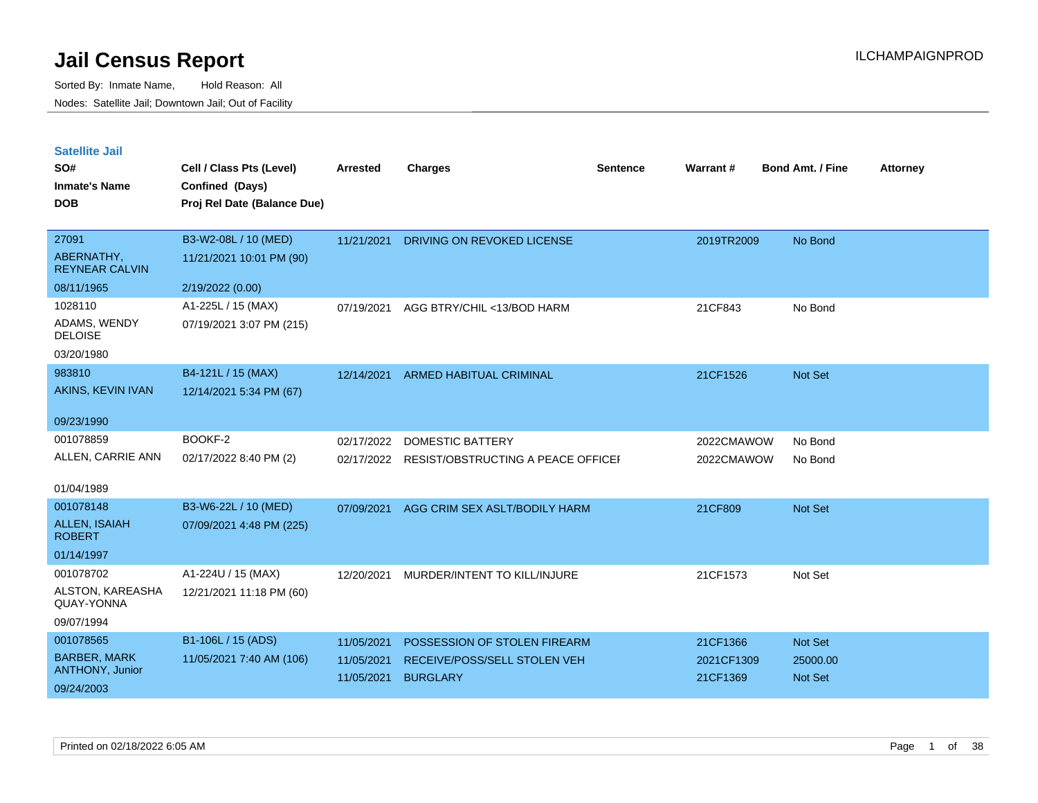| <b>Satellite Jail</b> |  |
|-----------------------|--|
|                       |  |

| UULUIILU VUII<br>SO#<br><b>Inmate's Name</b><br><b>DOB</b> | Cell / Class Pts (Level)<br>Confined (Days)<br>Proj Rel Date (Balance Due) | Arrested   | <b>Charges</b>                               | <b>Sentence</b> | <b>Warrant#</b> | <b>Bond Amt. / Fine</b> | <b>Attorney</b> |
|------------------------------------------------------------|----------------------------------------------------------------------------|------------|----------------------------------------------|-----------------|-----------------|-------------------------|-----------------|
| 27091<br>ABERNATHY,<br><b>REYNEAR CALVIN</b>               | B3-W2-08L / 10 (MED)<br>11/21/2021 10:01 PM (90)                           | 11/21/2021 | DRIVING ON REVOKED LICENSE                   |                 | 2019TR2009      | No Bond                 |                 |
| 08/11/1965                                                 | 2/19/2022 (0.00)                                                           |            |                                              |                 |                 |                         |                 |
| 1028110<br>ADAMS, WENDY<br><b>DELOISE</b>                  | A1-225L / 15 (MAX)<br>07/19/2021 3:07 PM (215)                             | 07/19/2021 | AGG BTRY/CHIL <13/BOD HARM                   |                 | 21CF843         | No Bond                 |                 |
| 03/20/1980<br>983810                                       | B4-121L / 15 (MAX)                                                         |            |                                              |                 |                 |                         |                 |
| AKINS, KEVIN IVAN                                          | 12/14/2021 5:34 PM (67)                                                    | 12/14/2021 | <b>ARMED HABITUAL CRIMINAL</b>               |                 | 21CF1526        | Not Set                 |                 |
| 09/23/1990                                                 |                                                                            |            |                                              |                 |                 |                         |                 |
| 001078859                                                  | BOOKF-2                                                                    | 02/17/2022 | <b>DOMESTIC BATTERY</b>                      |                 | 2022CMAWOW      | No Bond                 |                 |
| ALLEN, CARRIE ANN                                          | 02/17/2022 8:40 PM (2)                                                     |            | 02/17/2022 RESIST/OBSTRUCTING A PEACE OFFICE |                 | 2022CMAWOW      | No Bond                 |                 |
| 01/04/1989                                                 |                                                                            |            |                                              |                 |                 |                         |                 |
| 001078148                                                  | B3-W6-22L / 10 (MED)                                                       | 07/09/2021 | AGG CRIM SEX ASLT/BODILY HARM                |                 | 21CF809         | Not Set                 |                 |
| ALLEN, ISAIAH<br><b>ROBERT</b>                             | 07/09/2021 4:48 PM (225)                                                   |            |                                              |                 |                 |                         |                 |
| 01/14/1997                                                 |                                                                            |            |                                              |                 |                 |                         |                 |
| 001078702                                                  | A1-224U / 15 (MAX)                                                         | 12/20/2021 | MURDER/INTENT TO KILL/INJURE                 |                 | 21CF1573        | Not Set                 |                 |
| ALSTON, KAREASHA<br>QUAY-YONNA                             | 12/21/2021 11:18 PM (60)                                                   |            |                                              |                 |                 |                         |                 |
| 09/07/1994                                                 |                                                                            |            |                                              |                 |                 |                         |                 |
| 001078565                                                  | B1-106L / 15 (ADS)                                                         | 11/05/2021 | POSSESSION OF STOLEN FIREARM                 |                 | 21CF1366        | Not Set                 |                 |
| <b>BARBER, MARK</b><br><b>ANTHONY, Junior</b>              | 11/05/2021 7:40 AM (106)                                                   | 11/05/2021 | RECEIVE/POSS/SELL STOLEN VEH                 |                 | 2021CF1309      | 25000.00                |                 |
| 09/24/2003                                                 |                                                                            | 11/05/2021 | <b>BURGLARY</b>                              |                 | 21CF1369        | <b>Not Set</b>          |                 |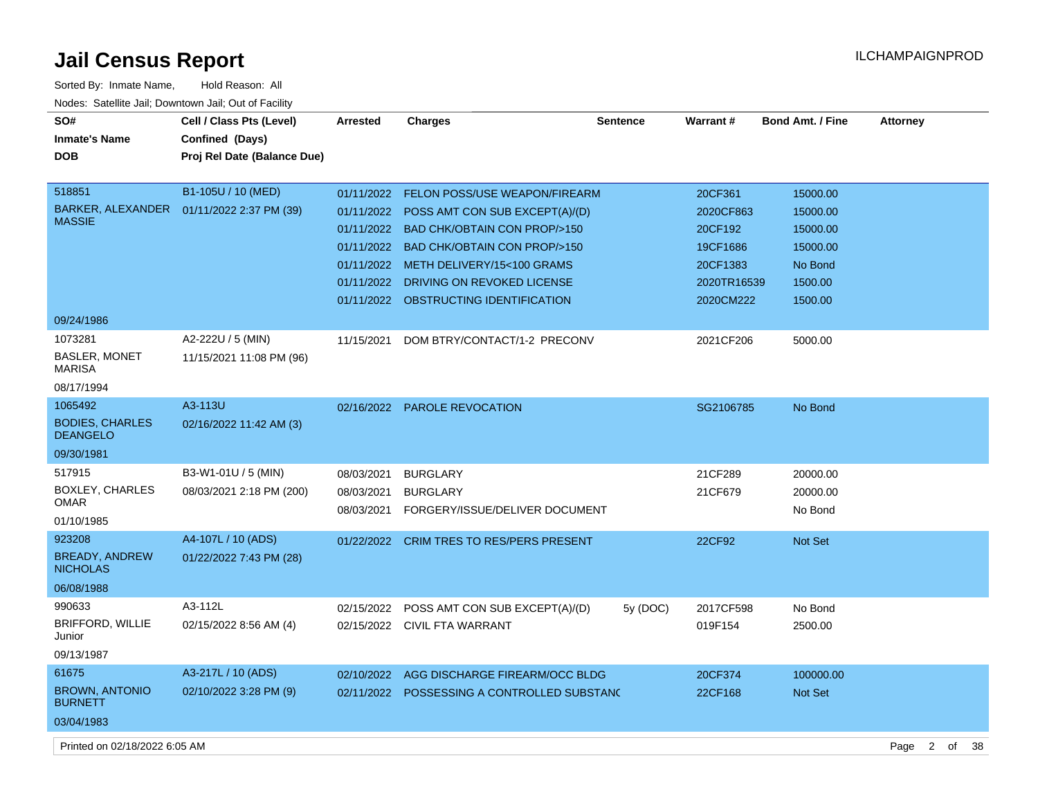$\overline{a}$ 

| Sorted By: Inmate Name,                               | Hold Reason: All                           |                 |                                        |                 |                 |                  |                 |
|-------------------------------------------------------|--------------------------------------------|-----------------|----------------------------------------|-----------------|-----------------|------------------|-----------------|
| Nodes: Satellite Jail; Downtown Jail; Out of Facility |                                            |                 |                                        |                 |                 |                  |                 |
| SO#                                                   | Cell / Class Pts (Level)                   | <b>Arrested</b> | <b>Charges</b>                         | <b>Sentence</b> | <b>Warrant#</b> | Bond Amt. / Fine | <b>Attorney</b> |
| <b>Inmate's Name</b>                                  | Confined (Days)                            |                 |                                        |                 |                 |                  |                 |
| DOB                                                   | Proj Rel Date (Balance Due)                |                 |                                        |                 |                 |                  |                 |
|                                                       |                                            |                 |                                        |                 |                 |                  |                 |
| 518851                                                | B1-105U / 10 (MED)                         | 01/11/2022      | FELON POSS/USE WEAPON/FIREARM          |                 | 20CF361         | 15000.00         |                 |
|                                                       | BARKER, ALEXANDER  01/11/2022 2:37 PM (39) | 01/11/2022      | POSS AMT CON SUB EXCEPT(A)/(D)         |                 | 2020CF863       | 15000.00         |                 |
| <b>MASSIE</b>                                         |                                            | 01/11/2022      | <b>BAD CHK/OBTAIN CON PROP/&gt;150</b> |                 | 20CF192         | 15000.00         |                 |
|                                                       |                                            | 01/11/2022      | <b>BAD CHK/OBTAIN CON PROP/&gt;150</b> |                 | 19CF1686        | 15000.00         |                 |
|                                                       |                                            | 01/11/2022      | METH DELIVERY/15<100 GRAMS             |                 | 20CF1383        | No Bond          |                 |
|                                                       |                                            | 01/11/2022      | DRIVING ON REVOKED LICENSE             |                 | 2020TR16539     | 1500.00          |                 |
|                                                       |                                            | 01/11/2022      | OBSTRUCTING IDENTIFICATION             |                 | 2020CM222       | 1500.00          |                 |
| 09/24/1986                                            |                                            |                 |                                        |                 |                 |                  |                 |
| 1073281                                               | A2-222U / 5 (MIN)                          | 11/15/2021      | DOM BTRY/CONTACT/1-2 PRECONV           |                 | 2021CF206       | 5000.00          |                 |
| <b>BASLER, MONET</b>                                  | 11/15/2021 11:08 PM (96)                   |                 |                                        |                 |                 |                  |                 |
| <b>MARISA</b>                                         |                                            |                 |                                        |                 |                 |                  |                 |
| 08/17/1994                                            |                                            |                 |                                        |                 |                 |                  |                 |
| 1065492                                               | A3-113U                                    | 02/16/2022      | <b>PAROLE REVOCATION</b>               |                 | SG2106785       | No Bond          |                 |
| <b>BODIES, CHARLES</b>                                | 02/16/2022 11:42 AM (3)                    |                 |                                        |                 |                 |                  |                 |
| <b>DEANGELO</b>                                       |                                            |                 |                                        |                 |                 |                  |                 |
| 09/30/1981                                            |                                            |                 |                                        |                 |                 |                  |                 |
| 517915                                                | B3-W1-01U / 5 (MIN)                        | 08/03/2021      | <b>BURGLARY</b>                        |                 | 21CF289         | 20000.00         |                 |
| BOXLEY, CHARLES<br>OMAR                               | 08/03/2021 2:18 PM (200)                   | 08/03/2021      | <b>BURGLARY</b>                        |                 | 21CF679         | 20000.00         |                 |
|                                                       |                                            | 08/03/2021      | FORGERY/ISSUE/DELIVER DOCUMENT         |                 |                 | No Bond          |                 |
| 01/10/1985                                            |                                            |                 |                                        |                 |                 |                  |                 |
| 923208<br><b>BREADY, ANDREW</b>                       | A4-107L / 10 (ADS)                         | 01/22/2022      | <b>CRIM TRES TO RES/PERS PRESENT</b>   |                 | 22CF92          | Not Set          |                 |
| <b>NICHOLAS</b>                                       | 01/22/2022 7:43 PM (28)                    |                 |                                        |                 |                 |                  |                 |
| 06/08/1988                                            |                                            |                 |                                        |                 |                 |                  |                 |
| 990633                                                | A3-112L                                    | 02/15/2022      | POSS AMT CON SUB EXCEPT(A)/(D)         | 5y (DOC)        | 2017CF598       | No Bond          |                 |
| <b>BRIFFORD, WILLIE</b>                               | 02/15/2022 8:56 AM (4)                     |                 | 02/15/2022 CIVIL FTA WARRANT           |                 | 019F154         | 2500.00          |                 |
| Junior                                                |                                            |                 |                                        |                 |                 |                  |                 |
| 09/13/1987                                            |                                            |                 |                                        |                 |                 |                  |                 |
| 61675                                                 | A3-217L / 10 (ADS)                         | 02/10/2022      | AGG DISCHARGE FIREARM/OCC BLDG         |                 | 20CF374         | 100000.00        |                 |
| <b>BROWN, ANTONIO</b><br>BURNETT                      | 02/10/2022 3:28 PM (9)                     | 02/11/2022      | POSSESSING A CONTROLLED SUBSTANC       |                 | 22CF168         | <b>Not Set</b>   |                 |
| 03/04/1983                                            |                                            |                 |                                        |                 |                 |                  |                 |

Printed on 02/18/2022 6:05 AM Page 2 of 38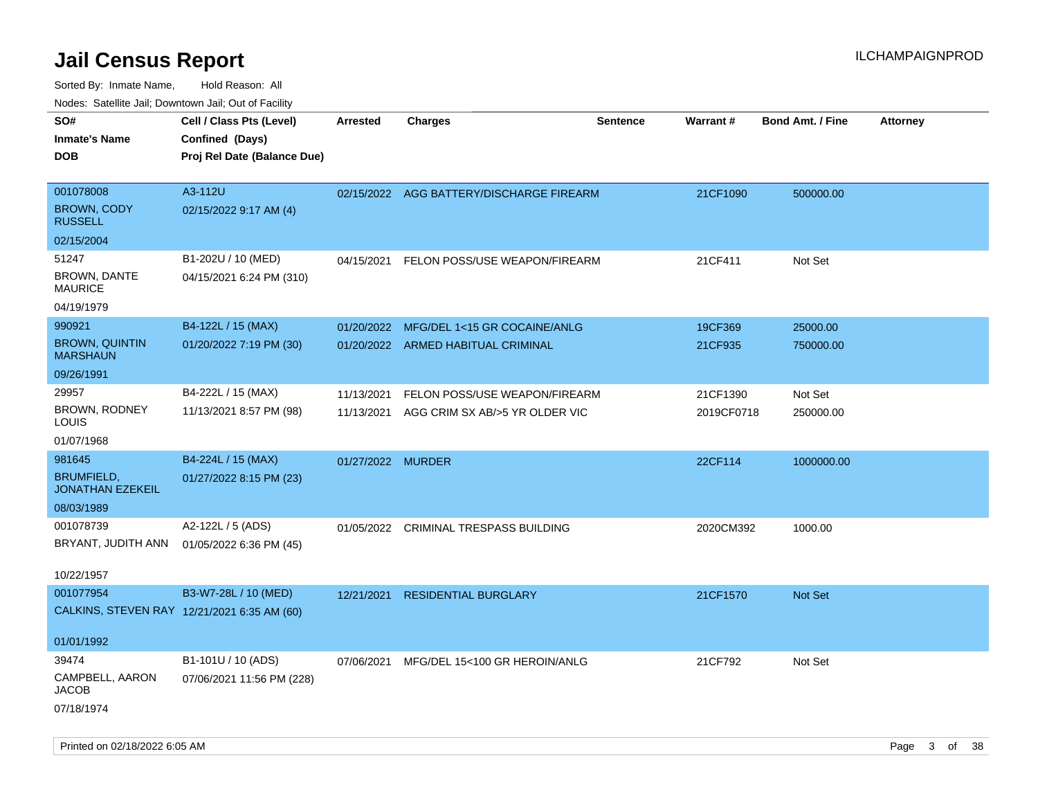| ivouss. Satellite Jali, Downtown Jali, Out of Facility |                                             |                   |                                          |                 |                 |                         |                 |
|--------------------------------------------------------|---------------------------------------------|-------------------|------------------------------------------|-----------------|-----------------|-------------------------|-----------------|
| SO#                                                    | Cell / Class Pts (Level)                    | <b>Arrested</b>   | <b>Charges</b>                           | <b>Sentence</b> | <b>Warrant#</b> | <b>Bond Amt. / Fine</b> | <b>Attorney</b> |
| Inmate's Name                                          | Confined (Days)                             |                   |                                          |                 |                 |                         |                 |
| DOB                                                    | Proj Rel Date (Balance Due)                 |                   |                                          |                 |                 |                         |                 |
|                                                        |                                             |                   |                                          |                 |                 |                         |                 |
| 001078008                                              | A3-112U                                     |                   | 02/15/2022 AGG BATTERY/DISCHARGE FIREARM |                 | 21CF1090        | 500000.00               |                 |
| <b>BROWN, CODY</b><br><b>RUSSELL</b>                   | 02/15/2022 9:17 AM (4)                      |                   |                                          |                 |                 |                         |                 |
| 02/15/2004                                             |                                             |                   |                                          |                 |                 |                         |                 |
| 51247                                                  | B1-202U / 10 (MED)                          | 04/15/2021        | FELON POSS/USE WEAPON/FIREARM            |                 | 21CF411         | Not Set                 |                 |
| <b>BROWN, DANTE</b><br>MAURICE                         | 04/15/2021 6:24 PM (310)                    |                   |                                          |                 |                 |                         |                 |
| 04/19/1979                                             |                                             |                   |                                          |                 |                 |                         |                 |
| 990921                                                 | B4-122L / 15 (MAX)                          | 01/20/2022        | MFG/DEL 1<15 GR COCAINE/ANLG             |                 | 19CF369         | 25000.00                |                 |
| <b>BROWN, QUINTIN</b><br><b>MARSHAUN</b>               | 01/20/2022 7:19 PM (30)                     |                   | 01/20/2022 ARMED HABITUAL CRIMINAL       |                 | 21CF935         | 750000.00               |                 |
| 09/26/1991                                             |                                             |                   |                                          |                 |                 |                         |                 |
| 29957                                                  | B4-222L / 15 (MAX)                          | 11/13/2021        | FELON POSS/USE WEAPON/FIREARM            |                 | 21CF1390        | Not Set                 |                 |
| BROWN, RODNEY<br>LOUIS                                 | 11/13/2021 8:57 PM (98)                     | 11/13/2021        | AGG CRIM SX AB/>5 YR OLDER VIC           |                 | 2019CF0718      | 250000.00               |                 |
| 01/07/1968                                             |                                             |                   |                                          |                 |                 |                         |                 |
| 981645                                                 | B4-224L / 15 (MAX)                          | 01/27/2022 MURDER |                                          |                 | 22CF114         | 1000000.00              |                 |
| <b>BRUMFIELD,</b><br><b>JONATHAN EZEKEIL</b>           | 01/27/2022 8:15 PM (23)                     |                   |                                          |                 |                 |                         |                 |
| 08/03/1989                                             |                                             |                   |                                          |                 |                 |                         |                 |
| 001078739                                              | A2-122L / 5 (ADS)                           | 01/05/2022        | CRIMINAL TRESPASS BUILDING               |                 | 2020CM392       | 1000.00                 |                 |
| BRYANT, JUDITH ANN                                     | 01/05/2022 6:36 PM (45)                     |                   |                                          |                 |                 |                         |                 |
|                                                        |                                             |                   |                                          |                 |                 |                         |                 |
| 10/22/1957                                             |                                             |                   |                                          |                 |                 |                         |                 |
| 001077954                                              | B3-W7-28L / 10 (MED)                        | 12/21/2021        | <b>RESIDENTIAL BURGLARY</b>              |                 | 21CF1570        | Not Set                 |                 |
|                                                        | CALKINS, STEVEN RAY 12/21/2021 6:35 AM (60) |                   |                                          |                 |                 |                         |                 |
| 01/01/1992                                             |                                             |                   |                                          |                 |                 |                         |                 |
| 39474                                                  | B1-101U / 10 (ADS)                          |                   |                                          |                 |                 |                         |                 |
| CAMPBELL, AARON                                        |                                             | 07/06/2021        | MFG/DEL 15<100 GR HEROIN/ANLG            |                 | 21CF792         | Not Set                 |                 |
| JACOB                                                  | 07/06/2021 11:56 PM (228)                   |                   |                                          |                 |                 |                         |                 |
| 07/18/1974                                             |                                             |                   |                                          |                 |                 |                         |                 |
|                                                        |                                             |                   |                                          |                 |                 |                         |                 |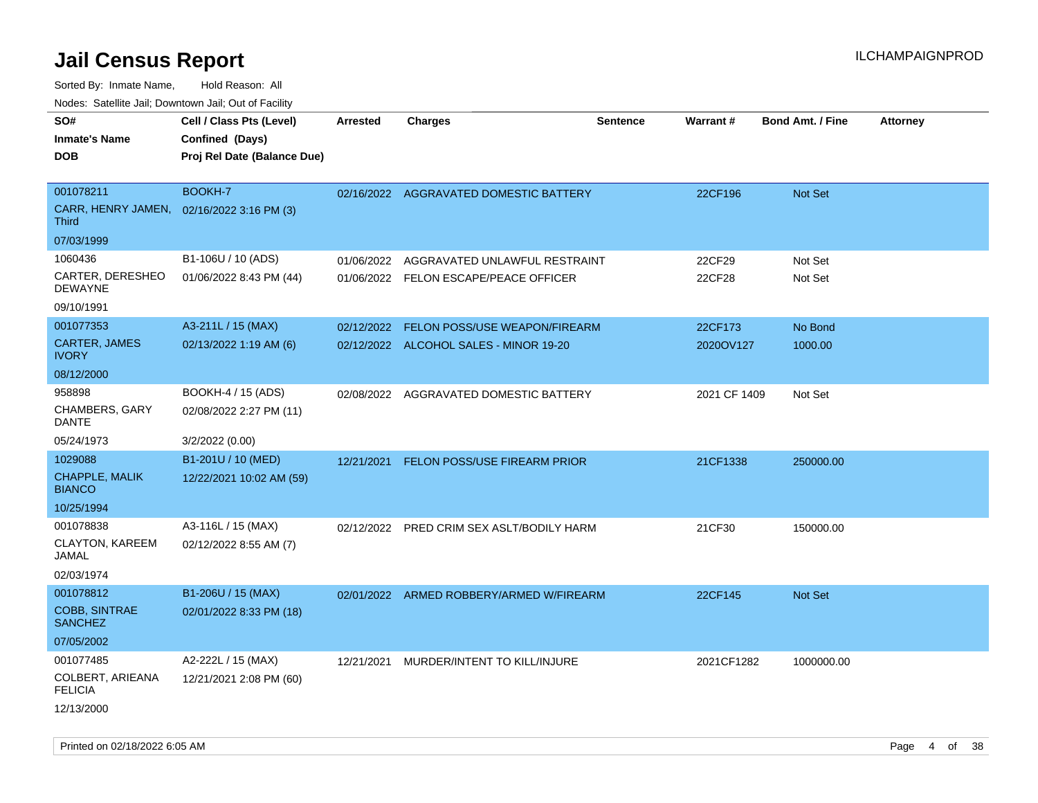| SO#                                    | Cell / Class Pts (Level)    | Arrested   | <b>Charges</b>                            | <b>Sentence</b> | Warrant#     | <b>Bond Amt. / Fine</b> | <b>Attorney</b> |
|----------------------------------------|-----------------------------|------------|-------------------------------------------|-----------------|--------------|-------------------------|-----------------|
| <b>Inmate's Name</b>                   | Confined (Days)             |            |                                           |                 |              |                         |                 |
| <b>DOB</b>                             | Proj Rel Date (Balance Due) |            |                                           |                 |              |                         |                 |
|                                        |                             |            |                                           |                 |              |                         |                 |
| 001078211                              | BOOKH-7                     |            | 02/16/2022 AGGRAVATED DOMESTIC BATTERY    |                 | 22CF196      | <b>Not Set</b>          |                 |
| CARR, HENRY JAMEN,<br><b>Third</b>     | 02/16/2022 3:16 PM (3)      |            |                                           |                 |              |                         |                 |
| 07/03/1999                             |                             |            |                                           |                 |              |                         |                 |
| 1060436                                | B1-106U / 10 (ADS)          | 01/06/2022 | AGGRAVATED UNLAWFUL RESTRAINT             |                 | 22CF29       | Not Set                 |                 |
| CARTER, DERESHEO<br><b>DEWAYNE</b>     | 01/06/2022 8:43 PM (44)     |            | 01/06/2022 FELON ESCAPE/PEACE OFFICER     |                 | 22CF28       | Not Set                 |                 |
| 09/10/1991                             |                             |            |                                           |                 |              |                         |                 |
| 001077353                              | A3-211L / 15 (MAX)          | 02/12/2022 | FELON POSS/USE WEAPON/FIREARM             |                 | 22CF173      | No Bond                 |                 |
| <b>CARTER, JAMES</b><br><b>IVORY</b>   | 02/13/2022 1:19 AM (6)      |            | 02/12/2022 ALCOHOL SALES - MINOR 19-20    |                 | 2020OV127    | 1000.00                 |                 |
| 08/12/2000                             |                             |            |                                           |                 |              |                         |                 |
| 958898                                 | BOOKH-4 / 15 (ADS)          |            | 02/08/2022 AGGRAVATED DOMESTIC BATTERY    |                 | 2021 CF 1409 | Not Set                 |                 |
| CHAMBERS, GARY<br>DANTE                | 02/08/2022 2:27 PM (11)     |            |                                           |                 |              |                         |                 |
| 05/24/1973                             | 3/2/2022 (0.00)             |            |                                           |                 |              |                         |                 |
| 1029088                                | B1-201U / 10 (MED)          | 12/21/2021 | <b>FELON POSS/USE FIREARM PRIOR</b>       |                 | 21CF1338     | 250000.00               |                 |
| CHAPPLE, MALIK<br><b>BIANCO</b>        | 12/22/2021 10:02 AM (59)    |            |                                           |                 |              |                         |                 |
| 10/25/1994                             |                             |            |                                           |                 |              |                         |                 |
| 001078838                              | A3-116L / 15 (MAX)          |            | 02/12/2022 PRED CRIM SEX ASLT/BODILY HARM |                 | 21CF30       | 150000.00               |                 |
| <b>CLAYTON, KAREEM</b><br>JAMAL        | 02/12/2022 8:55 AM (7)      |            |                                           |                 |              |                         |                 |
| 02/03/1974                             |                             |            |                                           |                 |              |                         |                 |
| 001078812                              | B1-206U / 15 (MAX)          |            | 02/01/2022 ARMED ROBBERY/ARMED W/FIREARM  |                 | 22CF145      | Not Set                 |                 |
| <b>COBB, SINTRAE</b><br><b>SANCHEZ</b> | 02/01/2022 8:33 PM (18)     |            |                                           |                 |              |                         |                 |
| 07/05/2002                             |                             |            |                                           |                 |              |                         |                 |
| 001077485                              | A2-222L / 15 (MAX)          | 12/21/2021 | MURDER/INTENT TO KILL/INJURE              |                 | 2021CF1282   | 1000000.00              |                 |
| COLBERT, ARIEANA<br><b>FELICIA</b>     | 12/21/2021 2:08 PM (60)     |            |                                           |                 |              |                         |                 |
| 12/13/2000                             |                             |            |                                           |                 |              |                         |                 |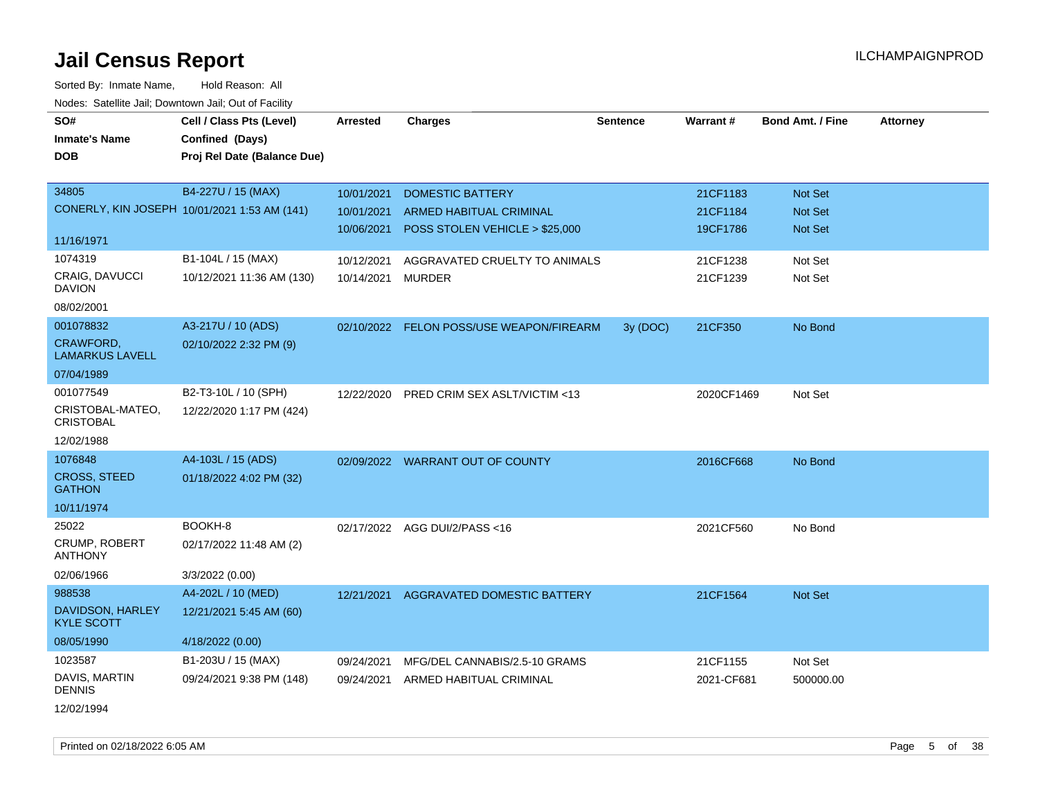Sorted By: Inmate Name, Hold Reason: All Nodes: Satellite Jail; Downtown Jail; Out of Facility

| SO#                                        | Cell / Class Pts (Level)                     | Arrested   | <b>Charges</b>                       | <b>Sentence</b> | Warrant#   | <b>Bond Amt. / Fine</b> | <b>Attorney</b> |
|--------------------------------------------|----------------------------------------------|------------|--------------------------------------|-----------------|------------|-------------------------|-----------------|
| <b>Inmate's Name</b>                       | Confined (Days)                              |            |                                      |                 |            |                         |                 |
| <b>DOB</b>                                 | Proj Rel Date (Balance Due)                  |            |                                      |                 |            |                         |                 |
|                                            |                                              |            |                                      |                 |            |                         |                 |
| 34805                                      | B4-227U / 15 (MAX)                           | 10/01/2021 | <b>DOMESTIC BATTERY</b>              |                 | 21CF1183   | Not Set                 |                 |
|                                            | CONERLY, KIN JOSEPH 10/01/2021 1:53 AM (141) | 10/01/2021 | ARMED HABITUAL CRIMINAL              |                 | 21CF1184   | Not Set                 |                 |
|                                            |                                              | 10/06/2021 | POSS STOLEN VEHICLE > \$25,000       |                 | 19CF1786   | Not Set                 |                 |
| 11/16/1971                                 |                                              |            |                                      |                 |            |                         |                 |
| 1074319                                    | B1-104L / 15 (MAX)                           | 10/12/2021 | AGGRAVATED CRUELTY TO ANIMALS        |                 | 21CF1238   | Not Set                 |                 |
| CRAIG, DAVUCCI<br><b>DAVION</b>            | 10/12/2021 11:36 AM (130)                    | 10/14/2021 | <b>MURDER</b>                        |                 | 21CF1239   | Not Set                 |                 |
| 08/02/2001                                 |                                              |            |                                      |                 |            |                         |                 |
| 001078832                                  | A3-217U / 10 (ADS)                           | 02/10/2022 | <b>FELON POSS/USE WEAPON/FIREARM</b> | 3y (DOC)        | 21CF350    | No Bond                 |                 |
| <b>CRAWFORD,</b><br><b>LAMARKUS LAVELL</b> | 02/10/2022 2:32 PM (9)                       |            |                                      |                 |            |                         |                 |
| 07/04/1989                                 |                                              |            |                                      |                 |            |                         |                 |
| 001077549                                  | B2-T3-10L / 10 (SPH)                         | 12/22/2020 | PRED CRIM SEX ASLT/VICTIM <13        |                 | 2020CF1469 | Not Set                 |                 |
| CRISTOBAL-MATEO,<br><b>CRISTOBAL</b>       | 12/22/2020 1:17 PM (424)                     |            |                                      |                 |            |                         |                 |
| 12/02/1988                                 |                                              |            |                                      |                 |            |                         |                 |
| 1076848                                    | A4-103L / 15 (ADS)                           |            | 02/09/2022 WARRANT OUT OF COUNTY     |                 | 2016CF668  | No Bond                 |                 |
| <b>CROSS, STEED</b><br><b>GATHON</b>       | 01/18/2022 4:02 PM (32)                      |            |                                      |                 |            |                         |                 |
| 10/11/1974                                 |                                              |            |                                      |                 |            |                         |                 |
| 25022                                      | BOOKH-8                                      |            | 02/17/2022 AGG DUI/2/PASS<16         |                 | 2021CF560  | No Bond                 |                 |
| <b>CRUMP, ROBERT</b><br><b>ANTHONY</b>     | 02/17/2022 11:48 AM (2)                      |            |                                      |                 |            |                         |                 |
| 02/06/1966                                 | 3/3/2022 (0.00)                              |            |                                      |                 |            |                         |                 |
| 988538                                     | A4-202L / 10 (MED)                           | 12/21/2021 | AGGRAVATED DOMESTIC BATTERY          |                 | 21CF1564   | Not Set                 |                 |
| DAVIDSON, HARLEY<br><b>KYLE SCOTT</b>      | 12/21/2021 5:45 AM (60)                      |            |                                      |                 |            |                         |                 |
| 08/05/1990                                 | 4/18/2022 (0.00)                             |            |                                      |                 |            |                         |                 |
| 1023587                                    | B1-203U / 15 (MAX)                           | 09/24/2021 | MFG/DEL CANNABIS/2.5-10 GRAMS        |                 | 21CF1155   | Not Set                 |                 |
| DAVIS, MARTIN<br><b>DENNIS</b>             | 09/24/2021 9:38 PM (148)                     | 09/24/2021 | ARMED HABITUAL CRIMINAL              |                 | 2021-CF681 | 500000.00               |                 |
|                                            |                                              |            |                                      |                 |            |                         |                 |

12/02/1994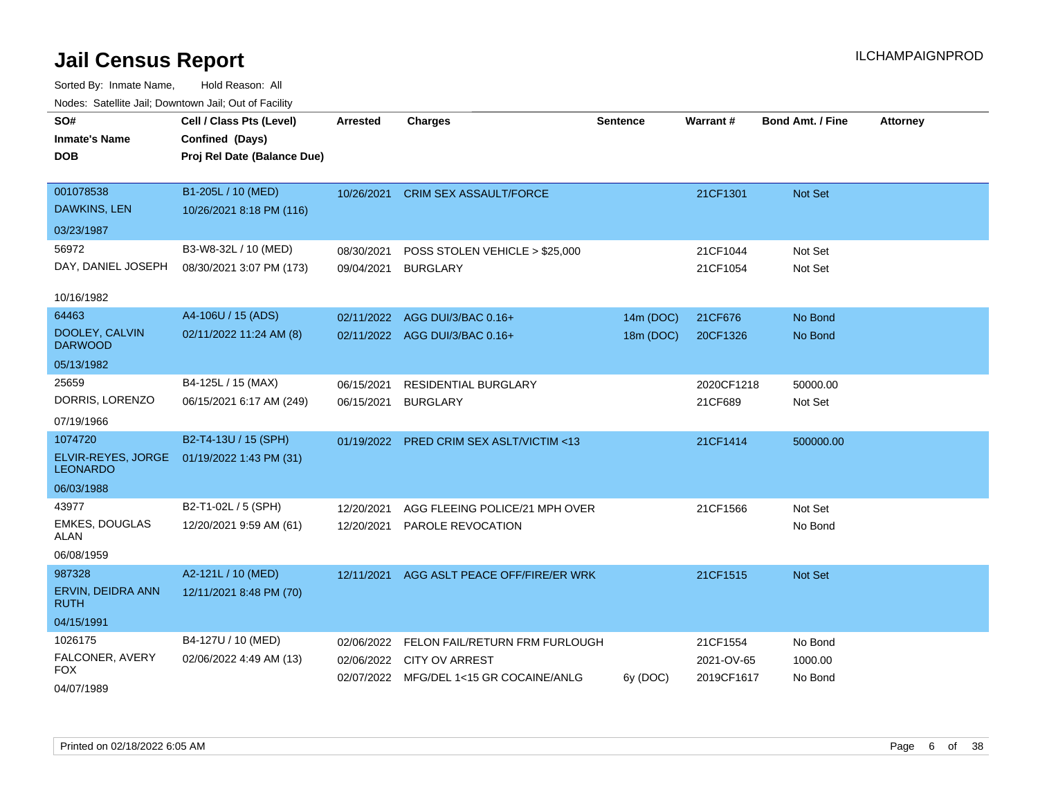| roaco. Catolino cali, Downtown cali, Out of Fability |                                                |                          |                                                     |                 |                       |                         |                 |
|------------------------------------------------------|------------------------------------------------|--------------------------|-----------------------------------------------------|-----------------|-----------------------|-------------------------|-----------------|
| SO#<br><b>Inmate's Name</b>                          | Cell / Class Pts (Level)<br>Confined (Days)    | <b>Arrested</b>          | <b>Charges</b>                                      | <b>Sentence</b> | <b>Warrant#</b>       | <b>Bond Amt. / Fine</b> | <b>Attorney</b> |
| DOB                                                  | Proj Rel Date (Balance Due)                    |                          |                                                     |                 |                       |                         |                 |
| 001078538<br>DAWKINS, LEN                            | B1-205L / 10 (MED)<br>10/26/2021 8:18 PM (116) | 10/26/2021               | <b>CRIM SEX ASSAULT/FORCE</b>                       |                 | 21CF1301              | Not Set                 |                 |
| 03/23/1987                                           |                                                |                          |                                                     |                 |                       |                         |                 |
| 56972                                                | B3-W8-32L / 10 (MED)                           | 08/30/2021               | POSS STOLEN VEHICLE > \$25,000                      |                 | 21CF1044              | Not Set                 |                 |
| DAY, DANIEL JOSEPH                                   | 08/30/2021 3:07 PM (173)                       | 09/04/2021               | <b>BURGLARY</b>                                     |                 | 21CF1054              | Not Set                 |                 |
| 10/16/1982                                           |                                                |                          |                                                     |                 |                       |                         |                 |
| 64463                                                | A4-106U / 15 (ADS)                             | 02/11/2022               | AGG DUI/3/BAC 0.16+                                 | 14m (DOC)       | 21CF676               | No Bond                 |                 |
| DOOLEY, CALVIN<br><b>DARWOOD</b>                     | 02/11/2022 11:24 AM (8)                        |                          | 02/11/2022 AGG DUI/3/BAC 0.16+                      | 18m (DOC)       | 20CF1326              | No Bond                 |                 |
| 05/13/1982                                           |                                                |                          |                                                     |                 |                       |                         |                 |
| 25659<br>DORRIS, LORENZO                             | B4-125L / 15 (MAX)<br>06/15/2021 6:17 AM (249) | 06/15/2021<br>06/15/2021 | <b>RESIDENTIAL BURGLARY</b><br><b>BURGLARY</b>      |                 | 2020CF1218<br>21CF689 | 50000.00<br>Not Set     |                 |
| 07/19/1966                                           |                                                |                          |                                                     |                 |                       |                         |                 |
| 1074720                                              | B2-T4-13U / 15 (SPH)                           |                          | 01/19/2022 PRED CRIM SEX ASLT/VICTIM <13            |                 | 21CF1414              | 500000.00               |                 |
| ELVIR-REYES, JORGE<br><b>LEONARDO</b>                | 01/19/2022 1:43 PM (31)                        |                          |                                                     |                 |                       |                         |                 |
| 06/03/1988                                           |                                                |                          |                                                     |                 |                       |                         |                 |
| 43977<br><b>EMKES, DOUGLAS</b>                       | B2-T1-02L / 5 (SPH)<br>12/20/2021 9:59 AM (61) | 12/20/2021<br>12/20/2021 | AGG FLEEING POLICE/21 MPH OVER<br>PAROLE REVOCATION |                 | 21CF1566              | Not Set<br>No Bond      |                 |
| ALAN                                                 |                                                |                          |                                                     |                 |                       |                         |                 |
| 06/08/1959                                           |                                                |                          |                                                     |                 |                       |                         |                 |
| 987328                                               | A2-121L / 10 (MED)                             | 12/11/2021               | AGG ASLT PEACE OFF/FIRE/ER WRK                      |                 | 21CF1515              | Not Set                 |                 |
| ERVIN, DEIDRA ANN<br><b>RUTH</b>                     | 12/11/2021 8:48 PM (70)                        |                          |                                                     |                 |                       |                         |                 |
| 04/15/1991                                           |                                                |                          |                                                     |                 |                       |                         |                 |
| 1026175                                              | B4-127U / 10 (MED)                             | 02/06/2022               | FELON FAIL/RETURN FRM FURLOUGH                      |                 | 21CF1554              | No Bond                 |                 |
| FALCONER, AVERY<br>FOX                               | 02/06/2022 4:49 AM (13)                        | 02/06/2022               | <b>CITY OV ARREST</b>                               |                 | 2021-OV-65            | 1000.00                 |                 |
| 04/07/1989                                           |                                                |                          | 02/07/2022 MFG/DEL 1<15 GR COCAINE/ANLG             | 6y (DOC)        | 2019CF1617            | No Bond                 |                 |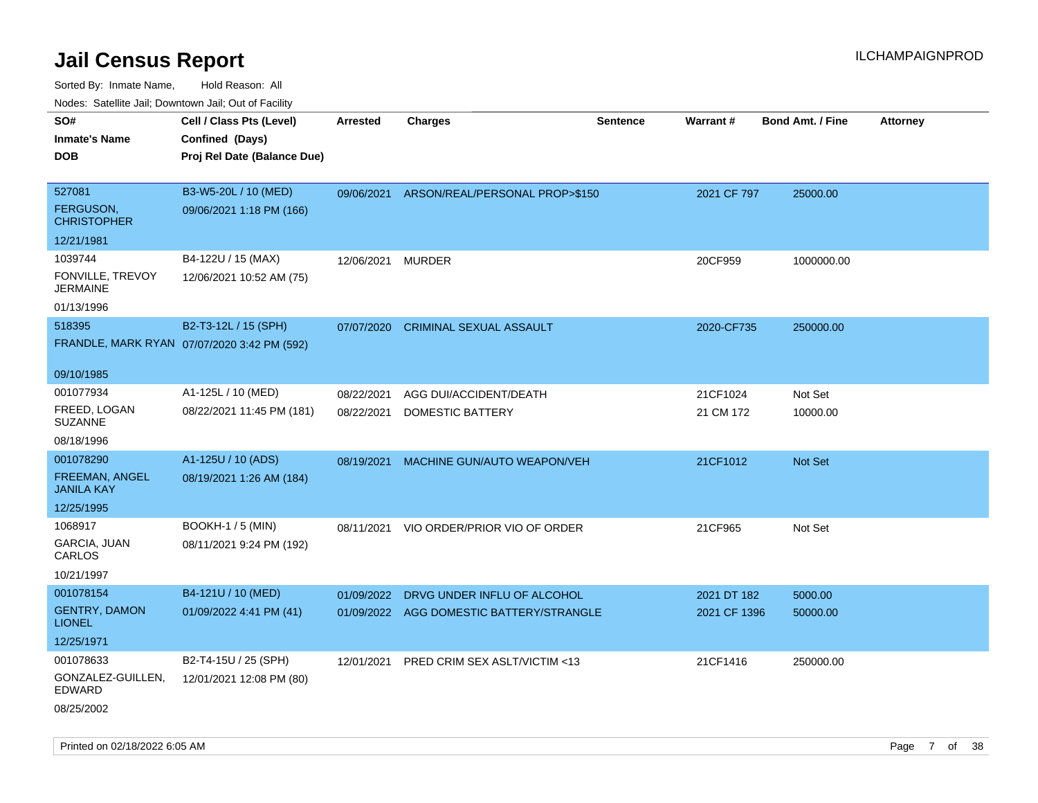| rouco. Calcinic Jan, Downtown Jan, Out of Facility |                                             |                 |                                           |                 |              |                         |                 |
|----------------------------------------------------|---------------------------------------------|-----------------|-------------------------------------------|-----------------|--------------|-------------------------|-----------------|
| SO#                                                | Cell / Class Pts (Level)                    | <b>Arrested</b> | <b>Charges</b>                            | <b>Sentence</b> | Warrant#     | <b>Bond Amt. / Fine</b> | <b>Attorney</b> |
| Inmate's Name                                      | Confined (Days)                             |                 |                                           |                 |              |                         |                 |
| <b>DOB</b>                                         | Proj Rel Date (Balance Due)                 |                 |                                           |                 |              |                         |                 |
|                                                    |                                             |                 |                                           |                 |              |                         |                 |
| 527081                                             | B3-W5-20L / 10 (MED)                        |                 | 09/06/2021 ARSON/REAL/PERSONAL PROP>\$150 |                 | 2021 CF 797  | 25000.00                |                 |
| FERGUSON,<br><b>CHRISTOPHER</b>                    | 09/06/2021 1:18 PM (166)                    |                 |                                           |                 |              |                         |                 |
| 12/21/1981                                         |                                             |                 |                                           |                 |              |                         |                 |
| 1039744                                            | B4-122U / 15 (MAX)                          | 12/06/2021      | <b>MURDER</b>                             |                 | 20CF959      | 1000000.00              |                 |
| FONVILLE, TREVOY<br><b>JERMAINE</b>                | 12/06/2021 10:52 AM (75)                    |                 |                                           |                 |              |                         |                 |
| 01/13/1996                                         |                                             |                 |                                           |                 |              |                         |                 |
| 518395                                             | B2-T3-12L / 15 (SPH)                        | 07/07/2020      | <b>CRIMINAL SEXUAL ASSAULT</b>            |                 | 2020-CF735   | 250000.00               |                 |
|                                                    | FRANDLE, MARK RYAN 07/07/2020 3:42 PM (592) |                 |                                           |                 |              |                         |                 |
| 09/10/1985                                         |                                             |                 |                                           |                 |              |                         |                 |
| 001077934                                          | A1-125L / 10 (MED)                          | 08/22/2021      | AGG DUI/ACCIDENT/DEATH                    |                 | 21CF1024     | Not Set                 |                 |
| FREED, LOGAN<br>SUZANNE                            | 08/22/2021 11:45 PM (181)                   | 08/22/2021      | <b>DOMESTIC BATTERY</b>                   |                 | 21 CM 172    | 10000.00                |                 |
| 08/18/1996                                         |                                             |                 |                                           |                 |              |                         |                 |
| 001078290                                          | A1-125U / 10 (ADS)                          | 08/19/2021      | MACHINE GUN/AUTO WEAPON/VEH               |                 | 21CF1012     | <b>Not Set</b>          |                 |
| FREEMAN, ANGEL<br><b>JANILA KAY</b>                | 08/19/2021 1:26 AM (184)                    |                 |                                           |                 |              |                         |                 |
| 12/25/1995                                         |                                             |                 |                                           |                 |              |                         |                 |
| 1068917                                            | <b>BOOKH-1 / 5 (MIN)</b>                    | 08/11/2021      | VIO ORDER/PRIOR VIO OF ORDER              |                 | 21CF965      | Not Set                 |                 |
| GARCIA, JUAN<br>CARLOS                             | 08/11/2021 9:24 PM (192)                    |                 |                                           |                 |              |                         |                 |
| 10/21/1997                                         |                                             |                 |                                           |                 |              |                         |                 |
| 001078154                                          | B4-121U / 10 (MED)                          | 01/09/2022      | DRVG UNDER INFLU OF ALCOHOL               |                 | 2021 DT 182  | 5000.00                 |                 |
| <b>GENTRY, DAMON</b><br><b>LIONEL</b>              | 01/09/2022 4:41 PM (41)                     |                 | 01/09/2022 AGG DOMESTIC BATTERY/STRANGLE  |                 | 2021 CF 1396 | 50000.00                |                 |
| 12/25/1971                                         |                                             |                 |                                           |                 |              |                         |                 |
| 001078633                                          | B2-T4-15U / 25 (SPH)                        | 12/01/2021      | PRED CRIM SEX ASLT/VICTIM <13             |                 | 21CF1416     | 250000.00               |                 |
| GONZALEZ-GUILLEN,<br>EDWARD                        | 12/01/2021 12:08 PM (80)                    |                 |                                           |                 |              |                         |                 |
| 08/25/2002                                         |                                             |                 |                                           |                 |              |                         |                 |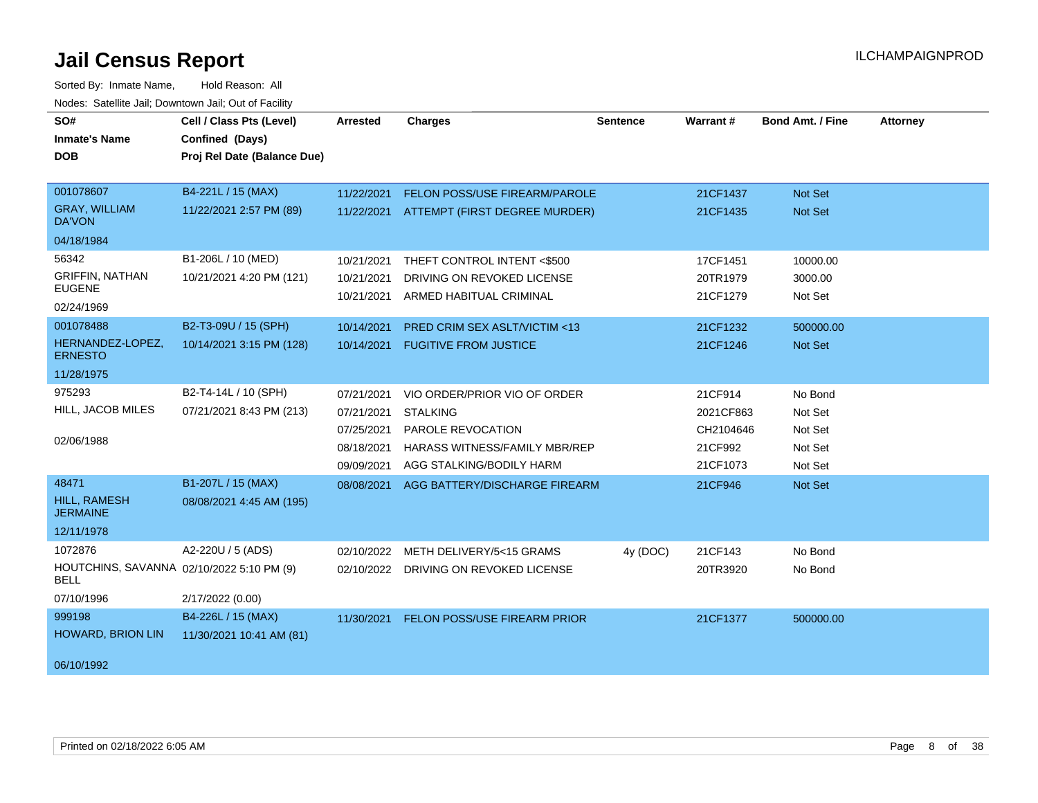| SO#                                                      | Cell / Class Pts (Level)    | <b>Arrested</b> | <b>Charges</b>                          | Sentence | Warrant#  | <b>Bond Amt. / Fine</b> | <b>Attorney</b> |
|----------------------------------------------------------|-----------------------------|-----------------|-----------------------------------------|----------|-----------|-------------------------|-----------------|
| <b>Inmate's Name</b>                                     | Confined (Days)             |                 |                                         |          |           |                         |                 |
| <b>DOB</b>                                               | Proj Rel Date (Balance Due) |                 |                                         |          |           |                         |                 |
|                                                          |                             |                 |                                         |          |           |                         |                 |
| 001078607                                                | B4-221L / 15 (MAX)          | 11/22/2021      | FELON POSS/USE FIREARM/PAROLE           |          | 21CF1437  | Not Set                 |                 |
| <b>GRAY, WILLIAM</b><br>DA'VON                           | 11/22/2021 2:57 PM (89)     | 11/22/2021      | ATTEMPT (FIRST DEGREE MURDER)           |          | 21CF1435  | Not Set                 |                 |
| 04/18/1984                                               |                             |                 |                                         |          |           |                         |                 |
| 56342                                                    | B1-206L / 10 (MED)          | 10/21/2021      | THEFT CONTROL INTENT <\$500             |          | 17CF1451  | 10000.00                |                 |
| <b>GRIFFIN, NATHAN</b>                                   | 10/21/2021 4:20 PM (121)    | 10/21/2021      | DRIVING ON REVOKED LICENSE              |          | 20TR1979  | 3000.00                 |                 |
| <b>EUGENE</b>                                            |                             | 10/21/2021      | ARMED HABITUAL CRIMINAL                 |          | 21CF1279  | Not Set                 |                 |
| 02/24/1969                                               |                             |                 |                                         |          |           |                         |                 |
| 001078488                                                | B2-T3-09U / 15 (SPH)        | 10/14/2021      | PRED CRIM SEX ASLT/VICTIM <13           |          | 21CF1232  | 500000.00               |                 |
| HERNANDEZ-LOPEZ,<br><b>ERNESTO</b>                       | 10/14/2021 3:15 PM (128)    | 10/14/2021      | <b>FUGITIVE FROM JUSTICE</b>            |          | 21CF1246  | Not Set                 |                 |
| 11/28/1975                                               |                             |                 |                                         |          |           |                         |                 |
| 975293                                                   | B2-T4-14L / 10 (SPH)        | 07/21/2021      | VIO ORDER/PRIOR VIO OF ORDER            |          | 21CF914   | No Bond                 |                 |
| HILL, JACOB MILES                                        | 07/21/2021 8:43 PM (213)    | 07/21/2021      | <b>STALKING</b>                         |          | 2021CF863 | Not Set                 |                 |
|                                                          |                             | 07/25/2021      | PAROLE REVOCATION                       |          | CH2104646 | Not Set                 |                 |
| 02/06/1988                                               |                             | 08/18/2021      | <b>HARASS WITNESS/FAMILY MBR/REP</b>    |          | 21CF992   | Not Set                 |                 |
|                                                          |                             | 09/09/2021      | AGG STALKING/BODILY HARM                |          | 21CF1073  | Not Set                 |                 |
| 48471                                                    | B1-207L / 15 (MAX)          | 08/08/2021      | AGG BATTERY/DISCHARGE FIREARM           |          | 21CF946   | Not Set                 |                 |
| <b>HILL, RAMESH</b><br><b>JERMAINE</b>                   | 08/08/2021 4:45 AM (195)    |                 |                                         |          |           |                         |                 |
| 12/11/1978                                               |                             |                 |                                         |          |           |                         |                 |
| 1072876                                                  | A2-220U / 5 (ADS)           | 02/10/2022      | METH DELIVERY/5<15 GRAMS                | 4y (DOC) | 21CF143   | No Bond                 |                 |
| HOUTCHINS, SAVANNA 02/10/2022 5:10 PM (9)<br><b>BELL</b> |                             |                 | 02/10/2022 DRIVING ON REVOKED LICENSE   |          | 20TR3920  | No Bond                 |                 |
| 07/10/1996                                               | 2/17/2022 (0.00)            |                 |                                         |          |           |                         |                 |
| 999198                                                   | B4-226L / 15 (MAX)          |                 | 11/30/2021 FELON POSS/USE FIREARM PRIOR |          | 21CF1377  | 500000.00               |                 |
| HOWARD, BRION LIN                                        | 11/30/2021 10:41 AM (81)    |                 |                                         |          |           |                         |                 |
| 06/10/1992                                               |                             |                 |                                         |          |           |                         |                 |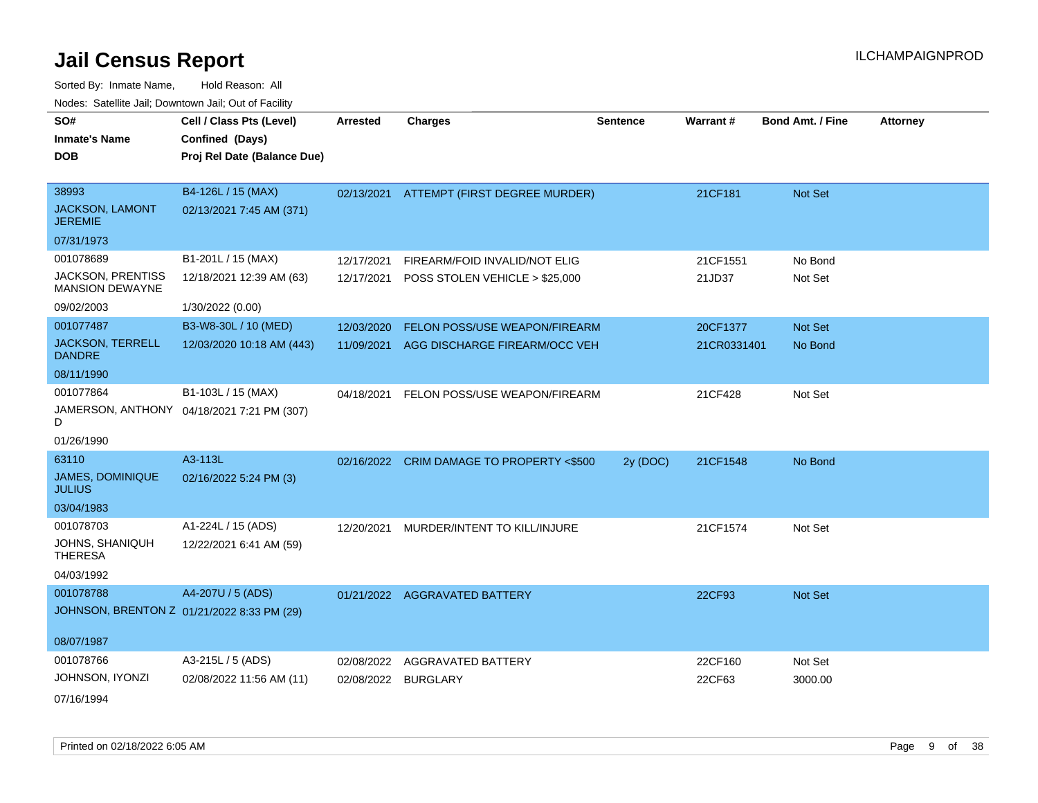| SO#                                                | Cell / Class Pts (Level)                   | <b>Arrested</b> | <b>Charges</b>                            | <b>Sentence</b> | Warrant#    | <b>Bond Amt. / Fine</b> | <b>Attorney</b> |
|----------------------------------------------------|--------------------------------------------|-----------------|-------------------------------------------|-----------------|-------------|-------------------------|-----------------|
| <b>Inmate's Name</b>                               | Confined (Days)                            |                 |                                           |                 |             |                         |                 |
| <b>DOB</b>                                         | Proj Rel Date (Balance Due)                |                 |                                           |                 |             |                         |                 |
|                                                    |                                            |                 |                                           |                 |             |                         |                 |
| 38993                                              | B4-126L / 15 (MAX)                         |                 | 02/13/2021 ATTEMPT (FIRST DEGREE MURDER)  |                 | 21CF181     | Not Set                 |                 |
| <b>JACKSON, LAMONT</b><br><b>JEREMIE</b>           | 02/13/2021 7:45 AM (371)                   |                 |                                           |                 |             |                         |                 |
| 07/31/1973                                         |                                            |                 |                                           |                 |             |                         |                 |
| 001078689                                          | B1-201L / 15 (MAX)                         | 12/17/2021      | FIREARM/FOID INVALID/NOT ELIG             |                 | 21CF1551    | No Bond                 |                 |
| <b>JACKSON, PRENTISS</b><br><b>MANSION DEWAYNE</b> | 12/18/2021 12:39 AM (63)                   | 12/17/2021      | POSS STOLEN VEHICLE > \$25,000            |                 | 21JD37      | Not Set                 |                 |
| 09/02/2003                                         | 1/30/2022 (0.00)                           |                 |                                           |                 |             |                         |                 |
| 001077487                                          | B3-W8-30L / 10 (MED)                       | 12/03/2020      | <b>FELON POSS/USE WEAPON/FIREARM</b>      |                 | 20CF1377    | <b>Not Set</b>          |                 |
| <b>JACKSON, TERRELL</b><br><b>DANDRE</b>           | 12/03/2020 10:18 AM (443)                  | 11/09/2021      | AGG DISCHARGE FIREARM/OCC VEH             |                 | 21CR0331401 | No Bond                 |                 |
| 08/11/1990                                         |                                            |                 |                                           |                 |             |                         |                 |
| 001077864                                          | B1-103L / 15 (MAX)                         | 04/18/2021      | FELON POSS/USE WEAPON/FIREARM             |                 | 21CF428     | Not Set                 |                 |
| D                                                  | JAMERSON, ANTHONY 04/18/2021 7:21 PM (307) |                 |                                           |                 |             |                         |                 |
| 01/26/1990                                         |                                            |                 |                                           |                 |             |                         |                 |
| 63110                                              | A3-113L                                    |                 | 02/16/2022 CRIM DAMAGE TO PROPERTY <\$500 | 2y (DOC)        | 21CF1548    | No Bond                 |                 |
| JAMES, DOMINIQUE<br><b>JULIUS</b>                  | 02/16/2022 5:24 PM (3)                     |                 |                                           |                 |             |                         |                 |
| 03/04/1983                                         |                                            |                 |                                           |                 |             |                         |                 |
| 001078703                                          | A1-224L / 15 (ADS)                         | 12/20/2021      | MURDER/INTENT TO KILL/INJURE              |                 | 21CF1574    | Not Set                 |                 |
| JOHNS, SHANIQUH<br><b>THERESA</b>                  | 12/22/2021 6:41 AM (59)                    |                 |                                           |                 |             |                         |                 |
| 04/03/1992                                         |                                            |                 |                                           |                 |             |                         |                 |
| 001078788                                          | A4-207U / 5 (ADS)                          |                 | 01/21/2022 AGGRAVATED BATTERY             |                 | 22CF93      | <b>Not Set</b>          |                 |
|                                                    | JOHNSON, BRENTON Z 01/21/2022 8:33 PM (29) |                 |                                           |                 |             |                         |                 |
|                                                    |                                            |                 |                                           |                 |             |                         |                 |
| 08/07/1987                                         |                                            |                 |                                           |                 |             |                         |                 |
| 001078766                                          | A3-215L / 5 (ADS)                          | 02/08/2022      | AGGRAVATED BATTERY                        |                 | 22CF160     | Not Set                 |                 |
| JOHNSON, IYONZI                                    | 02/08/2022 11:56 AM (11)                   | 02/08/2022      | <b>BURGLARY</b>                           |                 | 22CF63      | 3000.00                 |                 |
| 07/16/1994                                         |                                            |                 |                                           |                 |             |                         |                 |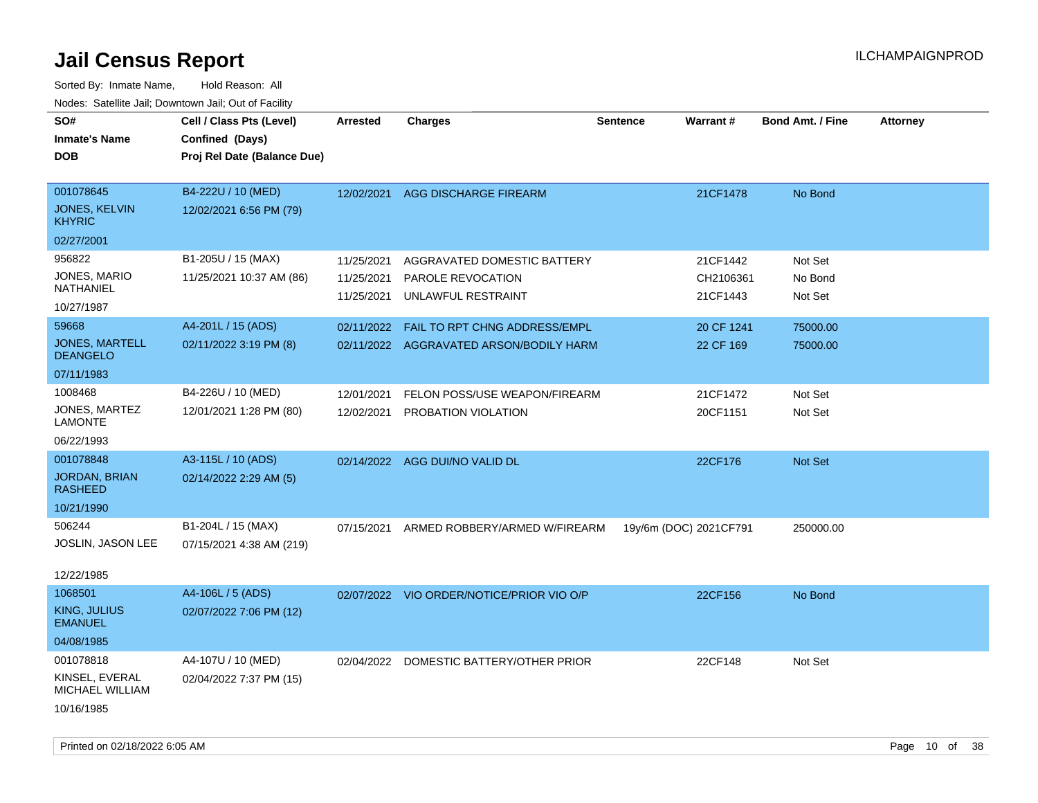| SO#<br><b>Inmate's Name</b><br><b>DOB</b>                    | Cell / Class Pts (Level)<br>Confined (Days)<br>Proj Rel Date (Balance Due) | Arrested                               | <b>Charges</b>                                                           | <b>Sentence</b>        | Warrant#                          | <b>Bond Amt. / Fine</b>       | <b>Attorney</b> |
|--------------------------------------------------------------|----------------------------------------------------------------------------|----------------------------------------|--------------------------------------------------------------------------|------------------------|-----------------------------------|-------------------------------|-----------------|
| 001078645<br><b>JONES, KELVIN</b><br><b>KHYRIC</b>           | B4-222U / 10 (MED)<br>12/02/2021 6:56 PM (79)                              | 12/02/2021                             | AGG DISCHARGE FIREARM                                                    |                        | 21CF1478                          | No Bond                       |                 |
| 02/27/2001                                                   |                                                                            |                                        |                                                                          |                        |                                   |                               |                 |
| 956822<br>JONES, MARIO<br>NATHANIEL<br>10/27/1987            | B1-205U / 15 (MAX)<br>11/25/2021 10:37 AM (86)                             | 11/25/2021<br>11/25/2021<br>11/25/2021 | AGGRAVATED DOMESTIC BATTERY<br>PAROLE REVOCATION<br>UNLAWFUL RESTRAINT   |                        | 21CF1442<br>CH2106361<br>21CF1443 | Not Set<br>No Bond<br>Not Set |                 |
| 59668<br><b>JONES, MARTELL</b><br><b>DEANGELO</b>            | A4-201L / 15 (ADS)<br>02/11/2022 3:19 PM (8)                               | 02/11/2022                             | FAIL TO RPT CHNG ADDRESS/EMPL<br>02/11/2022 AGGRAVATED ARSON/BODILY HARM |                        | 20 CF 1241<br>22 CF 169           | 75000.00<br>75000.00          |                 |
| 07/11/1983                                                   |                                                                            |                                        |                                                                          |                        |                                   |                               |                 |
| 1008468<br>JONES, MARTEZ<br><b>LAMONTE</b>                   | B4-226U / 10 (MED)<br>12/01/2021 1:28 PM (80)                              | 12/01/2021<br>12/02/2021               | FELON POSS/USE WEAPON/FIREARM<br>PROBATION VIOLATION                     |                        | 21CF1472<br>20CF1151              | Not Set<br>Not Set            |                 |
| 06/22/1993                                                   |                                                                            |                                        |                                                                          |                        |                                   |                               |                 |
| 001078848<br>JORDAN, BRIAN<br><b>RASHEED</b><br>10/21/1990   | A3-115L / 10 (ADS)<br>02/14/2022 2:29 AM (5)                               |                                        | 02/14/2022 AGG DUI/NO VALID DL                                           |                        | 22CF176                           | <b>Not Set</b>                |                 |
| 506244<br>JOSLIN, JASON LEE<br>12/22/1985                    | B1-204L / 15 (MAX)<br>07/15/2021 4:38 AM (219)                             | 07/15/2021                             | ARMED ROBBERY/ARMED W/FIREARM                                            | 19y/6m (DOC) 2021CF791 |                                   | 250000.00                     |                 |
| 1068501<br>KING, JULIUS<br><b>EMANUEL</b><br>04/08/1985      | A4-106L / 5 (ADS)<br>02/07/2022 7:06 PM (12)                               |                                        | 02/07/2022 VIO ORDER/NOTICE/PRIOR VIO O/P                                |                        | 22CF156                           | No Bond                       |                 |
| 001078818<br>KINSEL, EVERAL<br>MICHAEL WILLIAM<br>10/16/1985 | A4-107U / 10 (MED)<br>02/04/2022 7:37 PM (15)                              |                                        | 02/04/2022 DOMESTIC BATTERY/OTHER PRIOR                                  |                        | 22CF148                           | Not Set                       |                 |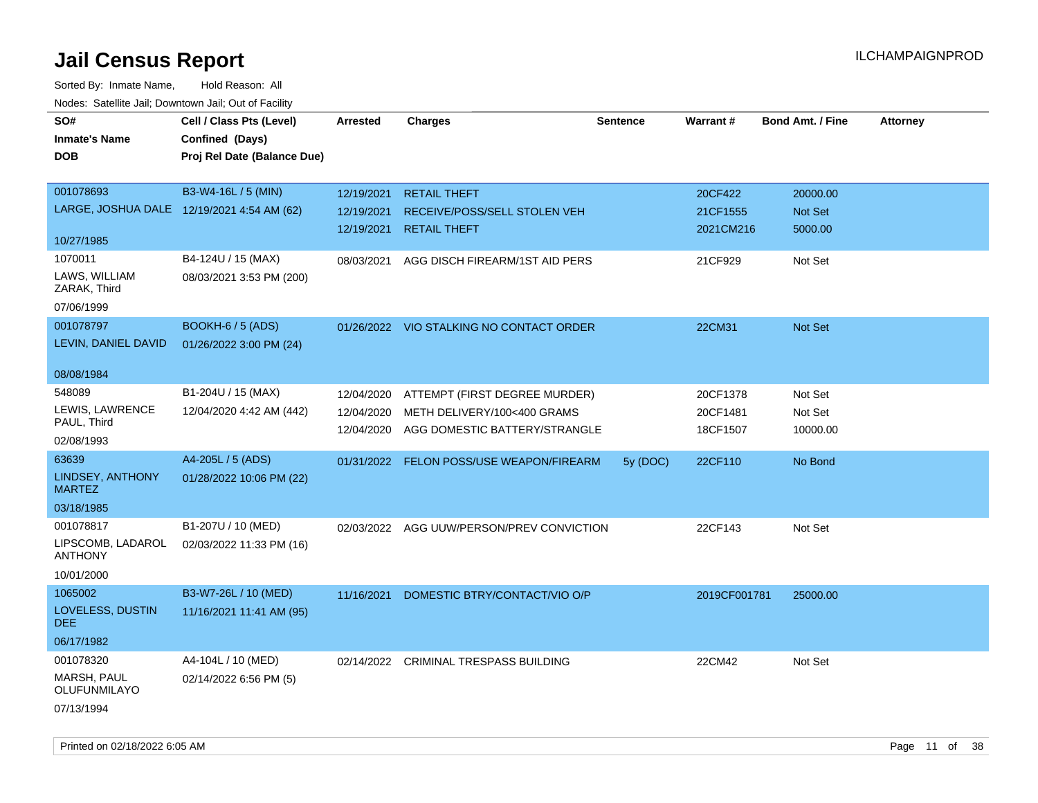| rouce. Calcillic Jali, Downtown Jali, Out of Facility |                             |                 |                                           |                 |                 |                         |                 |
|-------------------------------------------------------|-----------------------------|-----------------|-------------------------------------------|-----------------|-----------------|-------------------------|-----------------|
| SO#                                                   | Cell / Class Pts (Level)    | <b>Arrested</b> | <b>Charges</b>                            | <b>Sentence</b> | <b>Warrant#</b> | <b>Bond Amt. / Fine</b> | <b>Attorney</b> |
| <b>Inmate's Name</b>                                  | Confined (Days)             |                 |                                           |                 |                 |                         |                 |
| <b>DOB</b>                                            | Proj Rel Date (Balance Due) |                 |                                           |                 |                 |                         |                 |
|                                                       |                             |                 |                                           |                 |                 |                         |                 |
| 001078693                                             | B3-W4-16L / 5 (MIN)         | 12/19/2021      | <b>RETAIL THEFT</b>                       |                 | 20CF422         | 20000.00                |                 |
| LARGE, JOSHUA DALE 12/19/2021 4:54 AM (62)            |                             | 12/19/2021      | RECEIVE/POSS/SELL STOLEN VEH              |                 | 21CF1555        | <b>Not Set</b>          |                 |
|                                                       |                             | 12/19/2021      | <b>RETAIL THEFT</b>                       |                 | 2021CM216       | 5000.00                 |                 |
| 10/27/1985                                            |                             |                 |                                           |                 |                 |                         |                 |
| 1070011                                               | B4-124U / 15 (MAX)          | 08/03/2021      | AGG DISCH FIREARM/1ST AID PERS            |                 | 21CF929         | Not Set                 |                 |
| LAWS, WILLIAM<br>ZARAK, Third                         | 08/03/2021 3:53 PM (200)    |                 |                                           |                 |                 |                         |                 |
| 07/06/1999                                            |                             |                 |                                           |                 |                 |                         |                 |
| 001078797                                             | BOOKH-6 / 5 (ADS)           |                 | 01/26/2022 VIO STALKING NO CONTACT ORDER  |                 | 22CM31          | Not Set                 |                 |
| LEVIN, DANIEL DAVID                                   | 01/26/2022 3:00 PM (24)     |                 |                                           |                 |                 |                         |                 |
| 08/08/1984                                            |                             |                 |                                           |                 |                 |                         |                 |
| 548089                                                | B1-204U / 15 (MAX)          | 12/04/2020      | ATTEMPT (FIRST DEGREE MURDER)             |                 | 20CF1378        | Not Set                 |                 |
| LEWIS, LAWRENCE                                       | 12/04/2020 4:42 AM (442)    | 12/04/2020      | METH DELIVERY/100<400 GRAMS               |                 | 20CF1481        | Not Set                 |                 |
| PAUL, Third                                           |                             | 12/04/2020      | AGG DOMESTIC BATTERY/STRANGLE             |                 | 18CF1507        | 10000.00                |                 |
| 02/08/1993                                            |                             |                 |                                           |                 |                 |                         |                 |
| 63639                                                 | A4-205L / 5 (ADS)           |                 | 01/31/2022 FELON POSS/USE WEAPON/FIREARM  | 5y (DOC)        | 22CF110         | No Bond                 |                 |
| LINDSEY, ANTHONY<br><b>MARTEZ</b>                     | 01/28/2022 10:06 PM (22)    |                 |                                           |                 |                 |                         |                 |
| 03/18/1985                                            |                             |                 |                                           |                 |                 |                         |                 |
| 001078817                                             | B1-207U / 10 (MED)          |                 | 02/03/2022 AGG UUW/PERSON/PREV CONVICTION |                 | 22CF143         | Not Set                 |                 |
| LIPSCOMB, LADAROL<br><b>ANTHONY</b>                   | 02/03/2022 11:33 PM (16)    |                 |                                           |                 |                 |                         |                 |
| 10/01/2000                                            |                             |                 |                                           |                 |                 |                         |                 |
| 1065002                                               | B3-W7-26L / 10 (MED)        | 11/16/2021      | DOMESTIC BTRY/CONTACT/VIO O/P             |                 | 2019CF001781    | 25000.00                |                 |
| LOVELESS, DUSTIN<br>DEE.                              | 11/16/2021 11:41 AM (95)    |                 |                                           |                 |                 |                         |                 |
| 06/17/1982                                            |                             |                 |                                           |                 |                 |                         |                 |
| 001078320                                             | A4-104L / 10 (MED)          |                 | 02/14/2022 CRIMINAL TRESPASS BUILDING     |                 | 22CM42          | Not Set                 |                 |
| MARSH, PAUL<br>OLUFUNMILAYO                           | 02/14/2022 6:56 PM (5)      |                 |                                           |                 |                 |                         |                 |
| 07/13/1994                                            |                             |                 |                                           |                 |                 |                         |                 |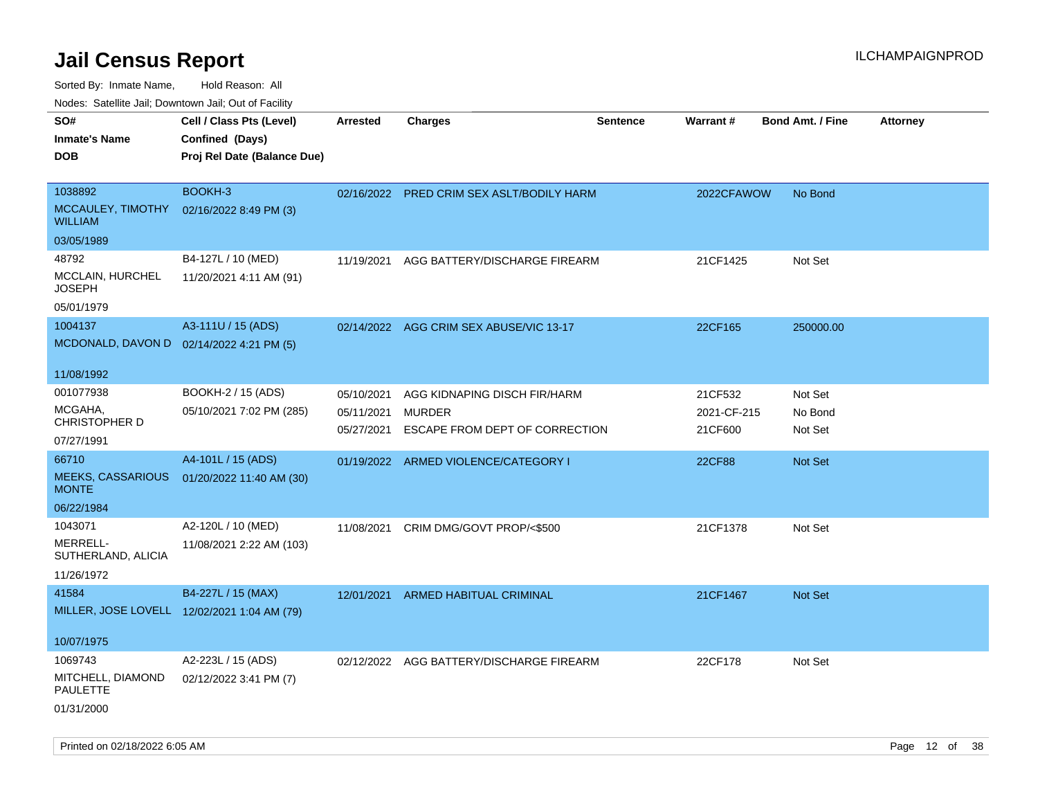| roaco. Catolino dall, Downtown dall, Out of Fability               |                                                                            |                                        |                                                                                 |                 |                                   |                               |                 |
|--------------------------------------------------------------------|----------------------------------------------------------------------------|----------------------------------------|---------------------------------------------------------------------------------|-----------------|-----------------------------------|-------------------------------|-----------------|
| SO#<br><b>Inmate's Name</b><br><b>DOB</b>                          | Cell / Class Pts (Level)<br>Confined (Days)<br>Proj Rel Date (Balance Due) | <b>Arrested</b>                        | <b>Charges</b>                                                                  | <b>Sentence</b> | Warrant#                          | <b>Bond Amt. / Fine</b>       | <b>Attorney</b> |
| 1038892<br>MCCAULEY, TIMOTHY<br><b>WILLIAM</b><br>03/05/1989       | BOOKH-3<br>02/16/2022 8:49 PM (3)                                          |                                        | 02/16/2022 PRED CRIM SEX ASLT/BODILY HARM                                       |                 | 2022CFAWOW                        | No Bond                       |                 |
| 48792<br>MCCLAIN, HURCHEL<br><b>JOSEPH</b><br>05/01/1979           | B4-127L / 10 (MED)<br>11/20/2021 4:11 AM (91)                              | 11/19/2021                             | AGG BATTERY/DISCHARGE FIREARM                                                   |                 | 21CF1425                          | Not Set                       |                 |
| 1004137<br>MCDONALD, DAVON D 02/14/2022 4:21 PM (5)<br>11/08/1992  | A3-111U / 15 (ADS)                                                         |                                        | 02/14/2022 AGG CRIM SEX ABUSE/VIC 13-17                                         |                 | 22CF165                           | 250000.00                     |                 |
| 001077938<br>MCGAHA,<br><b>CHRISTOPHER D</b><br>07/27/1991         | BOOKH-2 / 15 (ADS)<br>05/10/2021 7:02 PM (285)                             | 05/10/2021<br>05/11/2021<br>05/27/2021 | AGG KIDNAPING DISCH FIR/HARM<br><b>MURDER</b><br>ESCAPE FROM DEPT OF CORRECTION |                 | 21CF532<br>2021-CF-215<br>21CF600 | Not Set<br>No Bond<br>Not Set |                 |
| 66710<br><b>MEEKS, CASSARIOUS</b><br><b>MONTE</b><br>06/22/1984    | A4-101L / 15 (ADS)<br>01/20/2022 11:40 AM (30)                             |                                        | 01/19/2022 ARMED VIOLENCE/CATEGORY I                                            |                 | <b>22CF88</b>                     | Not Set                       |                 |
| 1043071<br>MERRELL-<br>SUTHERLAND, ALICIA<br>11/26/1972            | A2-120L / 10 (MED)<br>11/08/2021 2:22 AM (103)                             | 11/08/2021                             | CRIM DMG/GOVT PROP/<\$500                                                       |                 | 21CF1378                          | Not Set                       |                 |
| 41584<br>MILLER, JOSE LOVELL 12/02/2021 1:04 AM (79)<br>10/07/1975 | B4-227L / 15 (MAX)                                                         |                                        | 12/01/2021 ARMED HABITUAL CRIMINAL                                              |                 | 21CF1467                          | Not Set                       |                 |
| 1069743<br>MITCHELL, DIAMOND<br><b>PAULETTE</b><br>01/31/2000      | A2-223L / 15 (ADS)<br>02/12/2022 3:41 PM (7)                               |                                        | 02/12/2022 AGG BATTERY/DISCHARGE FIREARM                                        |                 | 22CF178                           | Not Set                       |                 |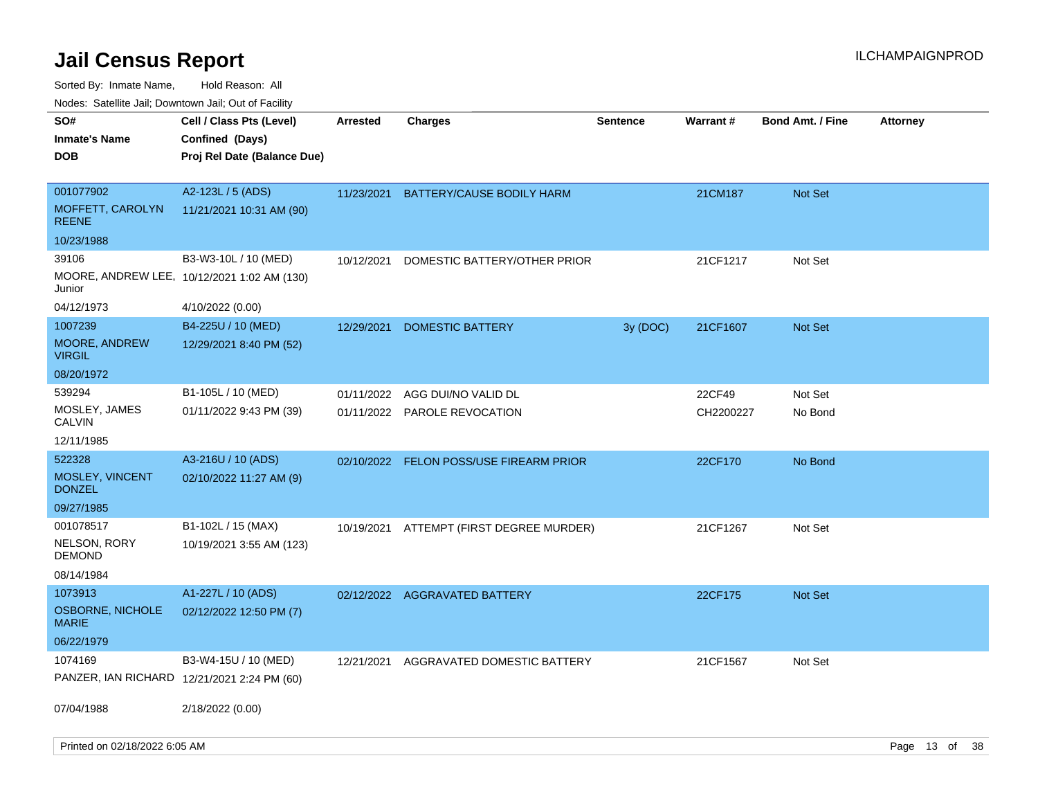Sorted By: Inmate Name, Hold Reason: All

Nodes: Satellite Jail; Downtown Jail; Out of Facility

| rouco. Calcinic Jan, Downtown Jan, Out of Facility |                                             |                 |                                         |                 |           |                         |                 |
|----------------------------------------------------|---------------------------------------------|-----------------|-----------------------------------------|-----------------|-----------|-------------------------|-----------------|
| SO#                                                | Cell / Class Pts (Level)                    | <b>Arrested</b> | <b>Charges</b>                          | <b>Sentence</b> | Warrant#  | <b>Bond Amt. / Fine</b> | <b>Attorney</b> |
| <b>Inmate's Name</b>                               | Confined (Days)                             |                 |                                         |                 |           |                         |                 |
| <b>DOB</b>                                         | Proj Rel Date (Balance Due)                 |                 |                                         |                 |           |                         |                 |
|                                                    |                                             |                 |                                         |                 |           |                         |                 |
| 001077902                                          | A2-123L / 5 (ADS)                           | 11/23/2021      | BATTERY/CAUSE BODILY HARM               |                 | 21CM187   | <b>Not Set</b>          |                 |
| MOFFETT, CAROLYN<br><b>REENE</b>                   | 11/21/2021 10:31 AM (90)                    |                 |                                         |                 |           |                         |                 |
| 10/23/1988                                         |                                             |                 |                                         |                 |           |                         |                 |
| 39106                                              | B3-W3-10L / 10 (MED)                        | 10/12/2021      | DOMESTIC BATTERY/OTHER PRIOR            |                 | 21CF1217  | Not Set                 |                 |
| Junior                                             | MOORE, ANDREW LEE, 10/12/2021 1:02 AM (130) |                 |                                         |                 |           |                         |                 |
| 04/12/1973                                         | 4/10/2022 (0.00)                            |                 |                                         |                 |           |                         |                 |
| 1007239                                            | B4-225U / 10 (MED)                          | 12/29/2021      | <b>DOMESTIC BATTERY</b>                 | 3y (DOC)        | 21CF1607  | <b>Not Set</b>          |                 |
| MOORE, ANDREW<br><b>VIRGIL</b>                     | 12/29/2021 8:40 PM (52)                     |                 |                                         |                 |           |                         |                 |
| 08/20/1972                                         |                                             |                 |                                         |                 |           |                         |                 |
| 539294                                             | B1-105L / 10 (MED)                          | 01/11/2022      | AGG DUI/NO VALID DL                     |                 | 22CF49    | Not Set                 |                 |
| MOSLEY, JAMES<br><b>CALVIN</b>                     | 01/11/2022 9:43 PM (39)                     |                 | 01/11/2022 PAROLE REVOCATION            |                 | CH2200227 | No Bond                 |                 |
| 12/11/1985                                         |                                             |                 |                                         |                 |           |                         |                 |
| 522328                                             | A3-216U / 10 (ADS)                          |                 | 02/10/2022 FELON POSS/USE FIREARM PRIOR |                 | 22CF170   | No Bond                 |                 |
| MOSLEY, VINCENT<br><b>DONZEL</b>                   | 02/10/2022 11:27 AM (9)                     |                 |                                         |                 |           |                         |                 |
| 09/27/1985                                         |                                             |                 |                                         |                 |           |                         |                 |
| 001078517                                          | B1-102L / 15 (MAX)                          | 10/19/2021      | ATTEMPT (FIRST DEGREE MURDER)           |                 | 21CF1267  | Not Set                 |                 |
| NELSON, RORY<br><b>DEMOND</b>                      | 10/19/2021 3:55 AM (123)                    |                 |                                         |                 |           |                         |                 |
| 08/14/1984                                         |                                             |                 |                                         |                 |           |                         |                 |
| 1073913                                            | A1-227L / 10 (ADS)                          |                 | 02/12/2022 AGGRAVATED BATTERY           |                 | 22CF175   | <b>Not Set</b>          |                 |
| OSBORNE, NICHOLE<br><b>MARIE</b>                   | 02/12/2022 12:50 PM (7)                     |                 |                                         |                 |           |                         |                 |
| 06/22/1979                                         |                                             |                 |                                         |                 |           |                         |                 |
| 1074169                                            | B3-W4-15U / 10 (MED)                        | 12/21/2021      | AGGRAVATED DOMESTIC BATTERY             |                 | 21CF1567  | Not Set                 |                 |
|                                                    | PANZER, IAN RICHARD 12/21/2021 2:24 PM (60) |                 |                                         |                 |           |                         |                 |
|                                                    |                                             |                 |                                         |                 |           |                         |                 |
| 07/04/1988                                         | 2/18/2022 (0.00)                            |                 |                                         |                 |           |                         |                 |
|                                                    |                                             |                 |                                         |                 |           |                         |                 |
|                                                    |                                             |                 |                                         |                 |           |                         |                 |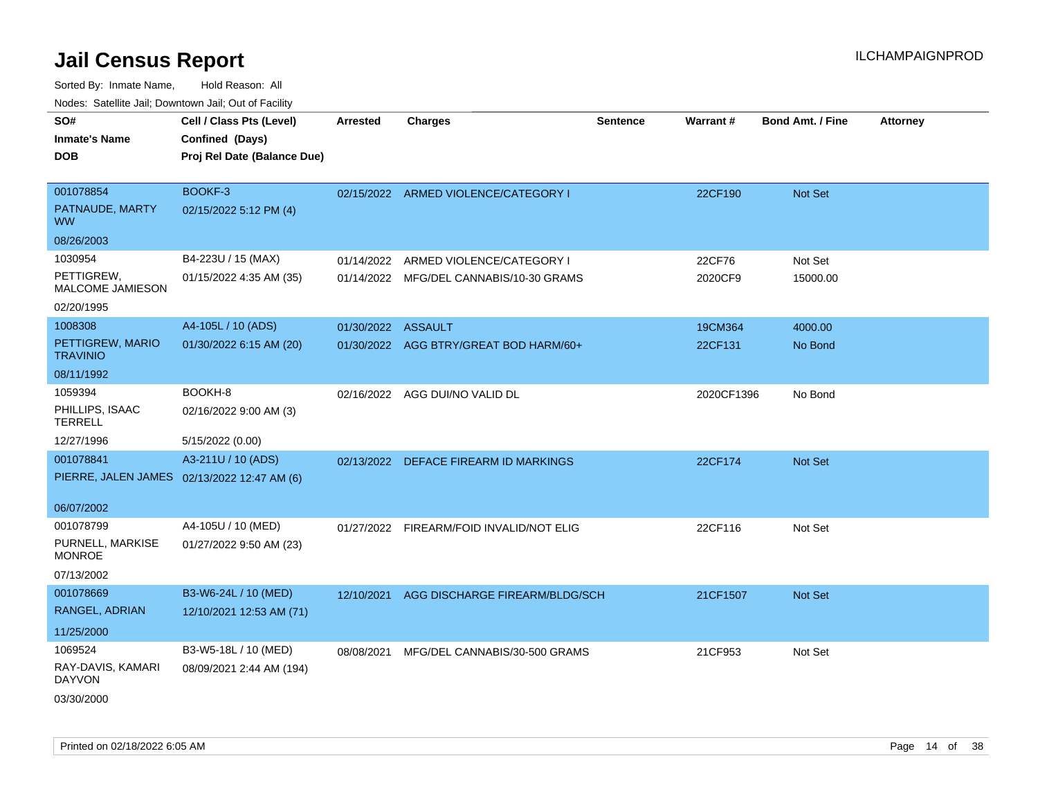| soupois catomic can, Dominomii can, Cat or Faomt<br>SO# | Cell / Class Pts (Level)                    | <b>Arrested</b>    | <b>Charges</b>                           | <b>Sentence</b> | Warrant#   | <b>Bond Amt. / Fine</b> | <b>Attorney</b> |
|---------------------------------------------------------|---------------------------------------------|--------------------|------------------------------------------|-----------------|------------|-------------------------|-----------------|
| <b>Inmate's Name</b>                                    | Confined (Days)                             |                    |                                          |                 |            |                         |                 |
| <b>DOB</b>                                              | Proj Rel Date (Balance Due)                 |                    |                                          |                 |            |                         |                 |
|                                                         |                                             |                    |                                          |                 |            |                         |                 |
| 001078854                                               | BOOKF-3                                     |                    | 02/15/2022 ARMED VIOLENCE/CATEGORY I     |                 | 22CF190    | Not Set                 |                 |
| PATNAUDE, MARTY<br><b>WW</b>                            | 02/15/2022 5:12 PM (4)                      |                    |                                          |                 |            |                         |                 |
| 08/26/2003                                              |                                             |                    |                                          |                 |            |                         |                 |
| 1030954                                                 | B4-223U / 15 (MAX)                          | 01/14/2022         | ARMED VIOLENCE/CATEGORY I                |                 | 22CF76     | Not Set                 |                 |
| PETTIGREW,<br>MALCOME JAMIESON                          | 01/15/2022 4:35 AM (35)                     |                    | 01/14/2022 MFG/DEL CANNABIS/10-30 GRAMS  |                 | 2020CF9    | 15000.00                |                 |
| 02/20/1995                                              |                                             |                    |                                          |                 |            |                         |                 |
| 1008308                                                 | A4-105L / 10 (ADS)                          | 01/30/2022 ASSAULT |                                          |                 | 19CM364    | 4000.00                 |                 |
| PETTIGREW, MARIO<br><b>TRAVINIO</b>                     | 01/30/2022 6:15 AM (20)                     |                    | 01/30/2022 AGG BTRY/GREAT BOD HARM/60+   |                 | 22CF131    | No Bond                 |                 |
| 08/11/1992                                              |                                             |                    |                                          |                 |            |                         |                 |
| 1059394                                                 | BOOKH-8                                     |                    | 02/16/2022 AGG DUI/NO VALID DL           |                 | 2020CF1396 | No Bond                 |                 |
| PHILLIPS, ISAAC<br><b>TERRELL</b>                       | 02/16/2022 9:00 AM (3)                      |                    |                                          |                 |            |                         |                 |
| 12/27/1996                                              | 5/15/2022 (0.00)                            |                    |                                          |                 |            |                         |                 |
| 001078841                                               | A3-211U / 10 (ADS)                          |                    | 02/13/2022 DEFACE FIREARM ID MARKINGS    |                 | 22CF174    | Not Set                 |                 |
|                                                         | PIERRE, JALEN JAMES 02/13/2022 12:47 AM (6) |                    |                                          |                 |            |                         |                 |
| 06/07/2002                                              |                                             |                    |                                          |                 |            |                         |                 |
| 001078799                                               | A4-105U / 10 (MED)                          |                    | 01/27/2022 FIREARM/FOID INVALID/NOT ELIG |                 | 22CF116    | Not Set                 |                 |
| PURNELL, MARKISE<br><b>MONROE</b>                       | 01/27/2022 9:50 AM (23)                     |                    |                                          |                 |            |                         |                 |
| 07/13/2002                                              |                                             |                    |                                          |                 |            |                         |                 |
| 001078669                                               | B3-W6-24L / 10 (MED)                        | 12/10/2021         | AGG DISCHARGE FIREARM/BLDG/SCH           |                 | 21CF1507   | Not Set                 |                 |
| RANGEL, ADRIAN                                          | 12/10/2021 12:53 AM (71)                    |                    |                                          |                 |            |                         |                 |
| 11/25/2000                                              |                                             |                    |                                          |                 |            |                         |                 |
| 1069524                                                 | B3-W5-18L / 10 (MED)                        | 08/08/2021         | MFG/DEL CANNABIS/30-500 GRAMS            |                 | 21CF953    | Not Set                 |                 |
| RAY-DAVIS, KAMARI<br><b>DAYVON</b>                      | 08/09/2021 2:44 AM (194)                    |                    |                                          |                 |            |                         |                 |
| 03/30/2000                                              |                                             |                    |                                          |                 |            |                         |                 |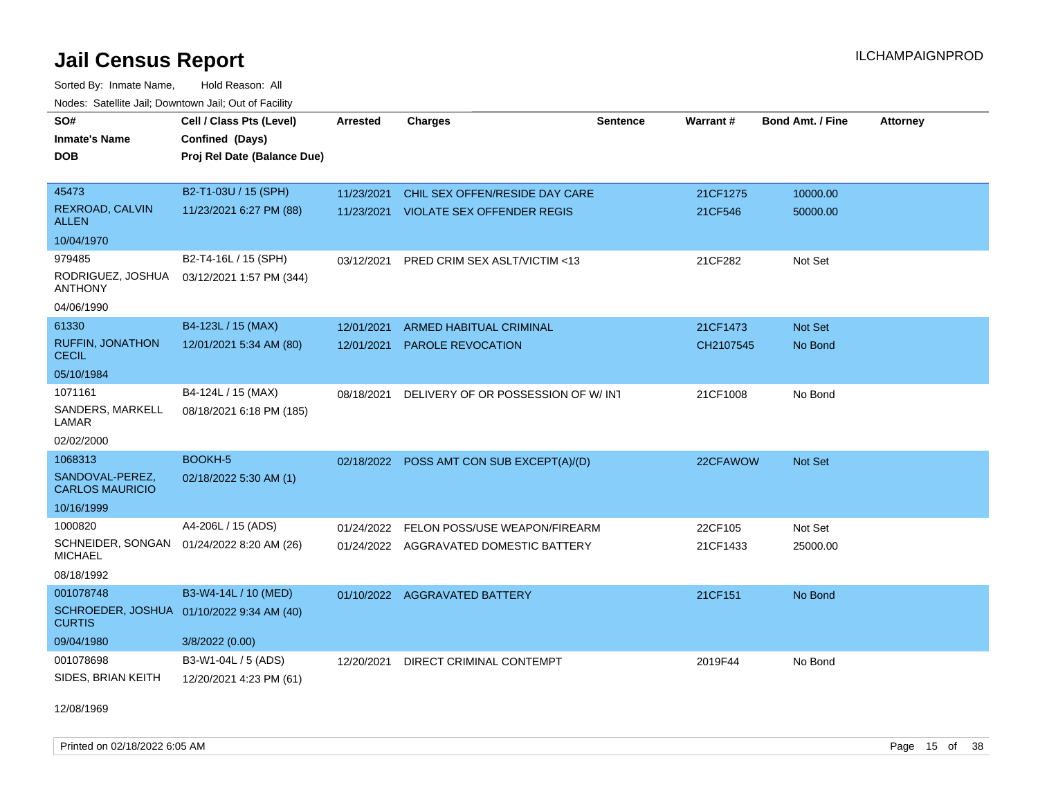Sorted By: Inmate Name, Hold Reason: All Nodes: Satellite Jail; Downtown Jail; Out of Facility

| SO#<br><b>Inmate's Name</b><br><b>DOB</b>                                             | Cell / Class Pts (Level)<br>Confined (Days)<br>Proj Rel Date (Balance Due) | <b>Arrested</b>          | <b>Charges</b>                                                          | <b>Sentence</b> | Warrant#            | <b>Bond Amt. / Fine</b> | <b>Attorney</b> |
|---------------------------------------------------------------------------------------|----------------------------------------------------------------------------|--------------------------|-------------------------------------------------------------------------|-----------------|---------------------|-------------------------|-----------------|
| 45473<br><b>REXROAD, CALVIN</b><br><b>ALLEN</b>                                       | B2-T1-03U / 15 (SPH)<br>11/23/2021 6:27 PM (88)                            | 11/23/2021<br>11/23/2021 | CHIL SEX OFFEN/RESIDE DAY CARE<br><b>VIOLATE SEX OFFENDER REGIS</b>     |                 | 21CF1275<br>21CF546 | 10000.00<br>50000.00    |                 |
| 10/04/1970                                                                            |                                                                            |                          |                                                                         |                 |                     |                         |                 |
| 979485<br>RODRIGUEZ, JOSHUA<br><b>ANTHONY</b><br>04/06/1990                           | B2-T4-16L / 15 (SPH)<br>03/12/2021 1:57 PM (344)                           | 03/12/2021               | PRED CRIM SEX ASLT/VICTIM <13                                           |                 | 21CF282             | Not Set                 |                 |
| 61330                                                                                 | B4-123L / 15 (MAX)                                                         | 12/01/2021               | <b>ARMED HABITUAL CRIMINAL</b>                                          |                 | 21CF1473            | <b>Not Set</b>          |                 |
| <b>RUFFIN, JONATHON</b><br><b>CECIL</b>                                               | 12/01/2021 5:34 AM (80)                                                    | 12/01/2021               | <b>PAROLE REVOCATION</b>                                                |                 | CH2107545           | No Bond                 |                 |
| 05/10/1984                                                                            |                                                                            |                          |                                                                         |                 |                     |                         |                 |
| 1071161<br>SANDERS, MARKELL<br>LAMAR<br>02/02/2000                                    | B4-124L / 15 (MAX)<br>08/18/2021 6:18 PM (185)                             | 08/18/2021               | DELIVERY OF OR POSSESSION OF W/ INT                                     |                 | 21CF1008            | No Bond                 |                 |
| 1068313                                                                               | BOOKH-5                                                                    |                          | 02/18/2022 POSS AMT CON SUB EXCEPT(A)/(D)                               |                 | 22CFAWOW            | <b>Not Set</b>          |                 |
| SANDOVAL-PEREZ,<br><b>CARLOS MAURICIO</b>                                             | 02/18/2022 5:30 AM (1)                                                     |                          |                                                                         |                 |                     |                         |                 |
| 10/16/1999                                                                            |                                                                            |                          |                                                                         |                 |                     |                         |                 |
| 1000820<br>SCHNEIDER, SONGAN<br><b>MICHAEL</b><br>08/18/1992                          | A4-206L / 15 (ADS)<br>01/24/2022 8:20 AM (26)                              | 01/24/2022               | FELON POSS/USE WEAPON/FIREARM<br>01/24/2022 AGGRAVATED DOMESTIC BATTERY |                 | 22CF105<br>21CF1433 | Not Set<br>25000.00     |                 |
| 001078748<br>SCHROEDER, JOSHUA 01/10/2022 9:34 AM (40)<br><b>CURTIS</b><br>09/04/1980 | B3-W4-14L / 10 (MED)<br>3/8/2022 (0.00)                                    |                          | 01/10/2022 AGGRAVATED BATTERY                                           |                 | 21CF151             | No Bond                 |                 |
| 001078698                                                                             | B3-W1-04L / 5 (ADS)                                                        | 12/20/2021               | DIRECT CRIMINAL CONTEMPT                                                |                 | 2019F44             | No Bond                 |                 |
| SIDES, BRIAN KEITH                                                                    | 12/20/2021 4:23 PM (61)                                                    |                          |                                                                         |                 |                     |                         |                 |

12/08/1969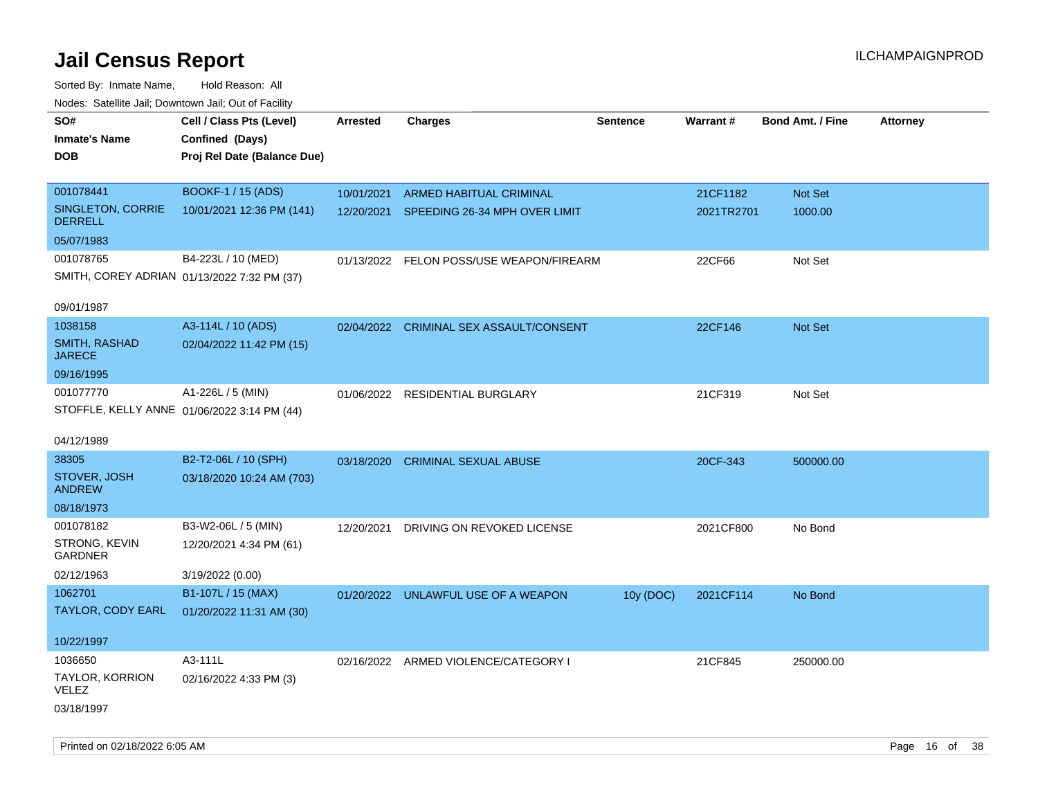| rouce. Calcillic Jali, Downtown Jali, Out of Facility |                             |                 |                                          |                 |                 |                         |                 |
|-------------------------------------------------------|-----------------------------|-----------------|------------------------------------------|-----------------|-----------------|-------------------------|-----------------|
| SO#                                                   | Cell / Class Pts (Level)    | <b>Arrested</b> | <b>Charges</b>                           | <b>Sentence</b> | <b>Warrant#</b> | <b>Bond Amt. / Fine</b> | <b>Attorney</b> |
| <b>Inmate's Name</b>                                  | Confined (Days)             |                 |                                          |                 |                 |                         |                 |
| <b>DOB</b>                                            | Proj Rel Date (Balance Due) |                 |                                          |                 |                 |                         |                 |
|                                                       |                             |                 |                                          |                 |                 |                         |                 |
| 001078441                                             | <b>BOOKF-1 / 15 (ADS)</b>   | 10/01/2021      | ARMED HABITUAL CRIMINAL                  |                 | 21CF1182        | Not Set                 |                 |
| SINGLETON, CORRIE<br><b>DERRELL</b>                   | 10/01/2021 12:36 PM (141)   |                 | 12/20/2021 SPEEDING 26-34 MPH OVER LIMIT |                 | 2021TR2701      | 1000.00                 |                 |
| 05/07/1983                                            |                             |                 |                                          |                 |                 |                         |                 |
| 001078765                                             | B4-223L / 10 (MED)          |                 | 01/13/2022 FELON POSS/USE WEAPON/FIREARM |                 | 22CF66          | Not Set                 |                 |
| SMITH, COREY ADRIAN 01/13/2022 7:32 PM (37)           |                             |                 |                                          |                 |                 |                         |                 |
|                                                       |                             |                 |                                          |                 |                 |                         |                 |
| 09/01/1987                                            |                             |                 |                                          |                 |                 |                         |                 |
| 1038158                                               | A3-114L / 10 (ADS)          |                 | 02/04/2022 CRIMINAL SEX ASSAULT/CONSENT  |                 | 22CF146         | Not Set                 |                 |
| SMITH, RASHAD<br><b>JARECE</b>                        | 02/04/2022 11:42 PM (15)    |                 |                                          |                 |                 |                         |                 |
| 09/16/1995                                            |                             |                 |                                          |                 |                 |                         |                 |
| 001077770                                             | A1-226L / 5 (MIN)           |                 | 01/06/2022 RESIDENTIAL BURGLARY          |                 | 21CF319         | Not Set                 |                 |
| STOFFLE, KELLY ANNE 01/06/2022 3:14 PM (44)           |                             |                 |                                          |                 |                 |                         |                 |
|                                                       |                             |                 |                                          |                 |                 |                         |                 |
| 04/12/1989                                            |                             |                 |                                          |                 |                 |                         |                 |
| 38305                                                 | B2-T2-06L / 10 (SPH)        | 03/18/2020      | <b>CRIMINAL SEXUAL ABUSE</b>             |                 | 20CF-343        | 500000.00               |                 |
| STOVER, JOSH<br><b>ANDREW</b>                         | 03/18/2020 10:24 AM (703)   |                 |                                          |                 |                 |                         |                 |
| 08/18/1973                                            |                             |                 |                                          |                 |                 |                         |                 |
| 001078182                                             | B3-W2-06L / 5 (MIN)         | 12/20/2021      | DRIVING ON REVOKED LICENSE               |                 | 2021CF800       | No Bond                 |                 |
| STRONG, KEVIN<br><b>GARDNER</b>                       | 12/20/2021 4:34 PM (61)     |                 |                                          |                 |                 |                         |                 |
| 02/12/1963                                            | 3/19/2022 (0.00)            |                 |                                          |                 |                 |                         |                 |
| 1062701                                               | B1-107L / 15 (MAX)          |                 | 01/20/2022 UNLAWFUL USE OF A WEAPON      | 10y (DOC)       | 2021CF114       | No Bond                 |                 |
| TAYLOR, CODY EARL                                     | 01/20/2022 11:31 AM (30)    |                 |                                          |                 |                 |                         |                 |
|                                                       |                             |                 |                                          |                 |                 |                         |                 |
| 10/22/1997                                            |                             |                 |                                          |                 |                 |                         |                 |
| 1036650                                               | A3-111L                     |                 | 02/16/2022 ARMED VIOLENCE/CATEGORY I     |                 | 21CF845         | 250000.00               |                 |
| TAYLOR, KORRION<br><b>VELEZ</b>                       | 02/16/2022 4:33 PM (3)      |                 |                                          |                 |                 |                         |                 |
| 03/18/1997                                            |                             |                 |                                          |                 |                 |                         |                 |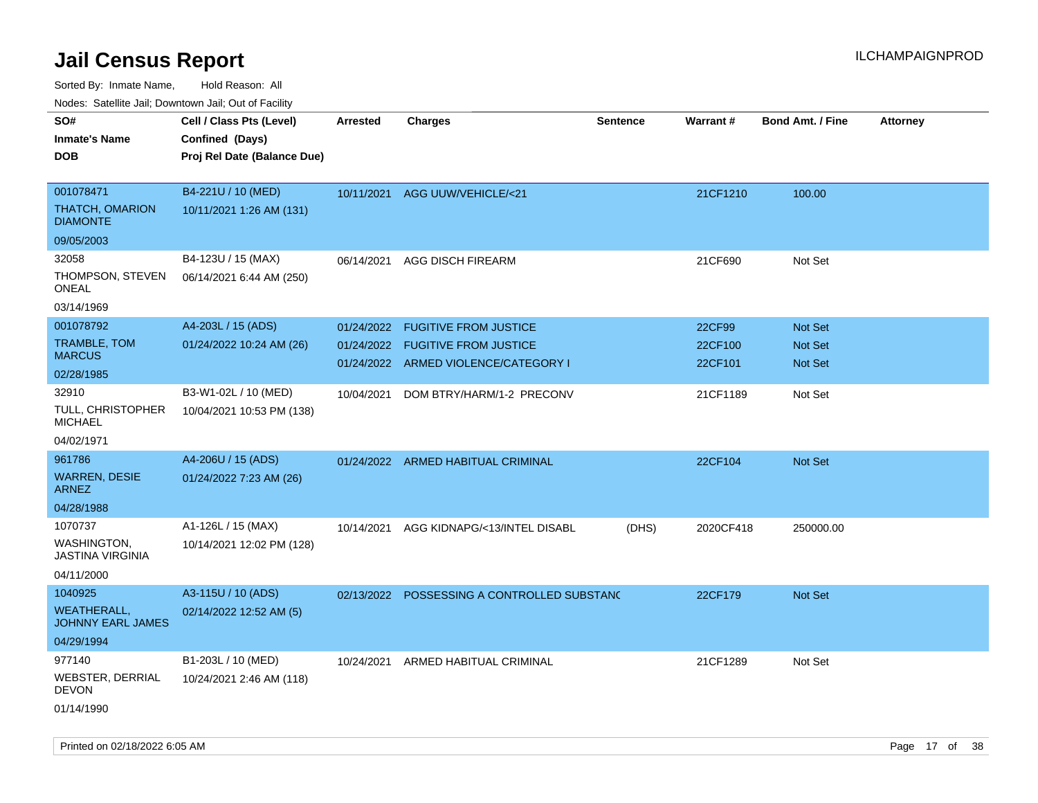Sorted By: Inmate Name, Hold Reason: All

Nodes: Satellite Jail; Downtown Jail; Out of Facility

| ivoues. Salellite Jali, Downtown Jali, Out of Facility |                             |            |                                             |                 |           |                         |                 |
|--------------------------------------------------------|-----------------------------|------------|---------------------------------------------|-----------------|-----------|-------------------------|-----------------|
| SO#                                                    | Cell / Class Pts (Level)    | Arrested   | <b>Charges</b>                              | <b>Sentence</b> | Warrant#  | <b>Bond Amt. / Fine</b> | <b>Attorney</b> |
| <b>Inmate's Name</b>                                   | Confined (Days)             |            |                                             |                 |           |                         |                 |
| <b>DOB</b>                                             | Proj Rel Date (Balance Due) |            |                                             |                 |           |                         |                 |
|                                                        |                             |            |                                             |                 |           |                         |                 |
| 001078471                                              | B4-221U / 10 (MED)          |            | 10/11/2021 AGG UUW/VEHICLE/<21              |                 | 21CF1210  | 100.00                  |                 |
| <b>THATCH, OMARION</b><br><b>DIAMONTE</b>              | 10/11/2021 1:26 AM (131)    |            |                                             |                 |           |                         |                 |
| 09/05/2003                                             |                             |            |                                             |                 |           |                         |                 |
| 32058                                                  | B4-123U / 15 (MAX)          | 06/14/2021 | <b>AGG DISCH FIREARM</b>                    |                 | 21CF690   | Not Set                 |                 |
| THOMPSON, STEVEN<br>ONEAL                              | 06/14/2021 6:44 AM (250)    |            |                                             |                 |           |                         |                 |
| 03/14/1969                                             |                             |            |                                             |                 |           |                         |                 |
| 001078792                                              | A4-203L / 15 (ADS)          | 01/24/2022 | <b>FUGITIVE FROM JUSTICE</b>                |                 | 22CF99    | Not Set                 |                 |
| TRAMBLE, TOM                                           | 01/24/2022 10:24 AM (26)    |            | 01/24/2022 FUGITIVE FROM JUSTICE            |                 | 22CF100   | Not Set                 |                 |
| <b>MARCUS</b>                                          |                             |            | 01/24/2022 ARMED VIOLENCE/CATEGORY I        |                 | 22CF101   | Not Set                 |                 |
| 02/28/1985                                             |                             |            |                                             |                 |           |                         |                 |
| 32910                                                  | B3-W1-02L / 10 (MED)        | 10/04/2021 | DOM BTRY/HARM/1-2 PRECONV                   |                 | 21CF1189  | Not Set                 |                 |
| TULL, CHRISTOPHER<br><b>MICHAEL</b>                    | 10/04/2021 10:53 PM (138)   |            |                                             |                 |           |                         |                 |
| 04/02/1971                                             |                             |            |                                             |                 |           |                         |                 |
| 961786                                                 | A4-206U / 15 (ADS)          |            | 01/24/2022 ARMED HABITUAL CRIMINAL          |                 | 22CF104   | <b>Not Set</b>          |                 |
| <b>WARREN, DESIE</b><br><b>ARNEZ</b>                   | 01/24/2022 7:23 AM (26)     |            |                                             |                 |           |                         |                 |
| 04/28/1988                                             |                             |            |                                             |                 |           |                         |                 |
| 1070737                                                | A1-126L / 15 (MAX)          | 10/14/2021 | AGG KIDNAPG/<13/INTEL DISABL                | (DHS)           | 2020CF418 | 250000.00               |                 |
| WASHINGTON,<br><b>JASTINA VIRGINIA</b>                 | 10/14/2021 12:02 PM (128)   |            |                                             |                 |           |                         |                 |
| 04/11/2000                                             |                             |            |                                             |                 |           |                         |                 |
| 1040925                                                | A3-115U / 10 (ADS)          |            | 02/13/2022 POSSESSING A CONTROLLED SUBSTANC |                 | 22CF179   | Not Set                 |                 |
| <b>WEATHERALL,</b><br><b>JOHNNY EARL JAMES</b>         | 02/14/2022 12:52 AM (5)     |            |                                             |                 |           |                         |                 |
| 04/29/1994                                             |                             |            |                                             |                 |           |                         |                 |
| 977140                                                 | B1-203L / 10 (MED)          | 10/24/2021 | ARMED HABITUAL CRIMINAL                     |                 | 21CF1289  | Not Set                 |                 |
| WEBSTER, DERRIAL<br><b>DEVON</b>                       | 10/24/2021 2:46 AM (118)    |            |                                             |                 |           |                         |                 |
| 01/14/1990                                             |                             |            |                                             |                 |           |                         |                 |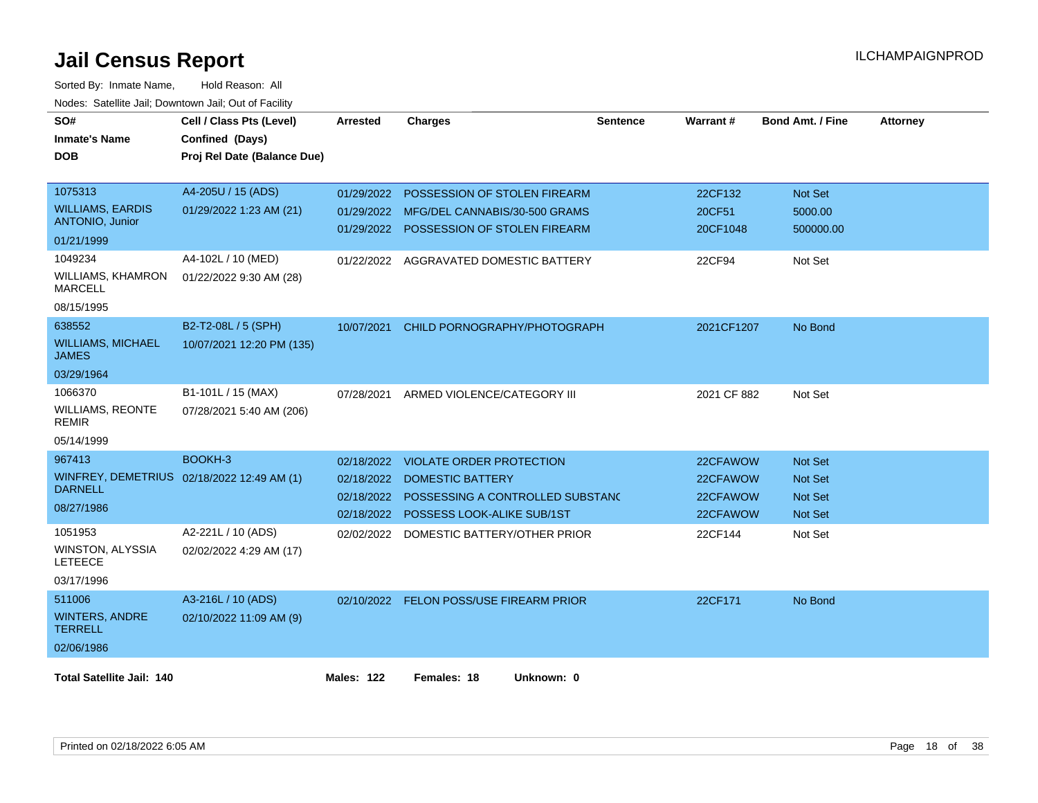| SO#                                        | Cell / Class Pts (Level)    | <b>Arrested</b>   | <b>Charges</b>                          | <b>Sentence</b> | <b>Warrant#</b> | <b>Bond Amt. / Fine</b> | <b>Attorney</b> |
|--------------------------------------------|-----------------------------|-------------------|-----------------------------------------|-----------------|-----------------|-------------------------|-----------------|
| <b>Inmate's Name</b>                       | Confined (Days)             |                   |                                         |                 |                 |                         |                 |
| <b>DOB</b>                                 | Proj Rel Date (Balance Due) |                   |                                         |                 |                 |                         |                 |
|                                            |                             |                   |                                         |                 |                 |                         |                 |
| 1075313                                    | A4-205U / 15 (ADS)          | 01/29/2022        | POSSESSION OF STOLEN FIREARM            |                 | 22CF132         | <b>Not Set</b>          |                 |
| <b>WILLIAMS, EARDIS</b>                    | 01/29/2022 1:23 AM (21)     | 01/29/2022        | MFG/DEL CANNABIS/30-500 GRAMS           |                 | 20CF51          | 5000.00                 |                 |
| <b>ANTONIO, Junior</b><br>01/21/1999       |                             | 01/29/2022        | POSSESSION OF STOLEN FIREARM            |                 | 20CF1048        | 500000.00               |                 |
|                                            |                             |                   |                                         |                 |                 |                         |                 |
| 1049234                                    | A4-102L / 10 (MED)          |                   | 01/22/2022 AGGRAVATED DOMESTIC BATTERY  |                 | 22CF94          | Not Set                 |                 |
| <b>WILLIAMS, KHAMRON</b><br><b>MARCELL</b> | 01/22/2022 9:30 AM (28)     |                   |                                         |                 |                 |                         |                 |
| 08/15/1995                                 |                             |                   |                                         |                 |                 |                         |                 |
| 638552                                     | B2-T2-08L / 5 (SPH)         | 10/07/2021        | CHILD PORNOGRAPHY/PHOTOGRAPH            |                 | 2021CF1207      | No Bond                 |                 |
| <b>WILLIAMS, MICHAEL</b><br>JAMES          | 10/07/2021 12:20 PM (135)   |                   |                                         |                 |                 |                         |                 |
| 03/29/1964                                 |                             |                   |                                         |                 |                 |                         |                 |
| 1066370                                    | B1-101L / 15 (MAX)          | 07/28/2021        | ARMED VIOLENCE/CATEGORY III             |                 | 2021 CF 882     | Not Set                 |                 |
| <b>WILLIAMS, REONTE</b><br><b>REMIR</b>    | 07/28/2021 5:40 AM (206)    |                   |                                         |                 |                 |                         |                 |
| 05/14/1999                                 |                             |                   |                                         |                 |                 |                         |                 |
| 967413                                     | BOOKH-3                     | 02/18/2022        | VIOLATE ORDER PROTECTION                |                 | 22CFAWOW        | <b>Not Set</b>          |                 |
| WINFREY, DEMETRIUS 02/18/2022 12:49 AM (1) |                             | 02/18/2022        | <b>DOMESTIC BATTERY</b>                 |                 | 22CFAWOW        | Not Set                 |                 |
| <b>DARNELL</b>                             |                             | 02/18/2022        | POSSESSING A CONTROLLED SUBSTAND        |                 | 22CFAWOW        | <b>Not Set</b>          |                 |
| 08/27/1986                                 |                             | 02/18/2022        | POSSESS LOOK-ALIKE SUB/1ST              |                 | 22CFAWOW        | <b>Not Set</b>          |                 |
| 1051953                                    | A2-221L / 10 (ADS)          |                   | 02/02/2022 DOMESTIC BATTERY/OTHER PRIOR |                 | 22CF144         | Not Set                 |                 |
| WINSTON, ALYSSIA<br><b>LETEECE</b>         | 02/02/2022 4:29 AM (17)     |                   |                                         |                 |                 |                         |                 |
| 03/17/1996                                 |                             |                   |                                         |                 |                 |                         |                 |
| 511006                                     | A3-216L / 10 (ADS)          |                   | 02/10/2022 FELON POSS/USE FIREARM PRIOR |                 | 22CF171         | No Bond                 |                 |
| <b>WINTERS, ANDRE</b><br><b>TERRELL</b>    | 02/10/2022 11:09 AM (9)     |                   |                                         |                 |                 |                         |                 |
| 02/06/1986                                 |                             |                   |                                         |                 |                 |                         |                 |
| <b>Total Satellite Jail: 140</b>           |                             | <b>Males: 122</b> | Females: 18<br>Unknown: 0               |                 |                 |                         |                 |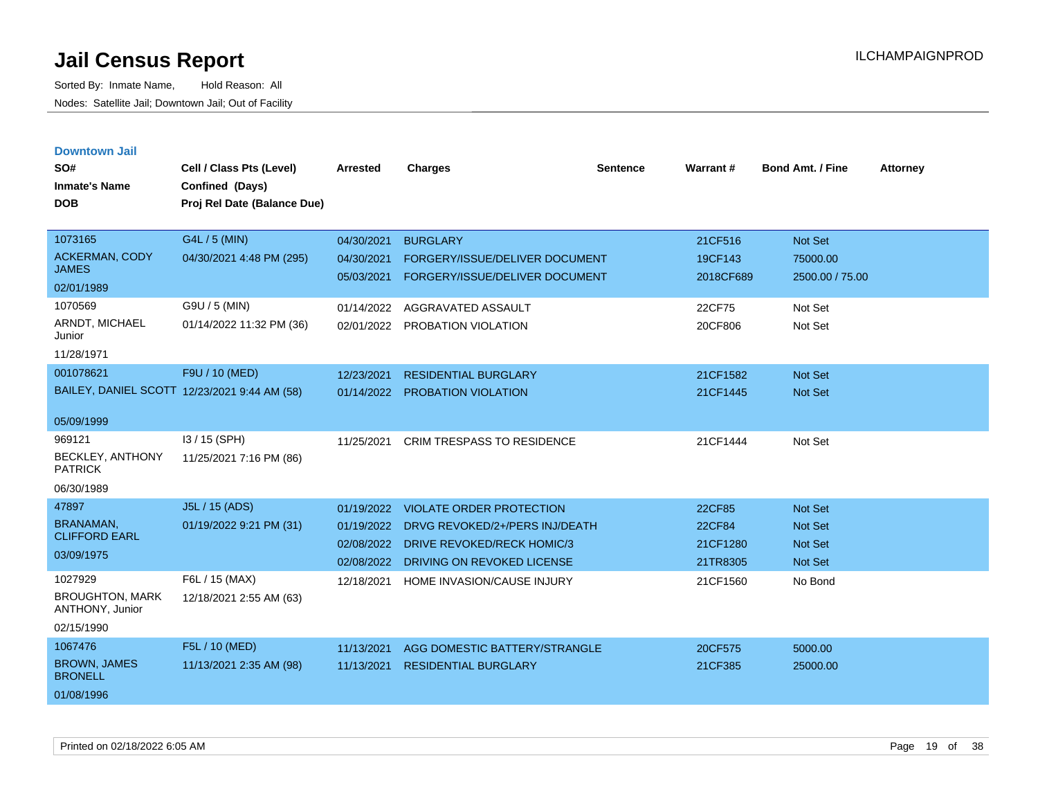| <b>Downtown Jail</b>                      |                                              |                 |                                   |                 |                 |                  |                 |
|-------------------------------------------|----------------------------------------------|-----------------|-----------------------------------|-----------------|-----------------|------------------|-----------------|
| SO#                                       | Cell / Class Pts (Level)                     | <b>Arrested</b> | <b>Charges</b>                    | <b>Sentence</b> | <b>Warrant#</b> | Bond Amt. / Fine | <b>Attorney</b> |
| <b>Inmate's Name</b>                      | Confined (Days)                              |                 |                                   |                 |                 |                  |                 |
| <b>DOB</b>                                | Proj Rel Date (Balance Due)                  |                 |                                   |                 |                 |                  |                 |
|                                           |                                              |                 |                                   |                 |                 |                  |                 |
| 1073165                                   | G4L / 5 (MIN)                                | 04/30/2021      | <b>BURGLARY</b>                   |                 | 21CF516         | Not Set          |                 |
| ACKERMAN, CODY                            | 04/30/2021 4:48 PM (295)                     | 04/30/2021      | FORGERY/ISSUE/DELIVER DOCUMENT    |                 | 19CF143         | 75000.00         |                 |
| <b>JAMES</b>                              |                                              | 05/03/2021      | FORGERY/ISSUE/DELIVER DOCUMENT    |                 | 2018CF689       | 2500.00 / 75.00  |                 |
| 02/01/1989                                |                                              |                 |                                   |                 |                 |                  |                 |
| 1070569                                   | G9U / 5 (MIN)                                | 01/14/2022      | AGGRAVATED ASSAULT                |                 | 22CF75          | Not Set          |                 |
| ARNDT, MICHAEL<br>Junior                  | 01/14/2022 11:32 PM (36)                     | 02/01/2022      | PROBATION VIOLATION               |                 | 20CF806         | Not Set          |                 |
| 11/28/1971                                |                                              |                 |                                   |                 |                 |                  |                 |
| 001078621                                 | F9U / 10 (MED)                               | 12/23/2021      | <b>RESIDENTIAL BURGLARY</b>       |                 | 21CF1582        | <b>Not Set</b>   |                 |
|                                           | BAILEY, DANIEL SCOTT 12/23/2021 9:44 AM (58) | 01/14/2022      | <b>PROBATION VIOLATION</b>        |                 | 21CF1445        | <b>Not Set</b>   |                 |
|                                           |                                              |                 |                                   |                 |                 |                  |                 |
| 05/09/1999                                |                                              |                 |                                   |                 |                 |                  |                 |
| 969121                                    | I3 / 15 (SPH)                                | 11/25/2021      | <b>CRIM TRESPASS TO RESIDENCE</b> |                 | 21CF1444        | Not Set          |                 |
| <b>BECKLEY, ANTHONY</b><br><b>PATRICK</b> | 11/25/2021 7:16 PM (86)                      |                 |                                   |                 |                 |                  |                 |
| 06/30/1989                                |                                              |                 |                                   |                 |                 |                  |                 |
| 47897                                     | J5L / 15 (ADS)                               | 01/19/2022      | <b>VIOLATE ORDER PROTECTION</b>   |                 | 22CF85          | <b>Not Set</b>   |                 |
| <b>BRANAMAN,</b>                          | 01/19/2022 9:21 PM (31)                      | 01/19/2022      | DRVG REVOKED/2+/PERS INJ/DEATH    |                 | 22CF84          | <b>Not Set</b>   |                 |
| <b>CLIFFORD EARL</b>                      |                                              | 02/08/2022      | <b>DRIVE REVOKED/RECK HOMIC/3</b> |                 | 21CF1280        | <b>Not Set</b>   |                 |
| 03/09/1975                                |                                              | 02/08/2022      | DRIVING ON REVOKED LICENSE        |                 | 21TR8305        | <b>Not Set</b>   |                 |
| 1027929                                   | F6L / 15 (MAX)                               | 12/18/2021      | HOME INVASION/CAUSE INJURY        |                 | 21CF1560        | No Bond          |                 |
| <b>BROUGHTON, MARK</b><br>ANTHONY, Junior | 12/18/2021 2:55 AM (63)                      |                 |                                   |                 |                 |                  |                 |
| 02/15/1990                                |                                              |                 |                                   |                 |                 |                  |                 |
| 1067476                                   | F5L / 10 (MED)                               | 11/13/2021      | AGG DOMESTIC BATTERY/STRANGLE     |                 | 20CF575         | 5000.00          |                 |
| <b>BROWN, JAMES</b><br><b>BRONELL</b>     | 11/13/2021 2:35 AM (98)                      | 11/13/2021      | <b>RESIDENTIAL BURGLARY</b>       |                 | 21CF385         | 25000.00         |                 |
| 01/08/1996                                |                                              |                 |                                   |                 |                 |                  |                 |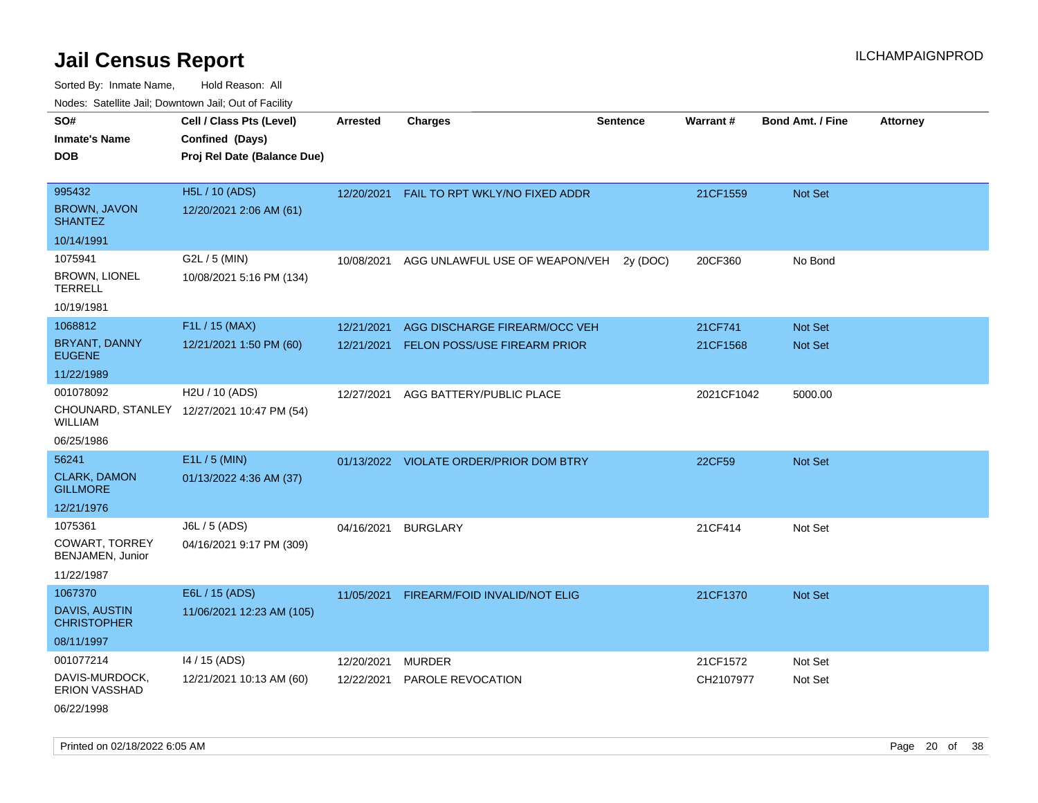| SO#                                        | Cell / Class Pts (Level)                   | Arrested   | <b>Charges</b>                          | <b>Sentence</b> | Warrant#   | <b>Bond Amt. / Fine</b> | <b>Attorney</b> |
|--------------------------------------------|--------------------------------------------|------------|-----------------------------------------|-----------------|------------|-------------------------|-----------------|
| <b>Inmate's Name</b>                       | Confined (Days)                            |            |                                         |                 |            |                         |                 |
| <b>DOB</b>                                 | Proj Rel Date (Balance Due)                |            |                                         |                 |            |                         |                 |
|                                            |                                            |            |                                         |                 |            |                         |                 |
| 995432                                     | <b>H5L / 10 (ADS)</b>                      | 12/20/2021 | FAIL TO RPT WKLY/NO FIXED ADDR          |                 | 21CF1559   | Not Set                 |                 |
| <b>BROWN, JAVON</b><br><b>SHANTEZ</b>      | 12/20/2021 2:06 AM (61)                    |            |                                         |                 |            |                         |                 |
| 10/14/1991                                 |                                            |            |                                         |                 |            |                         |                 |
| 1075941                                    | G2L / 5 (MIN)                              | 10/08/2021 | AGG UNLAWFUL USE OF WEAPON/VEH          | 2y(DOC)         | 20CF360    | No Bond                 |                 |
| <b>BROWN, LIONEL</b><br><b>TERRELL</b>     | 10/08/2021 5:16 PM (134)                   |            |                                         |                 |            |                         |                 |
| 10/19/1981                                 |                                            |            |                                         |                 |            |                         |                 |
| 1068812                                    | F1L / 15 (MAX)                             | 12/21/2021 | AGG DISCHARGE FIREARM/OCC VEH           |                 | 21CF741    | Not Set                 |                 |
| <b>BRYANT, DANNY</b><br><b>EUGENE</b>      | 12/21/2021 1:50 PM (60)                    | 12/21/2021 | FELON POSS/USE FIREARM PRIOR            |                 | 21CF1568   | Not Set                 |                 |
| 11/22/1989                                 |                                            |            |                                         |                 |            |                         |                 |
| 001078092                                  | H <sub>2</sub> U / 10 (ADS)                | 12/27/2021 | AGG BATTERY/PUBLIC PLACE                |                 | 2021CF1042 | 5000.00                 |                 |
| WILLIAM                                    | CHOUNARD, STANLEY 12/27/2021 10:47 PM (54) |            |                                         |                 |            |                         |                 |
| 06/25/1986                                 |                                            |            |                                         |                 |            |                         |                 |
| 56241                                      | E1L / 5 (MIN)                              |            | 01/13/2022 VIOLATE ORDER/PRIOR DOM BTRY |                 | 22CF59     | Not Set                 |                 |
| <b>CLARK, DAMON</b><br><b>GILLMORE</b>     | 01/13/2022 4:36 AM (37)                    |            |                                         |                 |            |                         |                 |
| 12/21/1976                                 |                                            |            |                                         |                 |            |                         |                 |
| 1075361                                    | J6L / 5 (ADS)                              | 04/16/2021 | <b>BURGLARY</b>                         |                 | 21CF414    | Not Set                 |                 |
| <b>COWART, TORREY</b><br>BENJAMEN, Junior  | 04/16/2021 9:17 PM (309)                   |            |                                         |                 |            |                         |                 |
| 11/22/1987                                 |                                            |            |                                         |                 |            |                         |                 |
| 1067370                                    | E6L / 15 (ADS)                             | 11/05/2021 | FIREARM/FOID INVALID/NOT ELIG           |                 | 21CF1370   | Not Set                 |                 |
| <b>DAVIS, AUSTIN</b><br><b>CHRISTOPHER</b> | 11/06/2021 12:23 AM (105)                  |            |                                         |                 |            |                         |                 |
| 08/11/1997                                 |                                            |            |                                         |                 |            |                         |                 |
| 001077214                                  | 14 / 15 (ADS)                              | 12/20/2021 | <b>MURDER</b>                           |                 | 21CF1572   | Not Set                 |                 |
| DAVIS-MURDOCK,<br><b>ERION VASSHAD</b>     | 12/21/2021 10:13 AM (60)                   | 12/22/2021 | <b>PAROLE REVOCATION</b>                |                 | CH2107977  | Not Set                 |                 |
| 06/22/1998                                 |                                            |            |                                         |                 |            |                         |                 |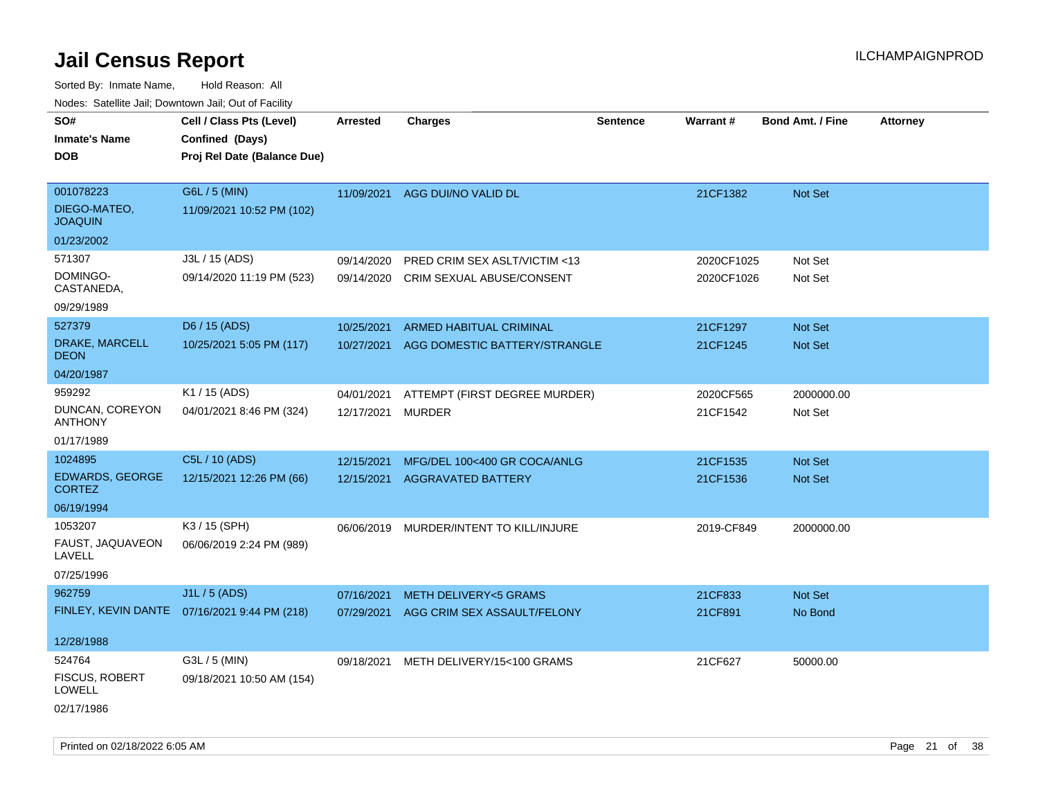Sorted By: Inmate Name, Hold Reason: All Nodes: Satellite Jail; Downtown Jail; Out of Facility

| SO#                                     | Cell / Class Pts (Level)                     | <b>Arrested</b>   | <b>Charges</b>                          | Sentence | Warrant#   | <b>Bond Amt. / Fine</b> | <b>Attorney</b> |
|-----------------------------------------|----------------------------------------------|-------------------|-----------------------------------------|----------|------------|-------------------------|-----------------|
| <b>Inmate's Name</b>                    | Confined (Days)                              |                   |                                         |          |            |                         |                 |
| <b>DOB</b>                              | Proj Rel Date (Balance Due)                  |                   |                                         |          |            |                         |                 |
|                                         |                                              |                   |                                         |          |            |                         |                 |
| 001078223                               | G6L / 5 (MIN)                                | 11/09/2021        | AGG DUI/NO VALID DL                     |          | 21CF1382   | Not Set                 |                 |
| DIEGO-MATEO,<br><b>JOAQUIN</b>          | 11/09/2021 10:52 PM (102)                    |                   |                                         |          |            |                         |                 |
| 01/23/2002                              |                                              |                   |                                         |          |            |                         |                 |
| 571307                                  | J3L / 15 (ADS)                               | 09/14/2020        | <b>PRED CRIM SEX ASLT/VICTIM &lt;13</b> |          | 2020CF1025 | Not Set                 |                 |
| DOMINGO-<br>CASTANEDA,                  | 09/14/2020 11:19 PM (523)                    |                   | 09/14/2020 CRIM SEXUAL ABUSE/CONSENT    |          | 2020CF1026 | Not Set                 |                 |
| 09/29/1989                              |                                              |                   |                                         |          |            |                         |                 |
| 527379                                  | D6 / 15 (ADS)                                | 10/25/2021        | ARMED HABITUAL CRIMINAL                 |          | 21CF1297   | <b>Not Set</b>          |                 |
| DRAKE, MARCELL<br><b>DEON</b>           | 10/25/2021 5:05 PM (117)                     | 10/27/2021        | AGG DOMESTIC BATTERY/STRANGLE           |          | 21CF1245   | <b>Not Set</b>          |                 |
| 04/20/1987                              |                                              |                   |                                         |          |            |                         |                 |
| 959292                                  | K1 / 15 (ADS)                                | 04/01/2021        | ATTEMPT (FIRST DEGREE MURDER)           |          | 2020CF565  | 2000000.00              |                 |
| DUNCAN, COREYON<br><b>ANTHONY</b>       | 04/01/2021 8:46 PM (324)                     | 12/17/2021 MURDER |                                         |          | 21CF1542   | Not Set                 |                 |
| 01/17/1989                              |                                              |                   |                                         |          |            |                         |                 |
| 1024895                                 | C5L / 10 (ADS)                               | 12/15/2021        | MFG/DEL 100<400 GR COCA/ANLG            |          | 21CF1535   | Not Set                 |                 |
| <b>EDWARDS, GEORGE</b><br><b>CORTEZ</b> | 12/15/2021 12:26 PM (66)                     | 12/15/2021        | <b>AGGRAVATED BATTERY</b>               |          | 21CF1536   | <b>Not Set</b>          |                 |
| 06/19/1994                              |                                              |                   |                                         |          |            |                         |                 |
| 1053207                                 | K3 / 15 (SPH)                                |                   | 06/06/2019 MURDER/INTENT TO KILL/INJURE |          | 2019-CF849 | 2000000.00              |                 |
| FAUST, JAQUAVEON<br>LAVELL              | 06/06/2019 2:24 PM (989)                     |                   |                                         |          |            |                         |                 |
| 07/25/1996                              |                                              |                   |                                         |          |            |                         |                 |
| 962759                                  | J1L / 5 (ADS)                                | 07/16/2021        | <b>METH DELIVERY&lt;5 GRAMS</b>         |          | 21CF833    | <b>Not Set</b>          |                 |
|                                         | FINLEY, KEVIN DANTE 07/16/2021 9:44 PM (218) | 07/29/2021        | AGG CRIM SEX ASSAULT/FELONY             |          | 21CF891    | No Bond                 |                 |
|                                         |                                              |                   |                                         |          |            |                         |                 |
| 12/28/1988                              |                                              |                   |                                         |          |            |                         |                 |
| 524764                                  | G3L / 5 (MIN)                                | 09/18/2021        | METH DELIVERY/15<100 GRAMS              |          | 21CF627    | 50000.00                |                 |
| <b>FISCUS, ROBERT</b><br>LOWELL         | 09/18/2021 10:50 AM (154)                    |                   |                                         |          |            |                         |                 |
| 02/17/1986                              |                                              |                   |                                         |          |            |                         |                 |

Printed on 02/18/2022 6:05 AM Page 21 of 38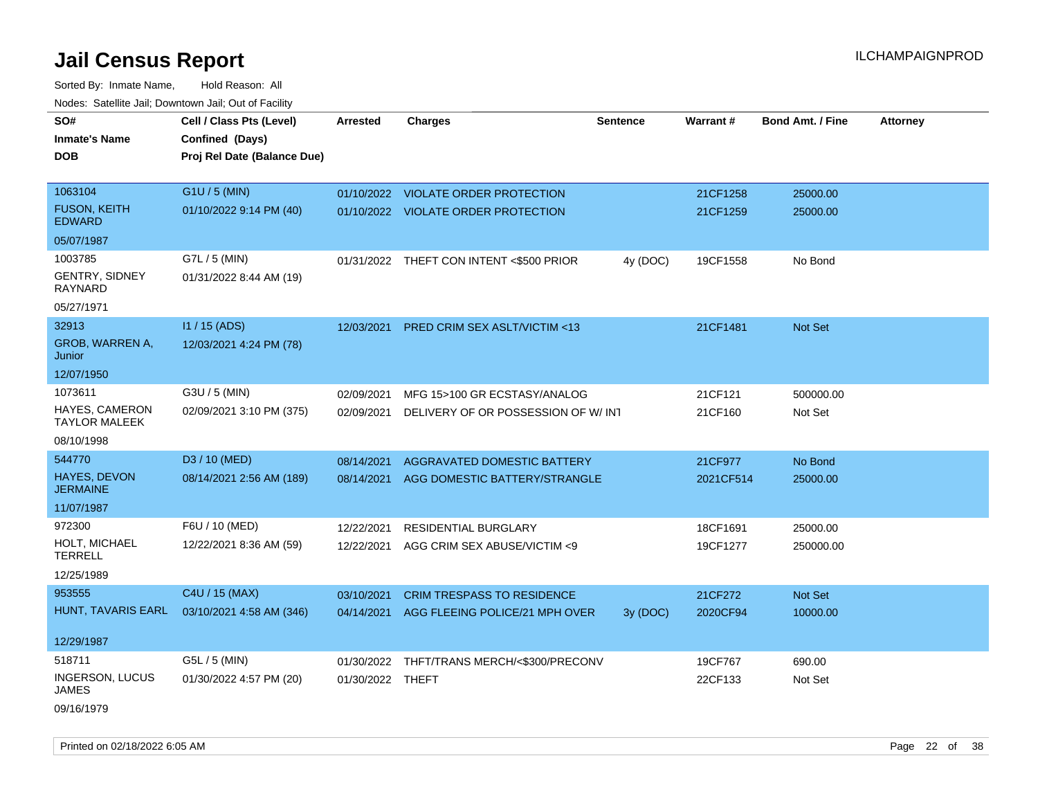| roaco. Oatomto dan, Downtown dan, Oat or Fability |                             |                  |                                          |                 |           |                         |                 |
|---------------------------------------------------|-----------------------------|------------------|------------------------------------------|-----------------|-----------|-------------------------|-----------------|
| SO#                                               | Cell / Class Pts (Level)    | <b>Arrested</b>  | <b>Charges</b>                           | <b>Sentence</b> | Warrant#  | <b>Bond Amt. / Fine</b> | <b>Attorney</b> |
| <b>Inmate's Name</b>                              | Confined (Days)             |                  |                                          |                 |           |                         |                 |
| <b>DOB</b>                                        | Proj Rel Date (Balance Due) |                  |                                          |                 |           |                         |                 |
|                                                   |                             |                  |                                          |                 |           |                         |                 |
| 1063104                                           | G1U / 5 (MIN)               |                  | 01/10/2022 VIOLATE ORDER PROTECTION      |                 | 21CF1258  | 25000.00                |                 |
| <b>FUSON, KEITH</b><br><b>EDWARD</b>              | 01/10/2022 9:14 PM (40)     |                  | 01/10/2022 VIOLATE ORDER PROTECTION      |                 | 21CF1259  | 25000.00                |                 |
| 05/07/1987                                        |                             |                  |                                          |                 |           |                         |                 |
| 1003785                                           | G7L / 5 (MIN)               |                  | 01/31/2022 THEFT CON INTENT <\$500 PRIOR | 4y (DOC)        | 19CF1558  | No Bond                 |                 |
| GENTRY, SIDNEY<br><b>RAYNARD</b>                  | 01/31/2022 8:44 AM (19)     |                  |                                          |                 |           |                         |                 |
| 05/27/1971                                        |                             |                  |                                          |                 |           |                         |                 |
| 32913                                             | I1 / 15 (ADS)               | 12/03/2021       | PRED CRIM SEX ASLT/VICTIM <13            |                 | 21CF1481  | Not Set                 |                 |
| GROB, WARREN A,<br>Junior                         | 12/03/2021 4:24 PM (78)     |                  |                                          |                 |           |                         |                 |
| 12/07/1950                                        |                             |                  |                                          |                 |           |                         |                 |
| 1073611                                           | G3U / 5 (MIN)               | 02/09/2021       | MFG 15>100 GR ECSTASY/ANALOG             |                 | 21CF121   | 500000.00               |                 |
| HAYES, CAMERON<br><b>TAYLOR MALEEK</b>            | 02/09/2021 3:10 PM (375)    | 02/09/2021       | DELIVERY OF OR POSSESSION OF W/INT       |                 | 21CF160   | Not Set                 |                 |
| 08/10/1998                                        |                             |                  |                                          |                 |           |                         |                 |
| 544770                                            | D3 / 10 (MED)               | 08/14/2021       | AGGRAVATED DOMESTIC BATTERY              |                 | 21CF977   | No Bond                 |                 |
| <b>HAYES, DEVON</b><br><b>JERMAINE</b>            | 08/14/2021 2:56 AM (189)    |                  | 08/14/2021 AGG DOMESTIC BATTERY/STRANGLE |                 | 2021CF514 | 25000.00                |                 |
| 11/07/1987                                        |                             |                  |                                          |                 |           |                         |                 |
| 972300                                            | F6U / 10 (MED)              | 12/22/2021       | <b>RESIDENTIAL BURGLARY</b>              |                 | 18CF1691  | 25000.00                |                 |
| HOLT, MICHAEL<br><b>TERRELL</b>                   | 12/22/2021 8:36 AM (59)     | 12/22/2021       | AGG CRIM SEX ABUSE/VICTIM <9             |                 | 19CF1277  | 250000.00               |                 |
| 12/25/1989                                        |                             |                  |                                          |                 |           |                         |                 |
| 953555                                            | C4U / 15 (MAX)              | 03/10/2021       | <b>CRIM TRESPASS TO RESIDENCE</b>        |                 | 21CF272   | Not Set                 |                 |
| HUNT, TAVARIS EARL                                | 03/10/2021 4:58 AM (346)    | 04/14/2021       | AGG FLEEING POLICE/21 MPH OVER           | 3y(DOC)         | 2020CF94  | 10000.00                |                 |
| 12/29/1987                                        |                             |                  |                                          |                 |           |                         |                 |
| 518711                                            | G5L / 5 (MIN)               | 01/30/2022       | THFT/TRANS MERCH/<\$300/PRECONV          |                 | 19CF767   | 690.00                  |                 |
| <b>INGERSON, LUCUS</b>                            | 01/30/2022 4:57 PM (20)     | 01/30/2022 THEFT |                                          |                 | 22CF133   | Not Set                 |                 |
| JAMES                                             |                             |                  |                                          |                 |           |                         |                 |
| 09/16/1979                                        |                             |                  |                                          |                 |           |                         |                 |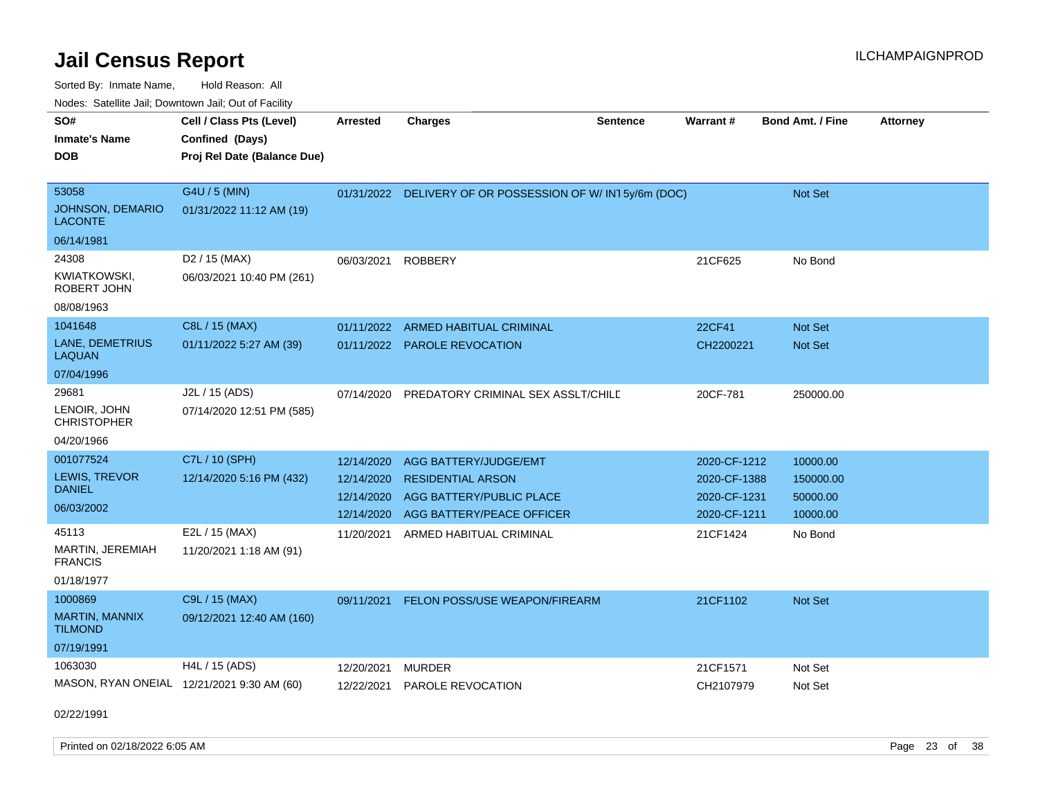Sorted By: Inmate Name, Hold Reason: All Nodes: Satellite Jail; Downtown Jail; Out of Facility

| SO#                                        | Cell / Class Pts (Level)    | <b>Arrested</b> | <b>Charges</b>                                           | <b>Sentence</b> | Warrant#     | <b>Bond Amt. / Fine</b> | <b>Attorney</b> |
|--------------------------------------------|-----------------------------|-----------------|----------------------------------------------------------|-----------------|--------------|-------------------------|-----------------|
| <b>Inmate's Name</b>                       | Confined (Days)             |                 |                                                          |                 |              |                         |                 |
| DOB                                        | Proj Rel Date (Balance Due) |                 |                                                          |                 |              |                         |                 |
|                                            |                             |                 |                                                          |                 |              |                         |                 |
| 53058                                      | G4U / 5 (MIN)               |                 | 01/31/2022 DELIVERY OF OR POSSESSION OF W/IN15y/6m (DOC) |                 |              | Not Set                 |                 |
| <b>JOHNSON, DEMARIO</b><br><b>LACONTE</b>  | 01/31/2022 11:12 AM (19)    |                 |                                                          |                 |              |                         |                 |
| 06/14/1981                                 |                             |                 |                                                          |                 |              |                         |                 |
| 24308                                      | D <sub>2</sub> / 15 (MAX)   | 06/03/2021      | <b>ROBBERY</b>                                           |                 | 21CF625      | No Bond                 |                 |
| <b>KWIATKOWSKI,</b><br>ROBERT JOHN         | 06/03/2021 10:40 PM (261)   |                 |                                                          |                 |              |                         |                 |
| 08/08/1963                                 |                             |                 |                                                          |                 |              |                         |                 |
| 1041648                                    | C8L / 15 (MAX)              | 01/11/2022      | ARMED HABITUAL CRIMINAL                                  |                 | 22CF41       | <b>Not Set</b>          |                 |
| <b>LANE, DEMETRIUS</b><br>LAQUAN           | 01/11/2022 5:27 AM (39)     | 01/11/2022      | <b>PAROLE REVOCATION</b>                                 |                 | CH2200221    | <b>Not Set</b>          |                 |
| 07/04/1996                                 |                             |                 |                                                          |                 |              |                         |                 |
| 29681                                      | J2L / 15 (ADS)              | 07/14/2020      | PREDATORY CRIMINAL SEX ASSLT/CHILD                       |                 | 20CF-781     | 250000.00               |                 |
| LENOIR, JOHN<br><b>CHRISTOPHER</b>         | 07/14/2020 12:51 PM (585)   |                 |                                                          |                 |              |                         |                 |
| 04/20/1966                                 |                             |                 |                                                          |                 |              |                         |                 |
| 001077524                                  | C7L / 10 (SPH)              | 12/14/2020      | AGG BATTERY/JUDGE/EMT                                    |                 | 2020-CF-1212 | 10000.00                |                 |
| LEWIS, TREVOR                              | 12/14/2020 5:16 PM (432)    | 12/14/2020      | <b>RESIDENTIAL ARSON</b>                                 |                 | 2020-CF-1388 | 150000.00               |                 |
| <b>DANIEL</b>                              |                             | 12/14/2020      | AGG BATTERY/PUBLIC PLACE                                 |                 | 2020-CF-1231 | 50000.00                |                 |
| 06/03/2002                                 |                             | 12/14/2020      | AGG BATTERY/PEACE OFFICER                                |                 | 2020-CF-1211 | 10000.00                |                 |
| 45113                                      | E2L / 15 (MAX)              | 11/20/2021      | ARMED HABITUAL CRIMINAL                                  |                 | 21CF1424     | No Bond                 |                 |
| MARTIN, JEREMIAH<br><b>FRANCIS</b>         | 11/20/2021 1:18 AM (91)     |                 |                                                          |                 |              |                         |                 |
| 01/18/1977                                 |                             |                 |                                                          |                 |              |                         |                 |
| 1000869                                    | C9L / 15 (MAX)              | 09/11/2021      | <b>FELON POSS/USE WEAPON/FIREARM</b>                     |                 | 21CF1102     | <b>Not Set</b>          |                 |
| <b>MARTIN, MANNIX</b><br><b>TILMOND</b>    | 09/12/2021 12:40 AM (160)   |                 |                                                          |                 |              |                         |                 |
| 07/19/1991                                 |                             |                 |                                                          |                 |              |                         |                 |
| 1063030                                    | H4L / 15 (ADS)              | 12/20/2021      | <b>MURDER</b>                                            |                 | 21CF1571     | Not Set                 |                 |
| MASON, RYAN ONEIAL 12/21/2021 9:30 AM (60) |                             | 12/22/2021      | PAROLE REVOCATION                                        |                 | CH2107979    | Not Set                 |                 |
|                                            |                             |                 |                                                          |                 |              |                         |                 |

02/22/1991

Printed on 02/18/2022 6:05 AM **Page 23 of 38**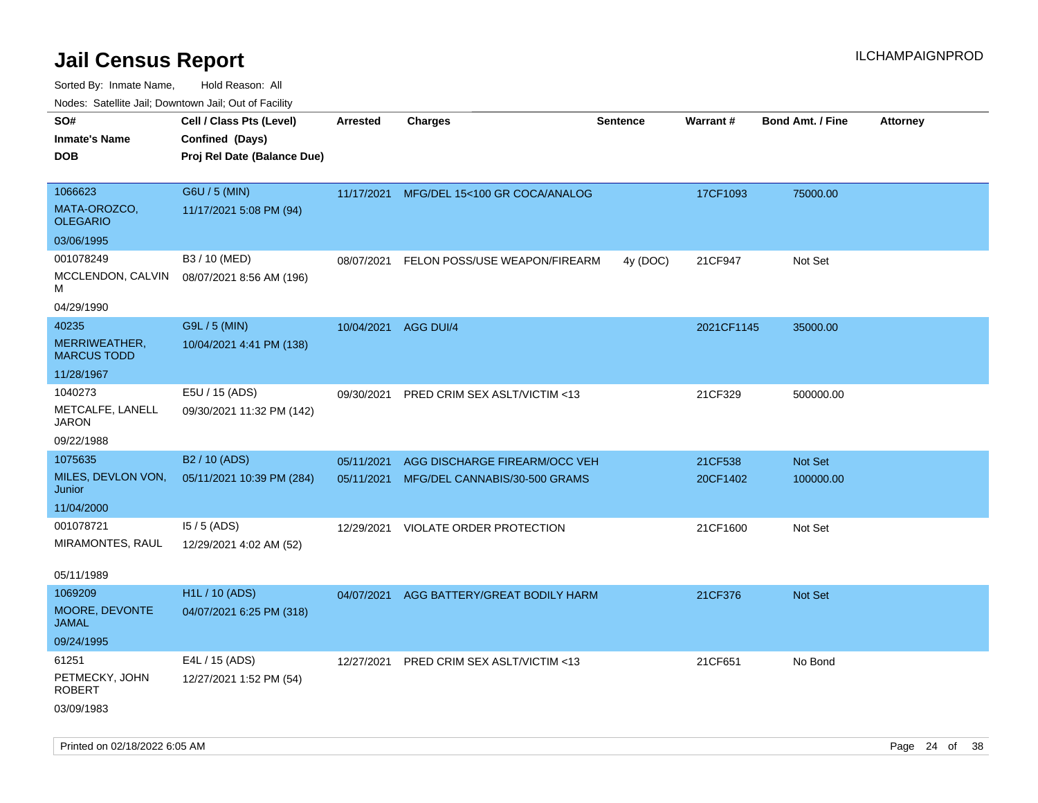| ivouss. Satellite Jali, Downtown Jali, Out of Facility |                             |                      |                               |                 |            |                         |                 |
|--------------------------------------------------------|-----------------------------|----------------------|-------------------------------|-----------------|------------|-------------------------|-----------------|
| SO#                                                    | Cell / Class Pts (Level)    | <b>Arrested</b>      | <b>Charges</b>                | <b>Sentence</b> | Warrant#   | <b>Bond Amt. / Fine</b> | <b>Attorney</b> |
| <b>Inmate's Name</b>                                   | Confined (Days)             |                      |                               |                 |            |                         |                 |
| <b>DOB</b>                                             | Proj Rel Date (Balance Due) |                      |                               |                 |            |                         |                 |
|                                                        |                             |                      |                               |                 |            |                         |                 |
| 1066623                                                | G6U / 5 (MIN)               | 11/17/2021           | MFG/DEL 15<100 GR COCA/ANALOG |                 | 17CF1093   | 75000.00                |                 |
| MATA-OROZCO,<br><b>OLEGARIO</b>                        | 11/17/2021 5:08 PM (94)     |                      |                               |                 |            |                         |                 |
| 03/06/1995                                             |                             |                      |                               |                 |            |                         |                 |
| 001078249                                              | B3 / 10 (MED)               | 08/07/2021           | FELON POSS/USE WEAPON/FIREARM | 4y (DOC)        | 21CF947    | Not Set                 |                 |
| MCCLENDON, CALVIN<br>М                                 | 08/07/2021 8:56 AM (196)    |                      |                               |                 |            |                         |                 |
| 04/29/1990                                             |                             |                      |                               |                 |            |                         |                 |
| 40235                                                  | G9L / 5 (MIN)               | 10/04/2021 AGG DUI/4 |                               |                 | 2021CF1145 | 35000.00                |                 |
| MERRIWEATHER,<br><b>MARCUS TODD</b>                    | 10/04/2021 4:41 PM (138)    |                      |                               |                 |            |                         |                 |
| 11/28/1967                                             |                             |                      |                               |                 |            |                         |                 |
| 1040273                                                | E5U / 15 (ADS)              | 09/30/2021           | PRED CRIM SEX ASLT/VICTIM <13 |                 | 21CF329    | 500000.00               |                 |
| METCALFE, LANELL<br>JARON                              | 09/30/2021 11:32 PM (142)   |                      |                               |                 |            |                         |                 |
| 09/22/1988                                             |                             |                      |                               |                 |            |                         |                 |
| 1075635                                                | B <sub>2</sub> / 10 (ADS)   | 05/11/2021           | AGG DISCHARGE FIREARM/OCC VEH |                 | 21CF538    | Not Set                 |                 |
| MILES, DEVLON VON,<br>Junior                           | 05/11/2021 10:39 PM (284)   | 05/11/2021           | MFG/DEL CANNABIS/30-500 GRAMS |                 | 20CF1402   | 100000.00               |                 |
| 11/04/2000                                             |                             |                      |                               |                 |            |                         |                 |
| 001078721                                              | $15/5$ (ADS)                | 12/29/2021           | VIOLATE ORDER PROTECTION      |                 | 21CF1600   | Not Set                 |                 |
| MIRAMONTES, RAUL                                       | 12/29/2021 4:02 AM (52)     |                      |                               |                 |            |                         |                 |
|                                                        |                             |                      |                               |                 |            |                         |                 |
| 05/11/1989                                             |                             |                      |                               |                 |            |                         |                 |
| 1069209                                                | <b>H1L / 10 (ADS)</b>       | 04/07/2021           | AGG BATTERY/GREAT BODILY HARM |                 | 21CF376    | Not Set                 |                 |
| MOORE, DEVONTE<br>JAMAL                                | 04/07/2021 6:25 PM (318)    |                      |                               |                 |            |                         |                 |
| 09/24/1995                                             |                             |                      |                               |                 |            |                         |                 |
| 61251                                                  | E4L / 15 (ADS)              | 12/27/2021           | PRED CRIM SEX ASLT/VICTIM <13 |                 | 21CF651    | No Bond                 |                 |
| PETMECKY, JOHN<br><b>ROBERT</b>                        | 12/27/2021 1:52 PM (54)     |                      |                               |                 |            |                         |                 |
| 03/09/1983                                             |                             |                      |                               |                 |            |                         |                 |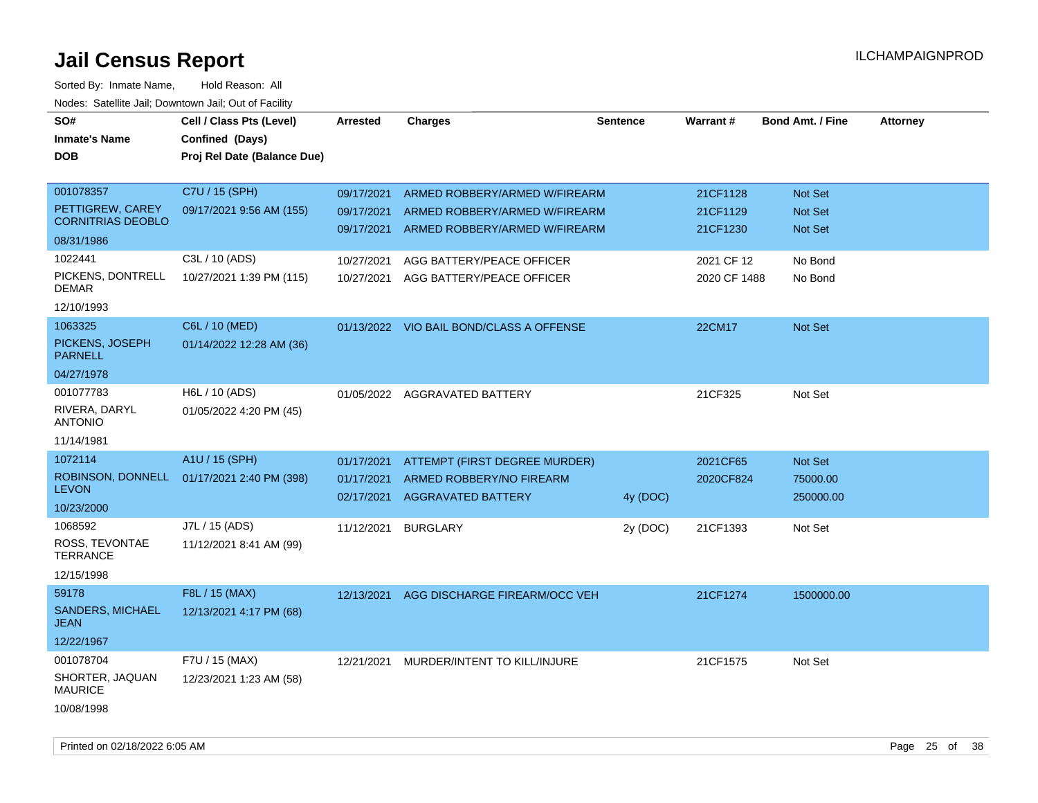| SO#<br><b>Inmate's Name</b><br><b>DOB</b>    | Cell / Class Pts (Level)<br>Confined (Days)<br>Proj Rel Date (Balance Due) | <b>Arrested</b>          | <b>Charges</b>                                                 | <b>Sentence</b> | Warrant #            | <b>Bond Amt. / Fine</b> | <b>Attorney</b> |
|----------------------------------------------|----------------------------------------------------------------------------|--------------------------|----------------------------------------------------------------|-----------------|----------------------|-------------------------|-----------------|
| 001078357                                    | C7U / 15 (SPH)                                                             | 09/17/2021               | ARMED ROBBERY/ARMED W/FIREARM                                  |                 | 21CF1128             | <b>Not Set</b>          |                 |
| PETTIGREW, CAREY<br><b>CORNITRIAS DEOBLO</b> | 09/17/2021 9:56 AM (155)                                                   | 09/17/2021<br>09/17/2021 | ARMED ROBBERY/ARMED W/FIREARM<br>ARMED ROBBERY/ARMED W/FIREARM |                 | 21CF1129<br>21CF1230 | Not Set<br>Not Set      |                 |
| 08/31/1986                                   |                                                                            |                          |                                                                |                 |                      |                         |                 |
| 1022441                                      | C3L / 10 (ADS)                                                             | 10/27/2021               | AGG BATTERY/PEACE OFFICER                                      |                 | 2021 CF 12           | No Bond                 |                 |
| PICKENS, DONTRELL<br><b>DEMAR</b>            | 10/27/2021 1:39 PM (115)                                                   | 10/27/2021               | AGG BATTERY/PEACE OFFICER                                      |                 | 2020 CF 1488         | No Bond                 |                 |
| 12/10/1993                                   |                                                                            |                          |                                                                |                 |                      |                         |                 |
| 1063325                                      | C6L / 10 (MED)                                                             |                          | 01/13/2022 VIO BAIL BOND/CLASS A OFFENSE                       |                 | 22CM17               | Not Set                 |                 |
| PICKENS, JOSEPH<br><b>PARNELL</b>            | 01/14/2022 12:28 AM (36)                                                   |                          |                                                                |                 |                      |                         |                 |
| 04/27/1978                                   |                                                                            |                          |                                                                |                 |                      |                         |                 |
| 001077783<br>RIVERA, DARYL<br><b>ANTONIO</b> | H6L / 10 (ADS)<br>01/05/2022 4:20 PM (45)                                  | 01/05/2022               | <b>AGGRAVATED BATTERY</b>                                      |                 | 21CF325              | Not Set                 |                 |
| 11/14/1981                                   |                                                                            |                          |                                                                |                 |                      |                         |                 |
| 1072114                                      | A1U / 15 (SPH)                                                             | 01/17/2021               | ATTEMPT (FIRST DEGREE MURDER)                                  |                 | 2021CF65             | Not Set                 |                 |
| ROBINSON, DONNELL<br><b>LEVON</b>            | 01/17/2021 2:40 PM (398)                                                   | 01/17/2021<br>02/17/2021 | ARMED ROBBERY/NO FIREARM<br><b>AGGRAVATED BATTERY</b>          | 4y (DOC)        | 2020CF824            | 75000.00<br>250000.00   |                 |
| 10/23/2000                                   |                                                                            |                          |                                                                |                 |                      |                         |                 |
| 1068592                                      | J7L / 15 (ADS)                                                             | 11/12/2021               | <b>BURGLARY</b>                                                | 2y (DOC)        | 21CF1393             | Not Set                 |                 |
| ROSS, TEVONTAE<br><b>TERRANCE</b>            | 11/12/2021 8:41 AM (99)                                                    |                          |                                                                |                 |                      |                         |                 |
| 12/15/1998                                   |                                                                            |                          |                                                                |                 |                      |                         |                 |
| 59178                                        | F8L / 15 (MAX)                                                             | 12/13/2021               | AGG DISCHARGE FIREARM/OCC VEH                                  |                 | 21CF1274             | 1500000.00              |                 |
| SANDERS, MICHAEL<br><b>JEAN</b>              | 12/13/2021 4:17 PM (68)                                                    |                          |                                                                |                 |                      |                         |                 |
| 12/22/1967                                   |                                                                            |                          |                                                                |                 |                      |                         |                 |
| 001078704                                    | F7U / 15 (MAX)                                                             | 12/21/2021               | MURDER/INTENT TO KILL/INJURE                                   |                 | 21CF1575             | Not Set                 |                 |
| SHORTER, JAQUAN<br><b>MAURICE</b>            | 12/23/2021 1:23 AM (58)                                                    |                          |                                                                |                 |                      |                         |                 |
| 10/08/1998                                   |                                                                            |                          |                                                                |                 |                      |                         |                 |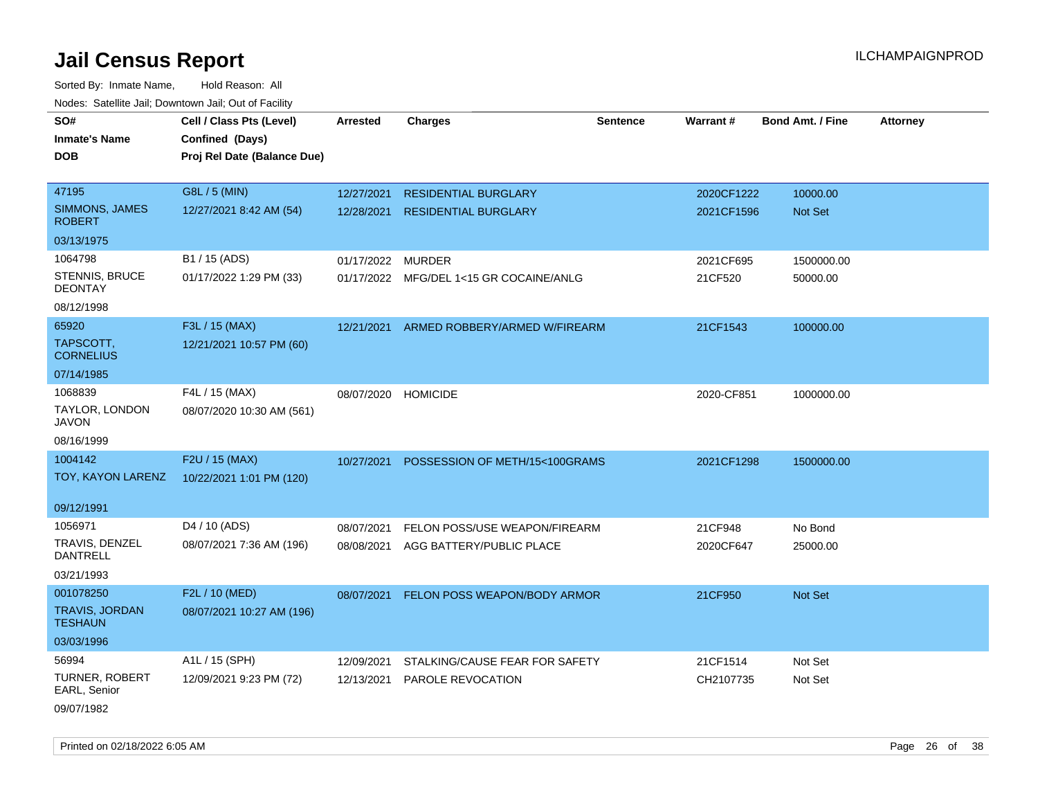Sorted By: Inmate Name, Hold Reason: All Nodes: Satellite Jail; Downtown Jail; Out of Facility

| rougs. Calcinic Jan, Downtown Jan, Out of Facility |                             |                     |                                         |                 |            |                         |                 |
|----------------------------------------------------|-----------------------------|---------------------|-----------------------------------------|-----------------|------------|-------------------------|-----------------|
| SO#                                                | Cell / Class Pts (Level)    | <b>Arrested</b>     | <b>Charges</b>                          | <b>Sentence</b> | Warrant#   | <b>Bond Amt. / Fine</b> | <b>Attorney</b> |
| <b>Inmate's Name</b>                               | Confined (Days)             |                     |                                         |                 |            |                         |                 |
| <b>DOB</b>                                         | Proj Rel Date (Balance Due) |                     |                                         |                 |            |                         |                 |
|                                                    |                             |                     |                                         |                 |            |                         |                 |
| 47195                                              | G8L / 5 (MIN)               | 12/27/2021          | <b>RESIDENTIAL BURGLARY</b>             |                 | 2020CF1222 | 10000.00                |                 |
| SIMMONS, JAMES<br><b>ROBERT</b>                    | 12/27/2021 8:42 AM (54)     | 12/28/2021          | <b>RESIDENTIAL BURGLARY</b>             |                 | 2021CF1596 | <b>Not Set</b>          |                 |
| 03/13/1975                                         |                             |                     |                                         |                 |            |                         |                 |
| 1064798                                            | B1 / 15 (ADS)               | 01/17/2022          | <b>MURDER</b>                           |                 | 2021CF695  | 1500000.00              |                 |
| STENNIS, BRUCE<br><b>DEONTAY</b>                   | 01/17/2022 1:29 PM (33)     |                     | 01/17/2022 MFG/DEL 1<15 GR COCAINE/ANLG |                 | 21CF520    | 50000.00                |                 |
| 08/12/1998                                         |                             |                     |                                         |                 |            |                         |                 |
| 65920                                              | F3L / 15 (MAX)              | 12/21/2021          | ARMED ROBBERY/ARMED W/FIREARM           |                 | 21CF1543   | 100000.00               |                 |
| TAPSCOTT.<br><b>CORNELIUS</b>                      | 12/21/2021 10:57 PM (60)    |                     |                                         |                 |            |                         |                 |
| 07/14/1985                                         |                             |                     |                                         |                 |            |                         |                 |
| 1068839                                            | F4L / 15 (MAX)              | 08/07/2020 HOMICIDE |                                         |                 | 2020-CF851 | 1000000.00              |                 |
| TAYLOR, LONDON<br>JAVON                            | 08/07/2020 10:30 AM (561)   |                     |                                         |                 |            |                         |                 |
| 08/16/1999                                         |                             |                     |                                         |                 |            |                         |                 |
| 1004142                                            | F2U / 15 (MAX)              | 10/27/2021          | POSSESSION OF METH/15<100GRAMS          |                 | 2021CF1298 | 1500000.00              |                 |
| TOY, KAYON LARENZ                                  | 10/22/2021 1:01 PM (120)    |                     |                                         |                 |            |                         |                 |
| 09/12/1991                                         |                             |                     |                                         |                 |            |                         |                 |
| 1056971                                            | D4 / 10 (ADS)               | 08/07/2021          | FELON POSS/USE WEAPON/FIREARM           |                 | 21CF948    | No Bond                 |                 |
| TRAVIS, DENZEL<br><b>DANTRELL</b>                  | 08/07/2021 7:36 AM (196)    | 08/08/2021          | AGG BATTERY/PUBLIC PLACE                |                 | 2020CF647  | 25000.00                |                 |
| 03/21/1993                                         |                             |                     |                                         |                 |            |                         |                 |
| 001078250                                          | F2L / 10 (MED)              | 08/07/2021          | FELON POSS WEAPON/BODY ARMOR            |                 | 21CF950    | Not Set                 |                 |
| <b>TRAVIS, JORDAN</b><br><b>TESHAUN</b>            | 08/07/2021 10:27 AM (196)   |                     |                                         |                 |            |                         |                 |
| 03/03/1996                                         |                             |                     |                                         |                 |            |                         |                 |
| 56994                                              | A1L / 15 (SPH)              | 12/09/2021          | STALKING/CAUSE FEAR FOR SAFETY          |                 | 21CF1514   | Not Set                 |                 |
| <b>TURNER, ROBERT</b><br>EARL, Senior              | 12/09/2021 9:23 PM (72)     | 12/13/2021          | <b>PAROLE REVOCATION</b>                |                 | CH2107735  | Not Set                 |                 |
| 09/07/1982                                         |                             |                     |                                         |                 |            |                         |                 |

Printed on 02/18/2022 6:05 AM **Page 26** of 38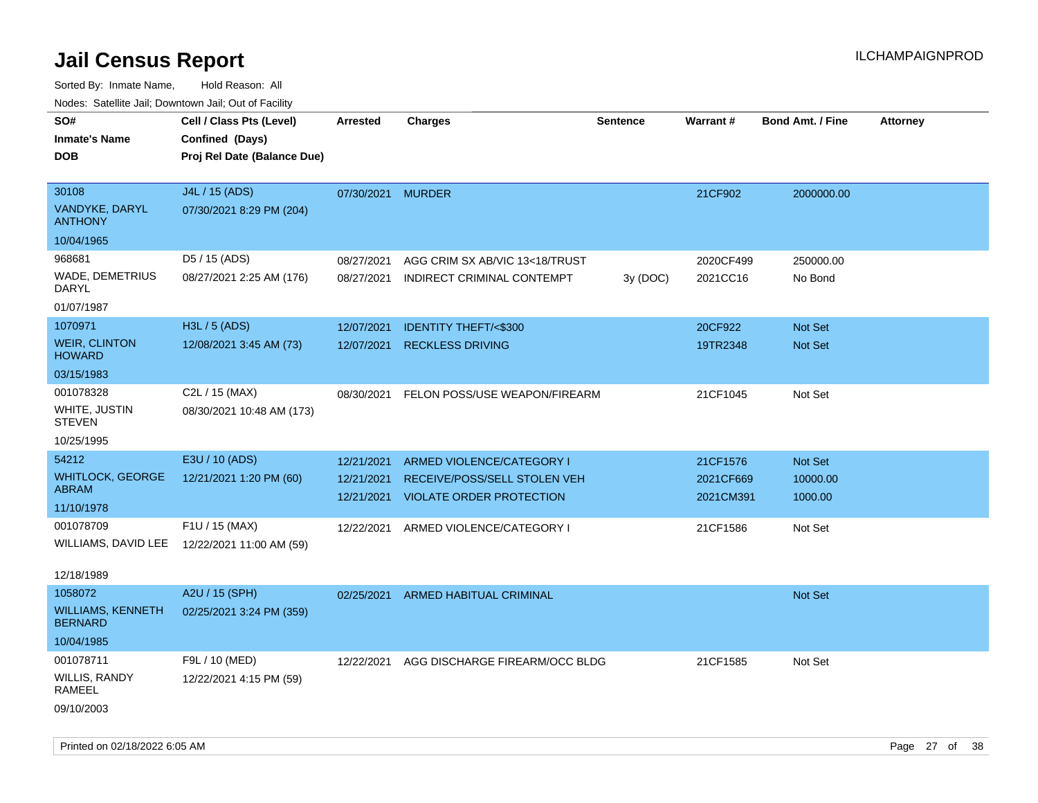Sorted By: Inmate Name, Hold Reason: All Nodes: Satellite Jail; Downtown Jail; Out of Facility

| roaco. Catolino dall, Downtown dall, Out of Fability           |                                                                            |                          |                                                              |                 |                       |                         |                 |
|----------------------------------------------------------------|----------------------------------------------------------------------------|--------------------------|--------------------------------------------------------------|-----------------|-----------------------|-------------------------|-----------------|
| SO#<br><b>Inmate's Name</b><br><b>DOB</b>                      | Cell / Class Pts (Level)<br>Confined (Days)<br>Proj Rel Date (Balance Due) | <b>Arrested</b>          | Charges                                                      | <b>Sentence</b> | <b>Warrant#</b>       | <b>Bond Amt. / Fine</b> | <b>Attorney</b> |
| 30108<br><b>VANDYKE, DARYL</b><br><b>ANTHONY</b><br>10/04/1965 | J4L / 15 (ADS)<br>07/30/2021 8:29 PM (204)                                 | 07/30/2021 MURDER        |                                                              |                 | 21CF902               | 2000000.00              |                 |
| 968681                                                         | D5 / 15 (ADS)                                                              |                          |                                                              |                 |                       |                         |                 |
| WADE, DEMETRIUS<br>DARYL                                       | 08/27/2021 2:25 AM (176)                                                   | 08/27/2021<br>08/27/2021 | AGG CRIM SX AB/VIC 13<18/TRUST<br>INDIRECT CRIMINAL CONTEMPT | 3y (DOC)        | 2020CF499<br>2021CC16 | 250000.00<br>No Bond    |                 |
| 01/07/1987                                                     |                                                                            |                          |                                                              |                 |                       |                         |                 |
| 1070971                                                        | <b>H3L / 5 (ADS)</b>                                                       | 12/07/2021               | <b>IDENTITY THEFT/&lt;\$300</b>                              |                 | 20CF922               | <b>Not Set</b>          |                 |
| <b>WEIR, CLINTON</b><br><b>HOWARD</b>                          | 12/08/2021 3:45 AM (73)                                                    | 12/07/2021               | <b>RECKLESS DRIVING</b>                                      |                 | 19TR2348              | <b>Not Set</b>          |                 |
| 03/15/1983                                                     |                                                                            |                          |                                                              |                 |                       |                         |                 |
| 001078328<br>WHITE, JUSTIN<br><b>STEVEN</b>                    | C2L / 15 (MAX)<br>08/30/2021 10:48 AM (173)                                | 08/30/2021               | FELON POSS/USE WEAPON/FIREARM                                |                 | 21CF1045              | Not Set                 |                 |
| 10/25/1995                                                     |                                                                            |                          |                                                              |                 |                       |                         |                 |
| 54212                                                          | E3U / 10 (ADS)                                                             | 12/21/2021               | ARMED VIOLENCE/CATEGORY I                                    |                 | 21CF1576              | Not Set                 |                 |
| <b>WHITLOCK, GEORGE</b>                                        | 12/21/2021 1:20 PM (60)                                                    | 12/21/2021               | RECEIVE/POSS/SELL STOLEN VEH                                 |                 | 2021CF669             | 10000.00                |                 |
| ABRAM<br>11/10/1978                                            |                                                                            | 12/21/2021               | <b>VIOLATE ORDER PROTECTION</b>                              |                 | 2021CM391             | 1000.00                 |                 |
| 001078709<br>WILLIAMS, DAVID LEE                               | F1U / 15 (MAX)<br>12/22/2021 11:00 AM (59)                                 | 12/22/2021               | ARMED VIOLENCE/CATEGORY I                                    |                 | 21CF1586              | Not Set                 |                 |
| 12/18/1989                                                     |                                                                            |                          |                                                              |                 |                       |                         |                 |
| 1058072                                                        | A2U / 15 (SPH)                                                             | 02/25/2021               | ARMED HABITUAL CRIMINAL                                      |                 |                       | Not Set                 |                 |
| <b>WILLIAMS, KENNETH</b><br><b>BERNARD</b>                     | 02/25/2021 3:24 PM (359)                                                   |                          |                                                              |                 |                       |                         |                 |
| 10/04/1985                                                     |                                                                            |                          |                                                              |                 |                       |                         |                 |
| 001078711<br>WILLIS, RANDY<br>RAMEEL                           | F9L / 10 (MED)<br>12/22/2021 4:15 PM (59)                                  | 12/22/2021               | AGG DISCHARGE FIREARM/OCC BLDG                               |                 | 21CF1585              | Not Set                 |                 |
| 09/10/2003                                                     |                                                                            |                          |                                                              |                 |                       |                         |                 |

Printed on 02/18/2022 6:05 AM Page 27 of 38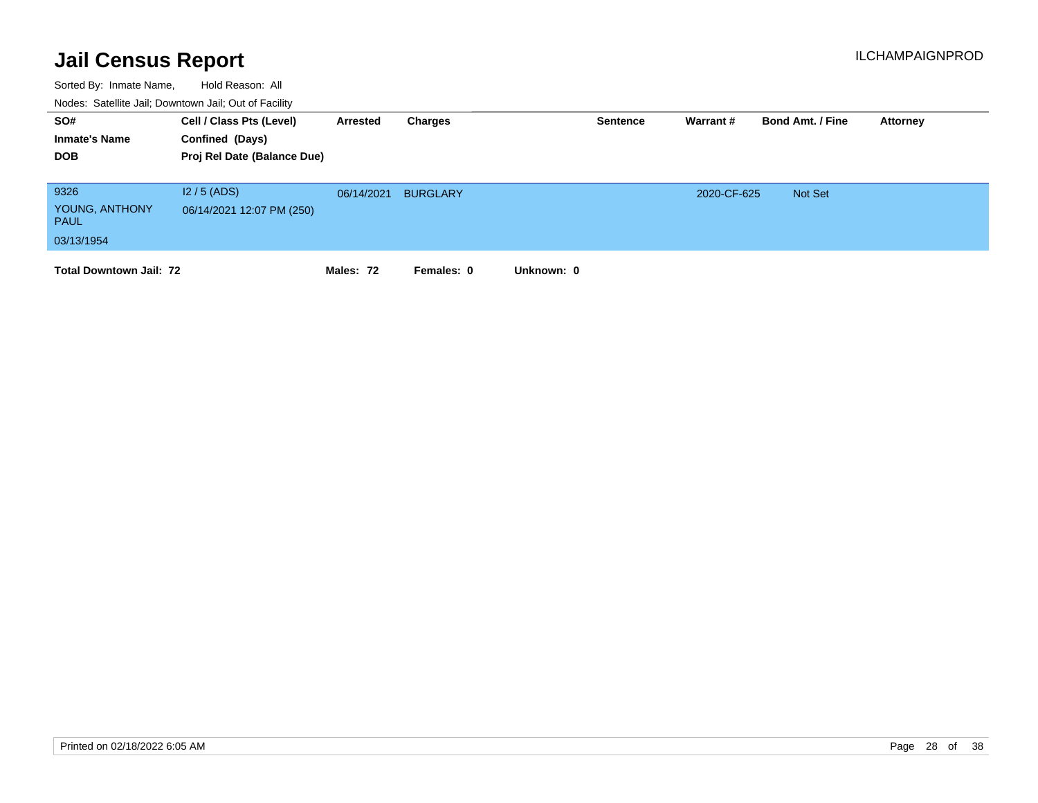| SO#<br><b>Inmate's Name</b><br><b>DOB</b>           | Cell / Class Pts (Level)<br>Confined (Days)<br>Proj Rel Date (Balance Due) | Arrested   | Charges         | <b>Sentence</b> | Warrant #   | <b>Bond Amt. / Fine</b> | Attorney |
|-----------------------------------------------------|----------------------------------------------------------------------------|------------|-----------------|-----------------|-------------|-------------------------|----------|
| 9326<br>YOUNG, ANTHONY<br><b>PAUL</b><br>03/13/1954 | $12/5$ (ADS)<br>06/14/2021 12:07 PM (250)                                  | 06/14/2021 | <b>BURGLARY</b> |                 | 2020-CF-625 | <b>Not Set</b>          |          |
| <b>Total Downtown Jail: 72</b>                      |                                                                            | Males: 72  | Females: 0      | Unknown: 0      |             |                         |          |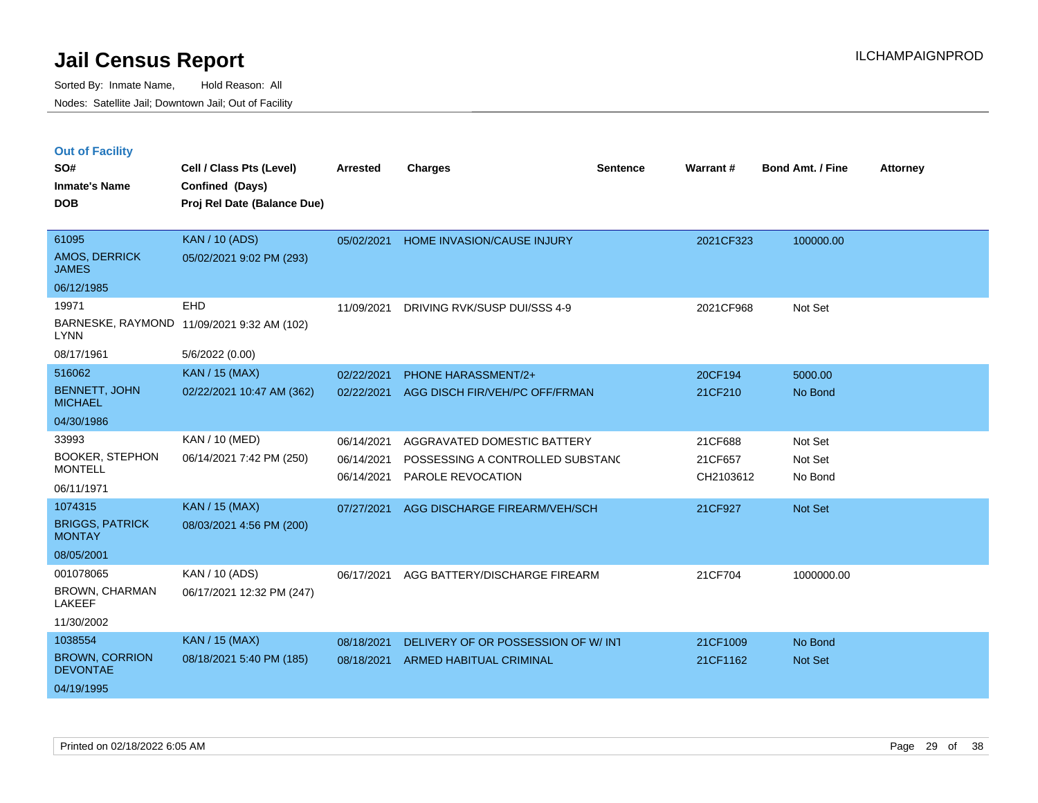| <b>Out of Facility</b> |  |  |
|------------------------|--|--|
|------------------------|--|--|

| SO#<br><b>Inmate's Name</b><br><b>DOB</b> | Cell / Class Pts (Level)<br>Confined (Days)<br>Proj Rel Date (Balance Due) | <b>Arrested</b> | <b>Charges</b>                     | <b>Sentence</b> | Warrant#  | Bond Amt. / Fine | <b>Attorney</b> |
|-------------------------------------------|----------------------------------------------------------------------------|-----------------|------------------------------------|-----------------|-----------|------------------|-----------------|
| 61095<br>AMOS, DERRICK<br><b>JAMES</b>    | <b>KAN / 10 (ADS)</b><br>05/02/2021 9:02 PM (293)                          | 05/02/2021      | HOME INVASION/CAUSE INJURY         |                 | 2021CF323 | 100000.00        |                 |
| 06/12/1985                                |                                                                            |                 |                                    |                 |           |                  |                 |
| 19971                                     | EHD                                                                        | 11/09/2021      | DRIVING RVK/SUSP DUI/SSS 4-9       |                 | 2021CF968 | Not Set          |                 |
| <b>LYNN</b>                               | BARNESKE, RAYMOND 11/09/2021 9:32 AM (102)                                 |                 |                                    |                 |           |                  |                 |
| 08/17/1961                                | 5/6/2022 (0.00)                                                            |                 |                                    |                 |           |                  |                 |
| 516062                                    | <b>KAN / 15 (MAX)</b>                                                      | 02/22/2021      | PHONE HARASSMENT/2+                |                 | 20CF194   | 5000.00          |                 |
| BENNETT, JOHN<br><b>MICHAEL</b>           | 02/22/2021 10:47 AM (362)                                                  | 02/22/2021      | AGG DISCH FIR/VEH/PC OFF/FRMAN     |                 | 21CF210   | No Bond          |                 |
| 04/30/1986                                |                                                                            |                 |                                    |                 |           |                  |                 |
| 33993                                     | KAN / 10 (MED)                                                             | 06/14/2021      | AGGRAVATED DOMESTIC BATTERY        |                 | 21CF688   | Not Set          |                 |
| <b>BOOKER, STEPHON</b><br><b>MONTELL</b>  | 06/14/2021 7:42 PM (250)                                                   | 06/14/2021      | POSSESSING A CONTROLLED SUBSTANC   |                 | 21CF657   | Not Set          |                 |
| 06/11/1971                                |                                                                            | 06/14/2021      | PAROLE REVOCATION                  |                 | CH2103612 | No Bond          |                 |
| 1074315                                   | <b>KAN / 15 (MAX)</b>                                                      | 07/27/2021      | AGG DISCHARGE FIREARM/VEH/SCH      |                 | 21CF927   | Not Set          |                 |
| <b>BRIGGS, PATRICK</b><br><b>MONTAY</b>   | 08/03/2021 4:56 PM (200)                                                   |                 |                                    |                 |           |                  |                 |
| 08/05/2001                                |                                                                            |                 |                                    |                 |           |                  |                 |
| 001078065                                 | KAN / 10 (ADS)                                                             | 06/17/2021      | AGG BATTERY/DISCHARGE FIREARM      |                 | 21CF704   | 1000000.00       |                 |
| BROWN, CHARMAN<br>LAKEEF                  | 06/17/2021 12:32 PM (247)                                                  |                 |                                    |                 |           |                  |                 |
| 11/30/2002                                |                                                                            |                 |                                    |                 |           |                  |                 |
| 1038554                                   | KAN / 15 (MAX)                                                             | 08/18/2021      | DELIVERY OF OR POSSESSION OF W/INT |                 | 21CF1009  | No Bond          |                 |
| <b>BROWN, CORRION</b><br><b>DEVONTAE</b>  | 08/18/2021 5:40 PM (185)                                                   | 08/18/2021      | <b>ARMED HABITUAL CRIMINAL</b>     |                 | 21CF1162  | Not Set          |                 |
| 04/19/1995                                |                                                                            |                 |                                    |                 |           |                  |                 |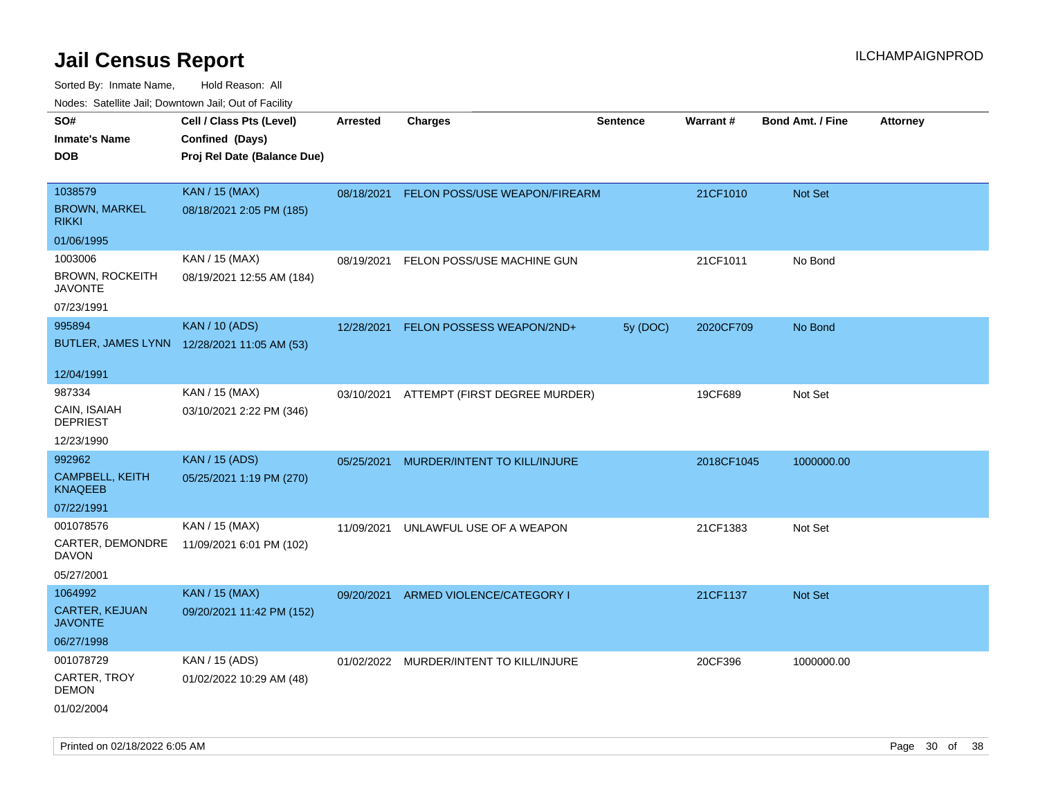| ivouss. Saleline Jali, Downtown Jali, Out of Facility                    |                                                                            |            |                                          |                 |                 |                         |                 |
|--------------------------------------------------------------------------|----------------------------------------------------------------------------|------------|------------------------------------------|-----------------|-----------------|-------------------------|-----------------|
| SO#<br>Inmate's Name<br>DOB                                              | Cell / Class Pts (Level)<br>Confined (Days)<br>Proj Rel Date (Balance Due) | Arrested   | <b>Charges</b>                           | <b>Sentence</b> | <b>Warrant#</b> | <b>Bond Amt. / Fine</b> | <b>Attorney</b> |
| 1038579<br><b>BROWN, MARKEL</b><br>rikki                                 | <b>KAN / 15 (MAX)</b><br>08/18/2021 2:05 PM (185)                          | 08/18/2021 | FELON POSS/USE WEAPON/FIREARM            |                 | 21CF1010        | Not Set                 |                 |
| 01/06/1995<br>1003006<br>BROWN, ROCKEITH<br><b>JAVONTE</b><br>07/23/1991 | KAN / 15 (MAX)<br>08/19/2021 12:55 AM (184)                                | 08/19/2021 | FELON POSS/USE MACHINE GUN               |                 | 21CF1011        | No Bond                 |                 |
| 995894                                                                   | <b>KAN / 10 (ADS)</b><br>BUTLER, JAMES LYNN 12/28/2021 11:05 AM (53)       | 12/28/2021 | FELON POSSESS WEAPON/2ND+                | 5y (DOC)        | 2020CF709       | No Bond                 |                 |
| 12/04/1991<br>987334<br>CAIN, ISAIAH<br><b>DEPRIEST</b><br>12/23/1990    | KAN / 15 (MAX)<br>03/10/2021 2:22 PM (346)                                 |            | 03/10/2021 ATTEMPT (FIRST DEGREE MURDER) |                 | 19CF689         | Not Set                 |                 |
| 992962<br><b>CAMPBELL, KEITH</b><br>KNAQEEB<br>07/22/1991                | <b>KAN / 15 (ADS)</b><br>05/25/2021 1:19 PM (270)                          | 05/25/2021 | MURDER/INTENT TO KILL/INJURE             |                 | 2018CF1045      | 1000000.00              |                 |
| 001078576<br>CARTER, DEMONDRE<br>DAVON<br>05/27/2001                     | KAN / 15 (MAX)<br>11/09/2021 6:01 PM (102)                                 | 11/09/2021 | UNLAWFUL USE OF A WEAPON                 |                 | 21CF1383        | Not Set                 |                 |
| 1064992<br><b>CARTER, KEJUAN</b><br>JAVONTE<br>06/27/1998                | <b>KAN / 15 (MAX)</b><br>09/20/2021 11:42 PM (152)                         | 09/20/2021 | ARMED VIOLENCE/CATEGORY I                |                 | 21CF1137        | <b>Not Set</b>          |                 |
| 001078729<br>CARTER, TROY<br>DEMON<br>01/02/2004                         | KAN / 15 (ADS)<br>01/02/2022 10:29 AM (48)                                 |            | 01/02/2022 MURDER/INTENT TO KILL/INJURE  |                 | 20CF396         | 1000000.00              |                 |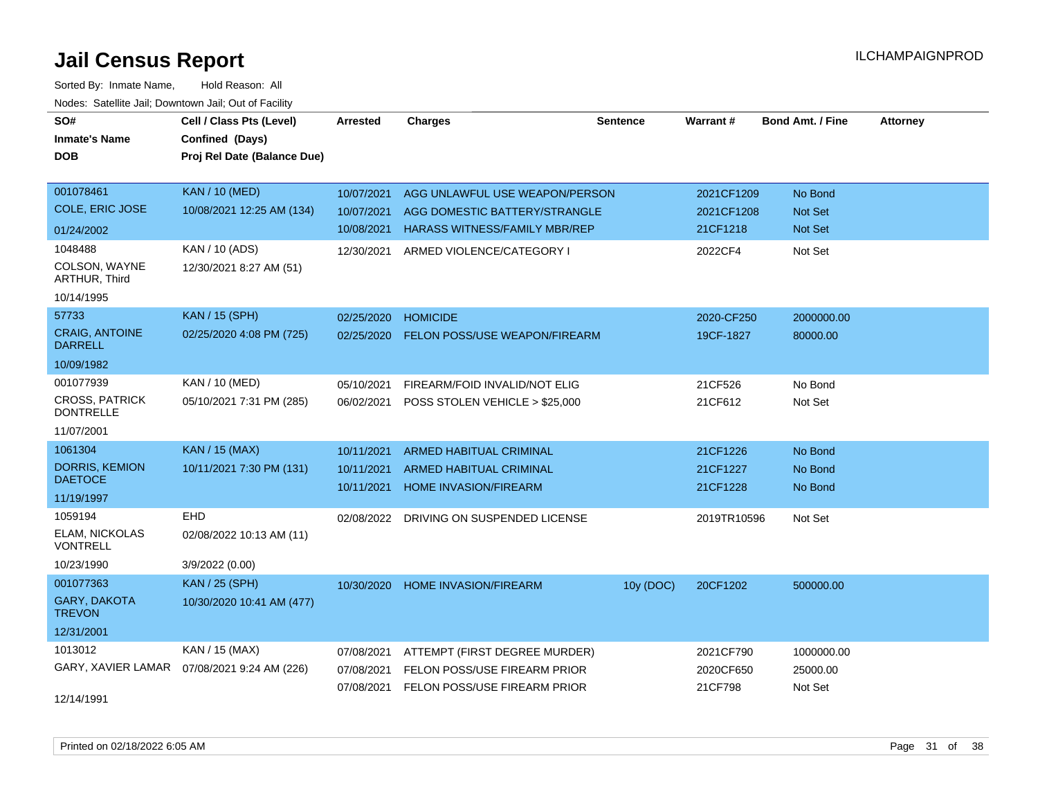| SO#<br><b>Inmate's Name</b><br><b>DOB</b> | Cell / Class Pts (Level)<br>Confined (Days)<br>Proj Rel Date (Balance Due) | <b>Arrested</b> | <b>Charges</b>                          | <b>Sentence</b> | Warrant#    | <b>Bond Amt. / Fine</b> | <b>Attorney</b> |
|-------------------------------------------|----------------------------------------------------------------------------|-----------------|-----------------------------------------|-----------------|-------------|-------------------------|-----------------|
| 001078461                                 | <b>KAN / 10 (MED)</b>                                                      | 10/07/2021      | AGG UNLAWFUL USE WEAPON/PERSON          |                 | 2021CF1209  | No Bond                 |                 |
| <b>COLE, ERIC JOSE</b>                    | 10/08/2021 12:25 AM (134)                                                  | 10/07/2021      | AGG DOMESTIC BATTERY/STRANGLE           |                 | 2021CF1208  | <b>Not Set</b>          |                 |
| 01/24/2002                                |                                                                            | 10/08/2021      | <b>HARASS WITNESS/FAMILY MBR/REP</b>    |                 | 21CF1218    | Not Set                 |                 |
| 1048488                                   | KAN / 10 (ADS)                                                             | 12/30/2021      | ARMED VIOLENCE/CATEGORY I               |                 | 2022CF4     | Not Set                 |                 |
| COLSON, WAYNE<br>ARTHUR, Third            | 12/30/2021 8:27 AM (51)                                                    |                 |                                         |                 |             |                         |                 |
| 10/14/1995                                |                                                                            |                 |                                         |                 |             |                         |                 |
| 57733                                     | <b>KAN / 15 (SPH)</b>                                                      | 02/25/2020      | <b>HOMICIDE</b>                         |                 | 2020-CF250  | 2000000.00              |                 |
| <b>CRAIG, ANTOINE</b><br><b>DARRELL</b>   | 02/25/2020 4:08 PM (725)                                                   | 02/25/2020      | <b>FELON POSS/USE WEAPON/FIREARM</b>    |                 | 19CF-1827   | 80000.00                |                 |
| 10/09/1982                                |                                                                            |                 |                                         |                 |             |                         |                 |
| 001077939                                 | KAN / 10 (MED)                                                             | 05/10/2021      | FIREARM/FOID INVALID/NOT ELIG           |                 | 21CF526     | No Bond                 |                 |
| <b>CROSS, PATRICK</b><br><b>DONTRELLE</b> | 05/10/2021 7:31 PM (285)                                                   | 06/02/2021      | POSS STOLEN VEHICLE > \$25,000          |                 | 21CF612     | Not Set                 |                 |
| 11/07/2001                                |                                                                            |                 |                                         |                 |             |                         |                 |
| 1061304                                   | <b>KAN / 15 (MAX)</b>                                                      | 10/11/2021      | ARMED HABITUAL CRIMINAL                 |                 | 21CF1226    | No Bond                 |                 |
| <b>DORRIS, KEMION</b>                     | 10/11/2021 7:30 PM (131)                                                   | 10/11/2021      | <b>ARMED HABITUAL CRIMINAL</b>          |                 | 21CF1227    | No Bond                 |                 |
| <b>DAETOCE</b>                            |                                                                            | 10/11/2021      | <b>HOME INVASION/FIREARM</b>            |                 | 21CF1228    | No Bond                 |                 |
| 11/19/1997                                |                                                                            |                 |                                         |                 |             |                         |                 |
| 1059194                                   | EHD                                                                        | 02/08/2022      | DRIVING ON SUSPENDED LICENSE            |                 | 2019TR10596 | Not Set                 |                 |
| <b>ELAM, NICKOLAS</b><br><b>VONTRELL</b>  | 02/08/2022 10:13 AM (11)                                                   |                 |                                         |                 |             |                         |                 |
| 10/23/1990                                | 3/9/2022 (0.00)                                                            |                 |                                         |                 |             |                         |                 |
| 001077363                                 | <b>KAN / 25 (SPH)</b>                                                      | 10/30/2020      | HOME INVASION/FIREARM                   | 10y (DOC)       | 20CF1202    | 500000.00               |                 |
| GARY, DAKOTA<br><b>TREVON</b>             | 10/30/2020 10:41 AM (477)                                                  |                 |                                         |                 |             |                         |                 |
| 12/31/2001                                |                                                                            |                 |                                         |                 |             |                         |                 |
| 1013012                                   | KAN / 15 (MAX)                                                             | 07/08/2021      | ATTEMPT (FIRST DEGREE MURDER)           |                 | 2021CF790   | 1000000.00              |                 |
| GARY, XAVIER LAMAR                        | 07/08/2021 9:24 AM (226)                                                   | 07/08/2021      | FELON POSS/USE FIREARM PRIOR            |                 | 2020CF650   | 25000.00                |                 |
| 12/14/1991                                |                                                                            |                 | 07/08/2021 FELON POSS/USE FIREARM PRIOR |                 | 21CF798     | Not Set                 |                 |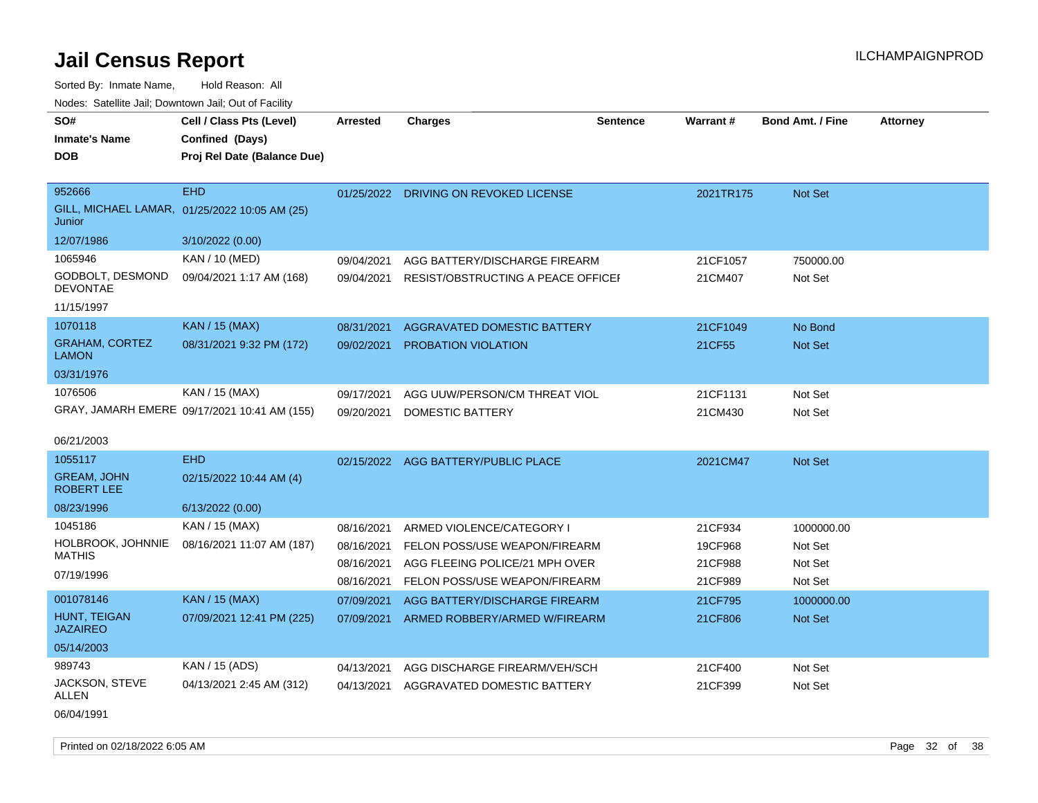| SO#<br><b>Inmate's Name</b><br><b>DOB</b> | Cell / Class Pts (Level)<br>Confined (Days)<br>Proj Rel Date (Balance Due) | <b>Arrested</b> | <b>Charges</b>                        | <b>Sentence</b> | Warrant#  | <b>Bond Amt. / Fine</b> | <b>Attorney</b> |
|-------------------------------------------|----------------------------------------------------------------------------|-----------------|---------------------------------------|-----------------|-----------|-------------------------|-----------------|
|                                           |                                                                            |                 |                                       |                 |           |                         |                 |
| 952666                                    | <b>EHD</b>                                                                 |                 | 01/25/2022 DRIVING ON REVOKED LICENSE |                 | 2021TR175 | Not Set                 |                 |
| Junior                                    | GILL, MICHAEL LAMAR, 01/25/2022 10:05 AM (25)                              |                 |                                       |                 |           |                         |                 |
| 12/07/1986                                | 3/10/2022 (0.00)                                                           |                 |                                       |                 |           |                         |                 |
| 1065946                                   | KAN / 10 (MED)                                                             | 09/04/2021      | AGG BATTERY/DISCHARGE FIREARM         |                 | 21CF1057  | 750000.00               |                 |
| GODBOLT, DESMOND<br><b>DEVONTAE</b>       | 09/04/2021 1:17 AM (168)                                                   | 09/04/2021      | RESIST/OBSTRUCTING A PEACE OFFICEF    |                 | 21CM407   | Not Set                 |                 |
| 11/15/1997                                |                                                                            |                 |                                       |                 |           |                         |                 |
| 1070118                                   | KAN / 15 (MAX)                                                             | 08/31/2021      | AGGRAVATED DOMESTIC BATTERY           |                 | 21CF1049  | No Bond                 |                 |
| <b>GRAHAM, CORTEZ</b><br><b>LAMON</b>     | 08/31/2021 9:32 PM (172)                                                   | 09/02/2021      | PROBATION VIOLATION                   |                 | 21CF55    | Not Set                 |                 |
| 03/31/1976                                |                                                                            |                 |                                       |                 |           |                         |                 |
| 1076506                                   | KAN / 15 (MAX)                                                             | 09/17/2021      | AGG UUW/PERSON/CM THREAT VIOL         |                 | 21CF1131  | Not Set                 |                 |
|                                           | GRAY, JAMARH EMERE 09/17/2021 10:41 AM (155)                               | 09/20/2021      | <b>DOMESTIC BATTERY</b>               |                 | 21CM430   | Not Set                 |                 |
| 06/21/2003                                |                                                                            |                 |                                       |                 |           |                         |                 |
| 1055117                                   | <b>EHD</b>                                                                 |                 | 02/15/2022 AGG BATTERY/PUBLIC PLACE   |                 | 2021CM47  | Not Set                 |                 |
| <b>GREAM, JOHN</b><br><b>ROBERT LEE</b>   | 02/15/2022 10:44 AM (4)                                                    |                 |                                       |                 |           |                         |                 |
| 08/23/1996                                | 6/13/2022 (0.00)                                                           |                 |                                       |                 |           |                         |                 |
| 1045186                                   | KAN / 15 (MAX)                                                             | 08/16/2021      | ARMED VIOLENCE/CATEGORY I             |                 | 21CF934   | 1000000.00              |                 |
| HOLBROOK, JOHNNIE                         | 08/16/2021 11:07 AM (187)                                                  | 08/16/2021      | FELON POSS/USE WEAPON/FIREARM         |                 | 19CF968   | Not Set                 |                 |
| <b>MATHIS</b>                             |                                                                            | 08/16/2021      | AGG FLEEING POLICE/21 MPH OVER        |                 | 21CF988   | Not Set                 |                 |
| 07/19/1996                                |                                                                            | 08/16/2021      | FELON POSS/USE WEAPON/FIREARM         |                 | 21CF989   | Not Set                 |                 |
| 001078146                                 | <b>KAN / 15 (MAX)</b>                                                      | 07/09/2021      | AGG BATTERY/DISCHARGE FIREARM         |                 | 21CF795   | 1000000.00              |                 |
| HUNT, TEIGAN<br><b>JAZAIREO</b>           | 07/09/2021 12:41 PM (225)                                                  | 07/09/2021      | ARMED ROBBERY/ARMED W/FIREARM         |                 | 21CF806   | <b>Not Set</b>          |                 |
| 05/14/2003                                |                                                                            |                 |                                       |                 |           |                         |                 |
| 989743                                    | KAN / 15 (ADS)                                                             | 04/13/2021      | AGG DISCHARGE FIREARM/VEH/SCH         |                 | 21CF400   | Not Set                 |                 |
| JACKSON, STEVE<br>ALLEN                   | 04/13/2021 2:45 AM (312)                                                   | 04/13/2021      | AGGRAVATED DOMESTIC BATTERY           |                 | 21CF399   | Not Set                 |                 |
| 06/04/1991                                |                                                                            |                 |                                       |                 |           |                         |                 |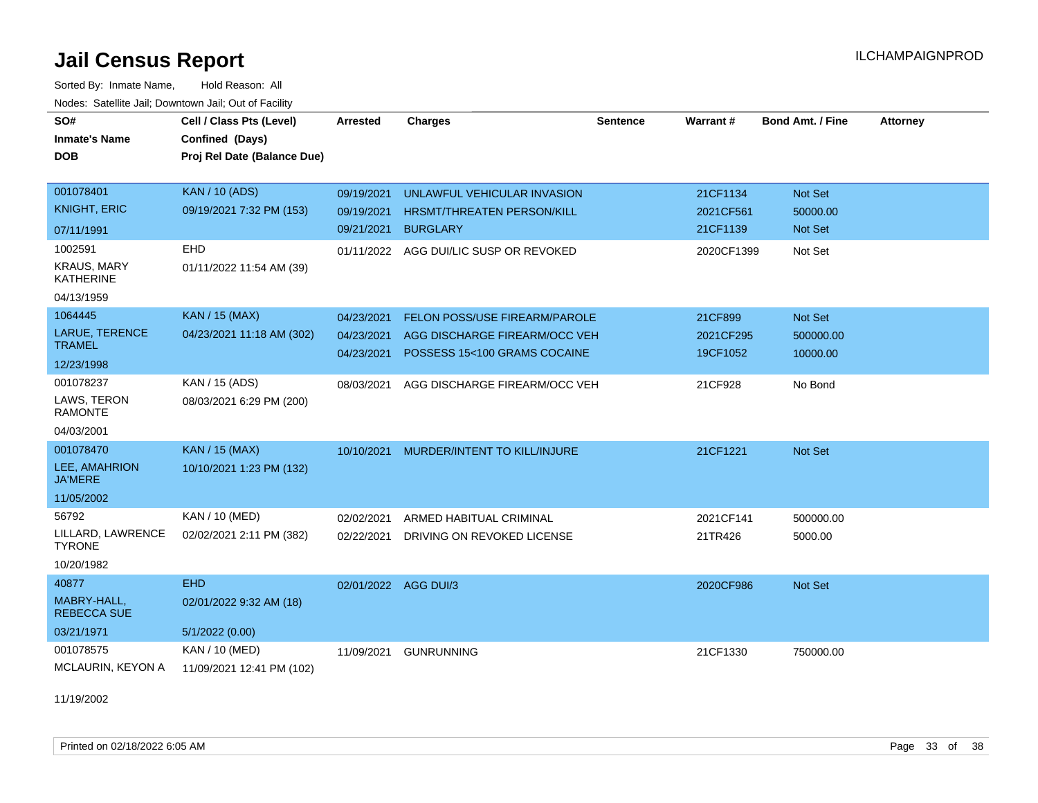Sorted By: Inmate Name, Hold Reason: All Nodes: Satellite Jail; Downtown Jail; Out of Facility

| SO#<br><b>Inmate's Name</b>            | Cell / Class Pts (Level)<br>Confined (Days) | <b>Arrested</b> | <b>Charges</b>                    | <b>Sentence</b> | Warrant#   | <b>Bond Amt. / Fine</b> | <b>Attorney</b> |
|----------------------------------------|---------------------------------------------|-----------------|-----------------------------------|-----------------|------------|-------------------------|-----------------|
| <b>DOB</b>                             | Proj Rel Date (Balance Due)                 |                 |                                   |                 |            |                         |                 |
|                                        |                                             |                 |                                   |                 |            |                         |                 |
| 001078401                              | <b>KAN / 10 (ADS)</b>                       | 09/19/2021      | UNLAWFUL VEHICULAR INVASION       |                 | 21CF1134   | Not Set                 |                 |
| <b>KNIGHT, ERIC</b>                    | 09/19/2021 7:32 PM (153)                    | 09/19/2021      | <b>HRSMT/THREATEN PERSON/KILL</b> |                 | 2021CF561  | 50000.00                |                 |
| 07/11/1991                             |                                             | 09/21/2021      | <b>BURGLARY</b>                   |                 | 21CF1139   | Not Set                 |                 |
| 1002591                                | EHD                                         | 01/11/2022      | AGG DUI/LIC SUSP OR REVOKED       |                 | 2020CF1399 | Not Set                 |                 |
| <b>KRAUS, MARY</b><br><b>KATHERINE</b> | 01/11/2022 11:54 AM (39)                    |                 |                                   |                 |            |                         |                 |
| 04/13/1959                             |                                             |                 |                                   |                 |            |                         |                 |
| 1064445                                | <b>KAN / 15 (MAX)</b>                       | 04/23/2021      | FELON POSS/USE FIREARM/PAROLE     |                 | 21CF899    | Not Set                 |                 |
| LARUE, TERENCE                         | 04/23/2021 11:18 AM (302)                   | 04/23/2021      | AGG DISCHARGE FIREARM/OCC VEH     |                 | 2021CF295  | 500000.00               |                 |
| <b>TRAMEL</b>                          |                                             | 04/23/2021      | POSSESS 15<100 GRAMS COCAINE      |                 | 19CF1052   | 10000.00                |                 |
| 12/23/1998                             |                                             |                 |                                   |                 |            |                         |                 |
| 001078237                              | KAN / 15 (ADS)                              | 08/03/2021      | AGG DISCHARGE FIREARM/OCC VEH     |                 | 21CF928    | No Bond                 |                 |
| LAWS, TERON<br><b>RAMONTE</b>          | 08/03/2021 6:29 PM (200)                    |                 |                                   |                 |            |                         |                 |
| 04/03/2001                             |                                             |                 |                                   |                 |            |                         |                 |
| 001078470                              | <b>KAN / 15 (MAX)</b>                       | 10/10/2021      | MURDER/INTENT TO KILL/INJURE      |                 | 21CF1221   | Not Set                 |                 |
| LEE, AMAHRION<br><b>JA'MERE</b>        | 10/10/2021 1:23 PM (132)                    |                 |                                   |                 |            |                         |                 |
| 11/05/2002                             |                                             |                 |                                   |                 |            |                         |                 |
| 56792                                  | KAN / 10 (MED)                              | 02/02/2021      | ARMED HABITUAL CRIMINAL           |                 | 2021CF141  | 500000.00               |                 |
| LILLARD, LAWRENCE<br><b>TYRONE</b>     | 02/02/2021 2:11 PM (382)                    | 02/22/2021      | DRIVING ON REVOKED LICENSE        |                 | 21TR426    | 5000.00                 |                 |
| 10/20/1982                             |                                             |                 |                                   |                 |            |                         |                 |
| 40877                                  | <b>EHD</b>                                  |                 | 02/01/2022 AGG DUI/3              |                 | 2020CF986  | Not Set                 |                 |
| MABRY-HALL,<br><b>REBECCA SUE</b>      | 02/01/2022 9:32 AM (18)                     |                 |                                   |                 |            |                         |                 |
| 03/21/1971                             | 5/1/2022(0.00)                              |                 |                                   |                 |            |                         |                 |
| 001078575                              | KAN / 10 (MED)                              | 11/09/2021      | <b>GUNRUNNING</b>                 |                 | 21CF1330   | 750000.00               |                 |
| MCLAURIN, KEYON A                      | 11/09/2021 12:41 PM (102)                   |                 |                                   |                 |            |                         |                 |

11/19/2002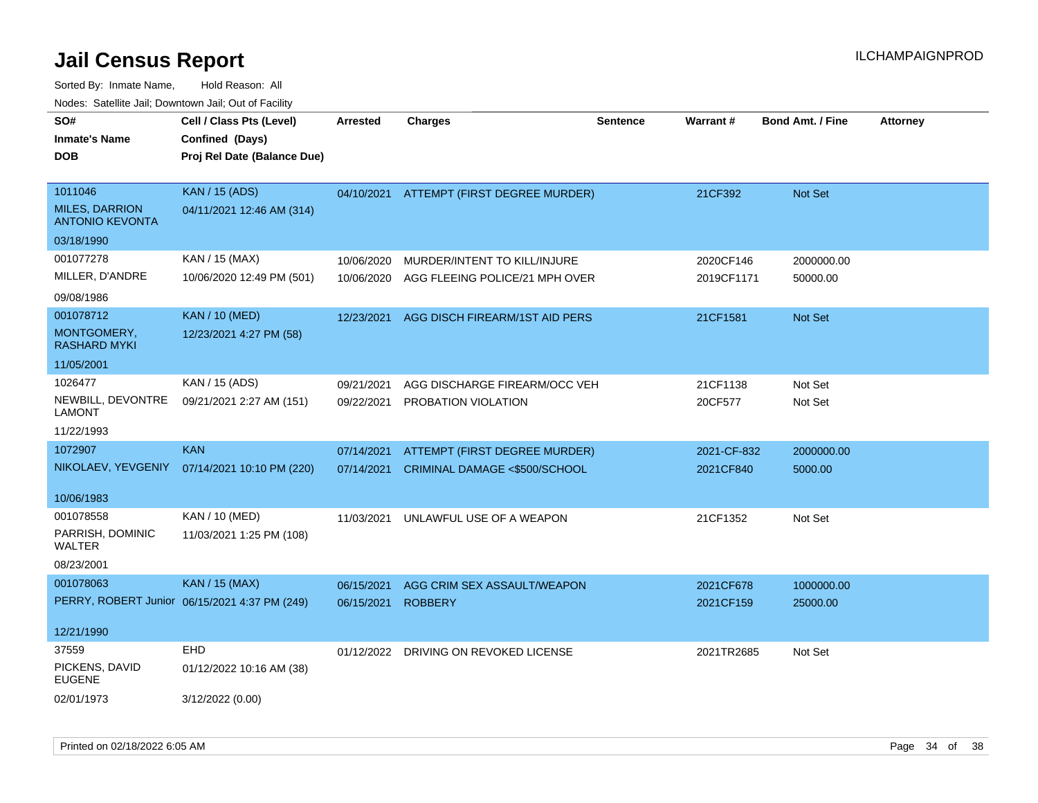| SO#<br><b>Inmate's Name</b><br><b>DOB</b>       | Cell / Class Pts (Level)<br>Confined (Days)<br>Proj Rel Date (Balance Due) | <b>Arrested</b> | <b>Charges</b>                 | <b>Sentence</b> | Warrant#    | <b>Bond Amt. / Fine</b> | <b>Attorney</b> |
|-------------------------------------------------|----------------------------------------------------------------------------|-----------------|--------------------------------|-----------------|-------------|-------------------------|-----------------|
| 1011046                                         | <b>KAN / 15 (ADS)</b>                                                      | 04/10/2021      | ATTEMPT (FIRST DEGREE MURDER)  |                 | 21CF392     | Not Set                 |                 |
| <b>MILES, DARRION</b><br><b>ANTONIO KEVONTA</b> | 04/11/2021 12:46 AM (314)                                                  |                 |                                |                 |             |                         |                 |
| 03/18/1990                                      |                                                                            |                 |                                |                 |             |                         |                 |
| 001077278                                       | KAN / 15 (MAX)                                                             | 10/06/2020      | MURDER/INTENT TO KILL/INJURE   |                 | 2020CF146   | 2000000.00              |                 |
| MILLER, D'ANDRE                                 | 10/06/2020 12:49 PM (501)                                                  | 10/06/2020      | AGG FLEEING POLICE/21 MPH OVER |                 | 2019CF1171  | 50000.00                |                 |
| 09/08/1986                                      |                                                                            |                 |                                |                 |             |                         |                 |
| 001078712                                       | <b>KAN / 10 (MED)</b>                                                      | 12/23/2021      | AGG DISCH FIREARM/1ST AID PERS |                 | 21CF1581    | Not Set                 |                 |
| MONTGOMERY,<br><b>RASHARD MYKI</b>              | 12/23/2021 4:27 PM (58)                                                    |                 |                                |                 |             |                         |                 |
| 11/05/2001                                      |                                                                            |                 |                                |                 |             |                         |                 |
| 1026477                                         | KAN / 15 (ADS)                                                             | 09/21/2021      | AGG DISCHARGE FIREARM/OCC VEH  |                 | 21CF1138    | Not Set                 |                 |
| NEWBILL, DEVONTRE<br><b>LAMONT</b>              | 09/21/2021 2:27 AM (151)                                                   | 09/22/2021      | PROBATION VIOLATION            |                 | 20CF577     | Not Set                 |                 |
| 11/22/1993                                      |                                                                            |                 |                                |                 |             |                         |                 |
| 1072907                                         | <b>KAN</b>                                                                 | 07/14/2021      | ATTEMPT (FIRST DEGREE MURDER)  |                 | 2021-CF-832 | 2000000.00              |                 |
| NIKOLAEV, YEVGENIY                              | 07/14/2021 10:10 PM (220)                                                  | 07/14/2021      | CRIMINAL DAMAGE <\$500/SCHOOL  |                 | 2021CF840   | 5000.00                 |                 |
| 10/06/1983                                      |                                                                            |                 |                                |                 |             |                         |                 |
| 001078558                                       | KAN / 10 (MED)                                                             | 11/03/2021      | UNLAWFUL USE OF A WEAPON       |                 | 21CF1352    | Not Set                 |                 |
| PARRISH, DOMINIC<br>WALTER                      | 11/03/2021 1:25 PM (108)                                                   |                 |                                |                 |             |                         |                 |
| 08/23/2001                                      |                                                                            |                 |                                |                 |             |                         |                 |
| 001078063                                       | <b>KAN / 15 (MAX)</b>                                                      | 06/15/2021      | AGG CRIM SEX ASSAULT/WEAPON    |                 | 2021CF678   | 1000000.00              |                 |
|                                                 | PERRY, ROBERT Junior 06/15/2021 4:37 PM (249)                              | 06/15/2021      | <b>ROBBERY</b>                 |                 | 2021CF159   | 25000.00                |                 |
| 12/21/1990                                      |                                                                            |                 |                                |                 |             |                         |                 |
| 37559                                           | EHD                                                                        | 01/12/2022      | DRIVING ON REVOKED LICENSE     |                 | 2021TR2685  | Not Set                 |                 |
| PICKENS, DAVID<br><b>EUGENE</b>                 | 01/12/2022 10:16 AM (38)                                                   |                 |                                |                 |             |                         |                 |
| 02/01/1973                                      | 3/12/2022 (0.00)                                                           |                 |                                |                 |             |                         |                 |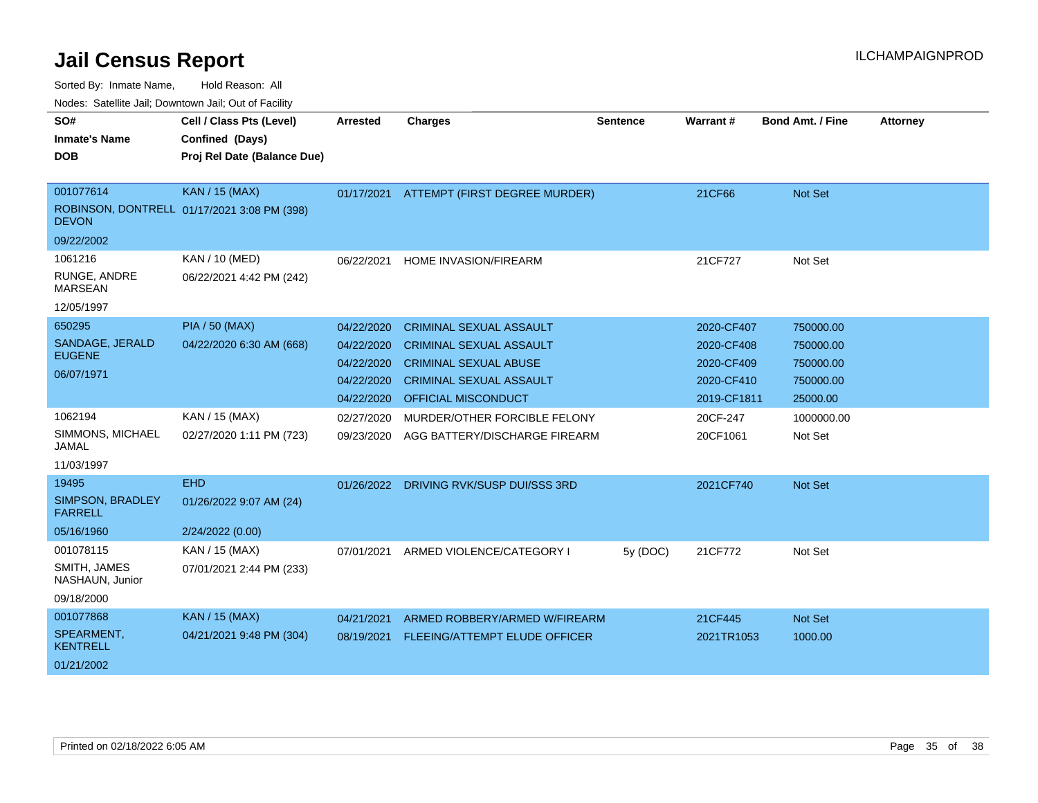| SO#                                | Cell / Class Pts (Level)                    | <b>Arrested</b> |                                          | <b>Sentence</b> | Warrant #   | <b>Bond Amt. / Fine</b> | <b>Attorney</b> |
|------------------------------------|---------------------------------------------|-----------------|------------------------------------------|-----------------|-------------|-------------------------|-----------------|
| <b>Inmate's Name</b>               |                                             |                 | <b>Charges</b>                           |                 |             |                         |                 |
| <b>DOB</b>                         | Confined (Days)                             |                 |                                          |                 |             |                         |                 |
|                                    | Proj Rel Date (Balance Due)                 |                 |                                          |                 |             |                         |                 |
|                                    |                                             |                 |                                          |                 |             |                         |                 |
| 001077614                          | <b>KAN / 15 (MAX)</b>                       |                 | 01/17/2021 ATTEMPT (FIRST DEGREE MURDER) |                 | 21CF66      | <b>Not Set</b>          |                 |
| <b>DEVON</b>                       | ROBINSON, DONTRELL 01/17/2021 3:08 PM (398) |                 |                                          |                 |             |                         |                 |
| 09/22/2002                         |                                             |                 |                                          |                 |             |                         |                 |
| 1061216                            | KAN / 10 (MED)                              | 06/22/2021      | <b>HOME INVASION/FIREARM</b>             |                 | 21CF727     | Not Set                 |                 |
| RUNGE, ANDRE<br><b>MARSEAN</b>     | 06/22/2021 4:42 PM (242)                    |                 |                                          |                 |             |                         |                 |
| 12/05/1997                         |                                             |                 |                                          |                 |             |                         |                 |
| 650295                             | <b>PIA / 50 (MAX)</b>                       | 04/22/2020      | <b>CRIMINAL SEXUAL ASSAULT</b>           |                 | 2020-CF407  | 750000.00               |                 |
| SANDAGE, JERALD                    | 04/22/2020 6:30 AM (668)                    | 04/22/2020      | <b>CRIMINAL SEXUAL ASSAULT</b>           |                 | 2020-CF408  | 750000.00               |                 |
| <b>EUGENE</b>                      |                                             | 04/22/2020      | <b>CRIMINAL SEXUAL ABUSE</b>             |                 | 2020-CF409  | 750000.00               |                 |
| 06/07/1971                         |                                             | 04/22/2020      | <b>CRIMINAL SEXUAL ASSAULT</b>           |                 | 2020-CF410  | 750000.00               |                 |
|                                    |                                             | 04/22/2020      | <b>OFFICIAL MISCONDUCT</b>               |                 | 2019-CF1811 | 25000.00                |                 |
| 1062194                            | KAN / 15 (MAX)                              | 02/27/2020      | MURDER/OTHER FORCIBLE FELONY             |                 | 20CF-247    | 1000000.00              |                 |
| SIMMONS, MICHAEL<br>JAMAL          | 02/27/2020 1:11 PM (723)                    | 09/23/2020      | AGG BATTERY/DISCHARGE FIREARM            |                 | 20CF1061    | Not Set                 |                 |
| 11/03/1997                         |                                             |                 |                                          |                 |             |                         |                 |
| 19495                              | <b>EHD</b>                                  |                 | 01/26/2022 DRIVING RVK/SUSP DUI/SSS 3RD  |                 | 2021CF740   | <b>Not Set</b>          |                 |
| SIMPSON, BRADLEY<br><b>FARRELL</b> | 01/26/2022 9:07 AM (24)                     |                 |                                          |                 |             |                         |                 |
| 05/16/1960                         | 2/24/2022 (0.00)                            |                 |                                          |                 |             |                         |                 |
| 001078115                          | KAN / 15 (MAX)                              | 07/01/2021      | ARMED VIOLENCE/CATEGORY I                | 5y (DOC)        | 21CF772     | Not Set                 |                 |
| SMITH, JAMES<br>NASHAUN, Junior    | 07/01/2021 2:44 PM (233)                    |                 |                                          |                 |             |                         |                 |
| 09/18/2000                         |                                             |                 |                                          |                 |             |                         |                 |
| 001077868                          | KAN / 15 (MAX)                              | 04/21/2021      | ARMED ROBBERY/ARMED W/FIREARM            |                 | 21CF445     | <b>Not Set</b>          |                 |
| SPEARMENT,<br><b>KENTRELL</b>      | 04/21/2021 9:48 PM (304)                    | 08/19/2021      | FLEEING/ATTEMPT ELUDE OFFICER            |                 | 2021TR1053  | 1000.00                 |                 |
| 01/21/2002                         |                                             |                 |                                          |                 |             |                         |                 |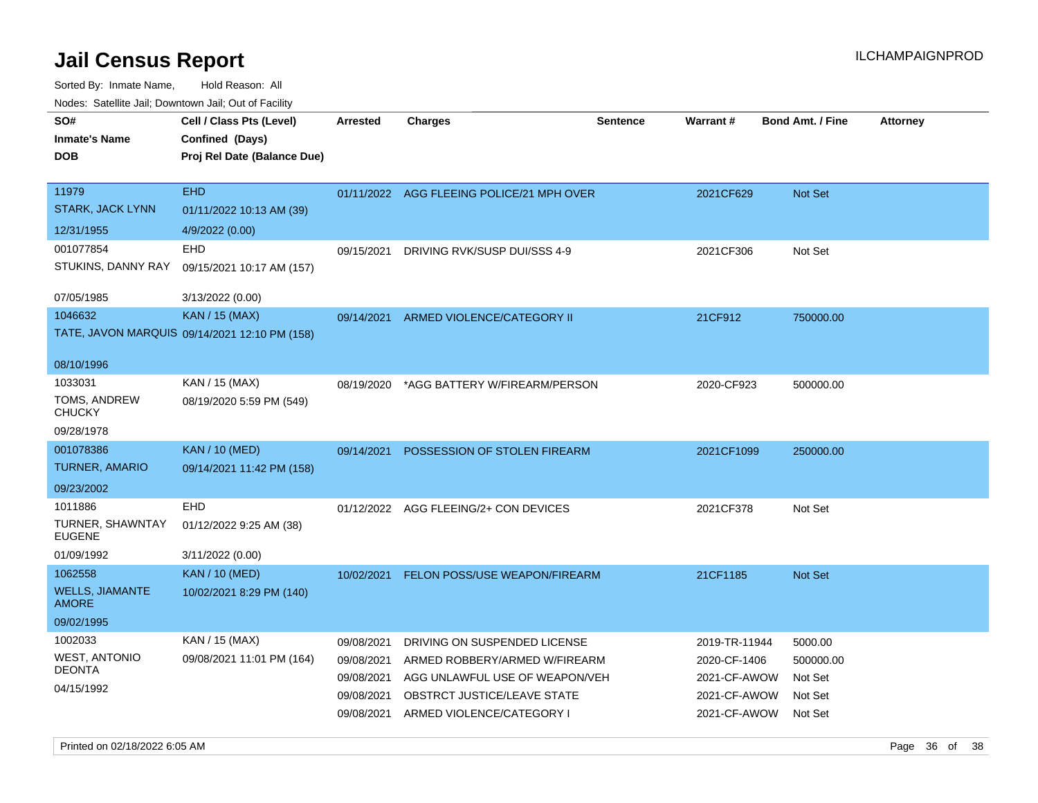| SO#<br><b>Inmate's Name</b><br><b>DOB</b>         | Cell / Class Pts (Level)<br>Confined (Days)<br>Proj Rel Date (Balance Due) | <b>Arrested</b>          | <b>Charges</b>                                                  | <b>Sentence</b> | <b>Warrant#</b>              | <b>Bond Amt. / Fine</b> | <b>Attorney</b> |
|---------------------------------------------------|----------------------------------------------------------------------------|--------------------------|-----------------------------------------------------------------|-----------------|------------------------------|-------------------------|-----------------|
| 11979<br><b>STARK, JACK LYNN</b>                  | <b>EHD</b><br>01/11/2022 10:13 AM (39)                                     |                          | 01/11/2022 AGG FLEEING POLICE/21 MPH OVER                       |                 | 2021CF629                    | <b>Not Set</b>          |                 |
| 12/31/1955                                        | 4/9/2022 (0.00)                                                            |                          |                                                                 |                 |                              |                         |                 |
| 001077854<br>STUKINS, DANNY RAY                   | EHD<br>09/15/2021 10:17 AM (157)                                           | 09/15/2021               | DRIVING RVK/SUSP DUI/SSS 4-9                                    |                 | 2021CF306                    | Not Set                 |                 |
| 07/05/1985                                        | 3/13/2022 (0.00)                                                           |                          |                                                                 |                 |                              |                         |                 |
| 1046632                                           | <b>KAN / 15 (MAX)</b>                                                      | 09/14/2021               | ARMED VIOLENCE/CATEGORY II                                      |                 | 21CF912                      | 750000.00               |                 |
|                                                   | TATE, JAVON MARQUIS 09/14/2021 12:10 PM (158)                              |                          |                                                                 |                 |                              |                         |                 |
| 08/10/1996                                        |                                                                            |                          |                                                                 |                 |                              |                         |                 |
| 1033031<br>TOMS, ANDREW<br><b>CHUCKY</b>          | KAN / 15 (MAX)<br>08/19/2020 5:59 PM (549)                                 | 08/19/2020               | *AGG BATTERY W/FIREARM/PERSON                                   |                 | 2020-CF923                   | 500000.00               |                 |
| 09/28/1978                                        |                                                                            |                          |                                                                 |                 |                              |                         |                 |
| 001078386                                         | <b>KAN / 10 (MED)</b>                                                      | 09/14/2021               | POSSESSION OF STOLEN FIREARM                                    |                 | 2021CF1099                   | 250000.00               |                 |
| <b>TURNER, AMARIO</b><br>09/23/2002               | 09/14/2021 11:42 PM (158)                                                  |                          |                                                                 |                 |                              |                         |                 |
| 1011886<br><b>TURNER, SHAWNTAY</b>                | EHD<br>01/12/2022 9:25 AM (38)                                             |                          | 01/12/2022 AGG FLEEING/2+ CON DEVICES                           |                 | 2021CF378                    | Not Set                 |                 |
| <b>EUGENE</b>                                     |                                                                            |                          |                                                                 |                 |                              |                         |                 |
| 01/09/1992                                        | 3/11/2022 (0.00)                                                           |                          |                                                                 |                 |                              |                         |                 |
| 1062558<br><b>WELLS, JIAMANTE</b><br><b>AMORE</b> | <b>KAN</b> / 10 (MED)<br>10/02/2021 8:29 PM (140)                          | 10/02/2021               | <b>FELON POSS/USE WEAPON/FIREARM</b>                            |                 | 21CF1185                     | Not Set                 |                 |
| 09/02/1995                                        |                                                                            |                          |                                                                 |                 |                              |                         |                 |
| 1002033                                           | KAN / 15 (MAX)                                                             | 09/08/2021               | DRIVING ON SUSPENDED LICENSE                                    |                 | 2019-TR-11944                | 5000.00                 |                 |
| <b>WEST, ANTONIO</b><br><b>DEONTA</b>             | 09/08/2021 11:01 PM (164)                                                  | 09/08/2021<br>09/08/2021 | ARMED ROBBERY/ARMED W/FIREARM<br>AGG UNLAWFUL USE OF WEAPON/VEH |                 | 2020-CF-1406<br>2021-CF-AWOW | 500000.00<br>Not Set    |                 |
| 04/15/1992                                        |                                                                            | 09/08/2021<br>09/08/2021 | OBSTRCT JUSTICE/LEAVE STATE<br>ARMED VIOLENCE/CATEGORY I        |                 | 2021-CF-AWOW<br>2021-CF-AWOW | Not Set<br>Not Set      |                 |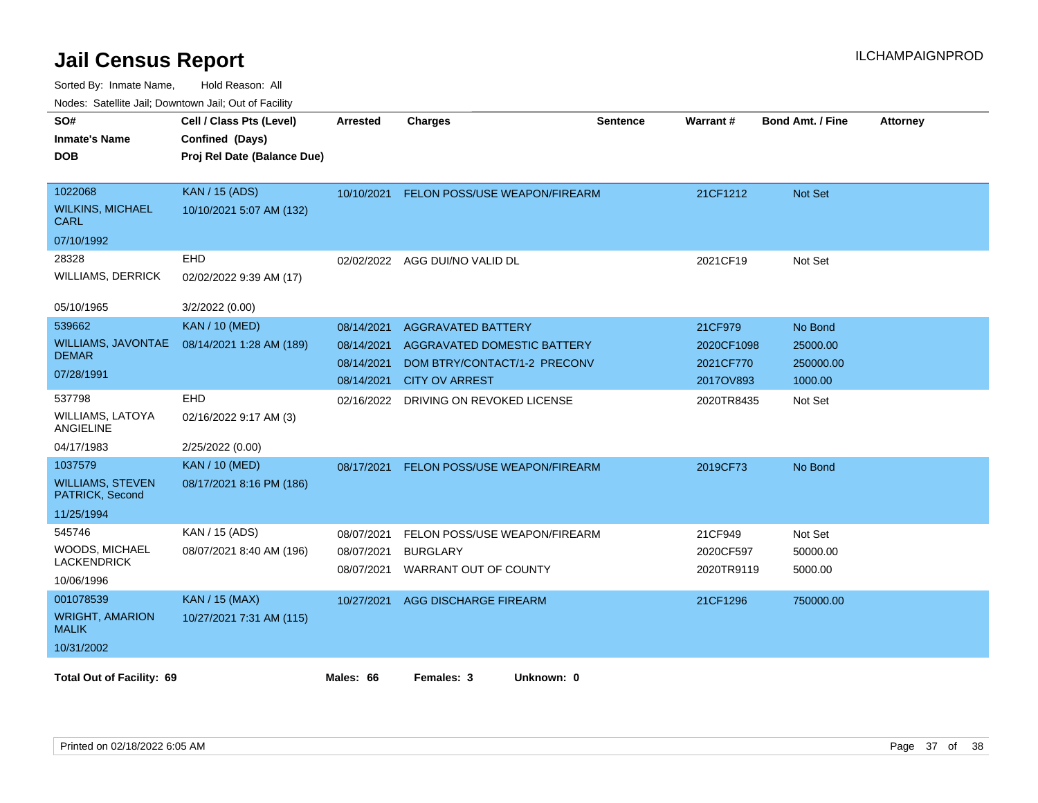| SO#<br><b>Inmate's Name</b><br><b>DOB</b>                           | Cell / Class Pts (Level)<br>Confined (Days)<br>Proj Rel Date (Balance Due) | <b>Arrested</b>                                      | <b>Charges</b>                                                                                                    | <b>Sentence</b> | Warrant#                                        | <b>Bond Amt. / Fine</b>                     | <b>Attorney</b> |
|---------------------------------------------------------------------|----------------------------------------------------------------------------|------------------------------------------------------|-------------------------------------------------------------------------------------------------------------------|-----------------|-------------------------------------------------|---------------------------------------------|-----------------|
| 1022068<br><b>WILKINS, MICHAEL</b><br>CARL<br>07/10/1992            | <b>KAN / 15 (ADS)</b><br>10/10/2021 5:07 AM (132)                          | 10/10/2021                                           | FELON POSS/USE WEAPON/FIREARM                                                                                     |                 | 21CF1212                                        | Not Set                                     |                 |
| 28328<br><b>WILLIAMS, DERRICK</b><br>05/10/1965                     | EHD<br>02/02/2022 9:39 AM (17)<br>3/2/2022 (0.00)                          |                                                      | 02/02/2022 AGG DUI/NO VALID DL                                                                                    |                 | 2021CF19                                        | Not Set                                     |                 |
| 539662<br><b>WILLIAMS, JAVONTAE</b><br><b>DEMAR</b><br>07/28/1991   | <b>KAN / 10 (MED)</b><br>08/14/2021 1:28 AM (189)                          | 08/14/2021<br>08/14/2021<br>08/14/2021<br>08/14/2021 | <b>AGGRAVATED BATTERY</b><br>AGGRAVATED DOMESTIC BATTERY<br>DOM BTRY/CONTACT/1-2 PRECONV<br><b>CITY OV ARREST</b> |                 | 21CF979<br>2020CF1098<br>2021CF770<br>2017OV893 | No Bond<br>25000.00<br>250000.00<br>1000.00 |                 |
| 537798<br><b>WILLIAMS, LATOYA</b><br><b>ANGIELINE</b><br>04/17/1983 | <b>EHD</b><br>02/16/2022 9:17 AM (3)<br>2/25/2022 (0.00)                   | 02/16/2022                                           | DRIVING ON REVOKED LICENSE                                                                                        |                 | 2020TR8435                                      | Not Set                                     |                 |
| 1037579<br><b>WILLIAMS, STEVEN</b><br>PATRICK, Second<br>11/25/1994 | <b>KAN / 10 (MED)</b><br>08/17/2021 8:16 PM (186)                          | 08/17/2021                                           | FELON POSS/USE WEAPON/FIREARM                                                                                     |                 | 2019CF73                                        | No Bond                                     |                 |
| 545746<br>WOODS, MICHAEL<br><b>LACKENDRICK</b><br>10/06/1996        | KAN / 15 (ADS)<br>08/07/2021 8:40 AM (196)                                 | 08/07/2021<br>08/07/2021<br>08/07/2021               | FELON POSS/USE WEAPON/FIREARM<br><b>BURGLARY</b><br>WARRANT OUT OF COUNTY                                         |                 | 21CF949<br>2020CF597<br>2020TR9119              | Not Set<br>50000.00<br>5000.00              |                 |
| 001078539<br><b>WRIGHT, AMARION</b><br><b>MALIK</b><br>10/31/2002   | <b>KAN / 15 (MAX)</b><br>10/27/2021 7:31 AM (115)                          | 10/27/2021                                           | AGG DISCHARGE FIREARM                                                                                             |                 | 21CF1296                                        | 750000.00                                   |                 |
| <b>Total Out of Facility: 69</b>                                    |                                                                            | Males: 66                                            | Females: 3<br>Unknown: 0                                                                                          |                 |                                                 |                                             |                 |